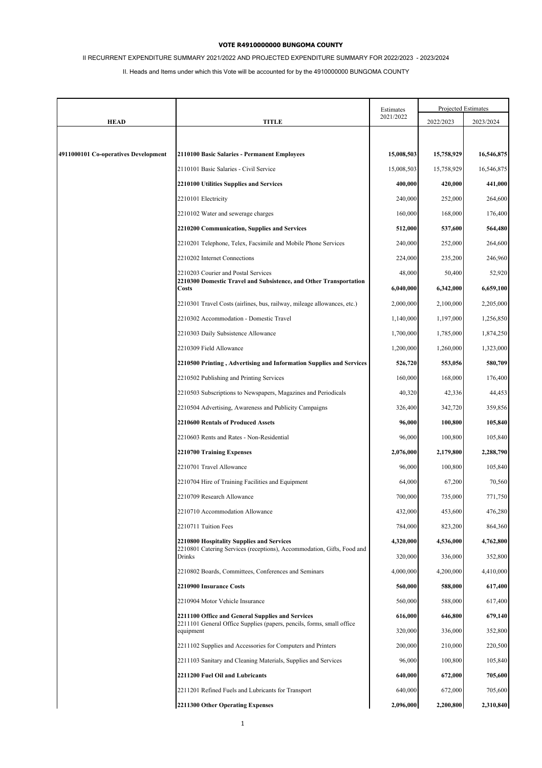# II RECURRENT EXPENDITURE SUMMARY 2021/2022 AND PROJECTED EXPENDITURE SUMMARY FOR 2022/2023 - 2023/2024

|                                      |                                                                                                                           | Estimates  | Projected Estimates |            |
|--------------------------------------|---------------------------------------------------------------------------------------------------------------------------|------------|---------------------|------------|
| <b>HEAD</b>                          | <b>TITLE</b>                                                                                                              | 2021/2022  | 2022/2023           | 2023/2024  |
|                                      |                                                                                                                           |            |                     |            |
| 4911000101 Co-operatives Development | 2110100 Basic Salaries - Permanent Employees                                                                              | 15,008,503 | 15,758,929          | 16,546,875 |
|                                      | 2110101 Basic Salaries - Civil Service                                                                                    | 15,008,503 | 15,758,929          | 16,546,875 |
|                                      | 2210100 Utilities Supplies and Services                                                                                   | 400,000    | 420,000             | 441,000    |
|                                      | 2210101 Electricity                                                                                                       | 240,000    | 252,000             | 264,600    |
|                                      | 2210102 Water and sewerage charges                                                                                        | 160,000    | 168,000             | 176,400    |
|                                      | 2210200 Communication, Supplies and Services                                                                              | 512,000    | 537,600             | 564,480    |
|                                      | 2210201 Telephone, Telex, Facsimile and Mobile Phone Services                                                             | 240,000    | 252,000             | 264,600    |
|                                      | 2210202 Internet Connections                                                                                              | 224,000    | 235,200             | 246,960    |
|                                      | 2210203 Courier and Postal Services                                                                                       | 48,000     | 50,400              | 52,920     |
|                                      | 2210300 Domestic Travel and Subsistence, and Other Transportation<br><b>Costs</b>                                         | 6,040,000  | 6,342,000           | 6,659,100  |
|                                      | 2210301 Travel Costs (airlines, bus, railway, mileage allowances, etc.)                                                   | 2,000,000  | 2,100,000           | 2,205,000  |
|                                      | 2210302 Accommodation - Domestic Travel                                                                                   | 1,140,000  | 1,197,000           | 1,256,850  |
|                                      | 2210303 Daily Subsistence Allowance                                                                                       | 1,700,000  | 1,785,000           | 1,874,250  |
|                                      | 2210309 Field Allowance                                                                                                   | 1,200,000  | 1,260,000           | 1,323,000  |
|                                      | 2210500 Printing, Advertising and Information Supplies and Services                                                       | 526,720    | 553,056             | 580,709    |
|                                      | 2210502 Publishing and Printing Services                                                                                  | 160,000    | 168,000             | 176,400    |
|                                      | 2210503 Subscriptions to Newspapers, Magazines and Periodicals                                                            | 40,320     | 42,336              | 44,453     |
|                                      | 2210504 Advertising, Awareness and Publicity Campaigns                                                                    | 326,400    | 342,720             | 359,856    |
|                                      | <b>2210600 Rentals of Produced Assets</b>                                                                                 | 96,000     | 100,800             | 105,840    |
|                                      | 2210603 Rents and Rates - Non-Residential                                                                                 | 96,000     | 100,800             | 105,840    |
|                                      | 2210700 Training Expenses                                                                                                 | 2,076,000  | 2,179,800           | 2,288,790  |
|                                      | 2210701 Travel Allowance                                                                                                  | 96,000     | 100,800             | 105,840    |
|                                      | 2210704 Hire of Training Facilities and Equipment                                                                         | 64,000     | 67,200              | 70,560     |
|                                      | 2210709 Research Allowance                                                                                                | 700,000    | 735,000             | 771,750    |
|                                      | 2210710 Accommodation Allowance                                                                                           | 432,000    | 453,600             | 476,280    |
|                                      | 2210711 Tuition Fees                                                                                                      | 784,000    | 823,200             | 864,360    |
|                                      | 2210800 Hospitality Supplies and Services<br>2210801 Catering Services (receptions), Accommodation, Gifts, Food and       | 4,320,000  | 4,536,000           | 4,762,800  |
|                                      | Drinks                                                                                                                    | 320,000    | 336,000             | 352,800    |
|                                      | 2210802 Boards, Committees, Conferences and Seminars                                                                      | 4,000,000  | 4,200,000           | 4,410,000  |
|                                      | 2210900 Insurance Costs                                                                                                   | 560,000    | 588,000             | 617,400    |
|                                      | 2210904 Motor Vehicle Insurance                                                                                           | 560,000    | 588,000             | 617,400    |
|                                      | 2211100 Office and General Supplies and Services<br>2211101 General Office Supplies (papers, pencils, forms, small office | 616,000    | 646,800             | 679,140    |
|                                      | equipment                                                                                                                 | 320,000    | 336,000             | 352,800    |
|                                      | 2211102 Supplies and Accessories for Computers and Printers                                                               | 200,000    | 210,000             | 220,500    |
|                                      | 2211103 Sanitary and Cleaning Materials, Supplies and Services                                                            | 96,000     | 100,800             | 105,840    |
|                                      | 2211200 Fuel Oil and Lubricants                                                                                           | 640,000    | 672,000             | 705,600    |
|                                      | 2211201 Refined Fuels and Lubricants for Transport                                                                        | 640,000    | 672,000             | 705,600    |
|                                      | 2211300 Other Operating Expenses                                                                                          | 2,096,000  | 2,200,800           | 2,310,840  |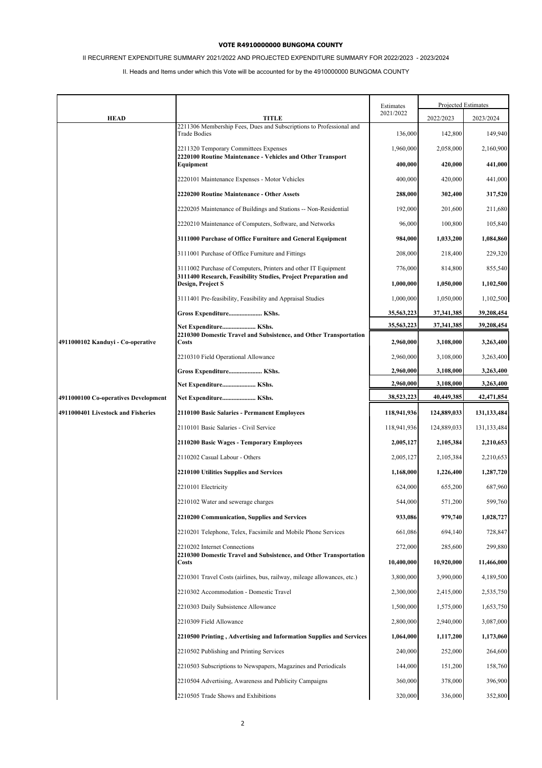# II RECURRENT EXPENDITURE SUMMARY 2021/2022 AND PROJECTED EXPENDITURE SUMMARY FOR 2022/2023 - 2023/2024

|                                      |                                                                                                   | Estimates   |             | Projected Estimates |
|--------------------------------------|---------------------------------------------------------------------------------------------------|-------------|-------------|---------------------|
| <b>HEAD</b>                          | <b>TITLE</b>                                                                                      | 2021/2022   | 2022/2023   | 2023/2024           |
|                                      | 2211306 Membership Fees, Dues and Subscriptions to Professional and<br><b>Trade Bodies</b>        | 136,000     | 142,800     | 149,940             |
|                                      | 2211320 Temporary Committees Expenses                                                             | 1,960,000   | 2,058,000   | 2,160,900           |
|                                      | 2220100 Routine Maintenance - Vehicles and Other Transport<br>Equipment                           | 400,000     | 420,000     | 441,000             |
|                                      | 2220101 Maintenance Expenses - Motor Vehicles                                                     | 400,000     | 420,000     | 441,000             |
|                                      | 2220200 Routine Maintenance - Other Assets                                                        | 288,000     | 302,400     | 317,520             |
|                                      | 2220205 Maintenance of Buildings and Stations -- Non-Residential                                  | 192,000     | 201,600     | 211,680             |
|                                      | 2220210 Maintenance of Computers, Software, and Networks                                          | 96,000      | 100,800     | 105,840             |
|                                      | 3111000 Purchase of Office Furniture and General Equipment                                        | 984,000     | 1,033,200   | 1,084,860           |
|                                      | 3111001 Purchase of Office Furniture and Fittings                                                 | 208,000     | 218,400     | 229,320             |
|                                      | 3111002 Purchase of Computers, Printers and other IT Equipment                                    | 776,000     | 814,800     | 855,540             |
|                                      | 3111400 Research, Feasibility Studies, Project Preparation and<br>Design, Project S               | 1,000,000   | 1,050,000   | 1,102,500           |
|                                      | 3111401 Pre-feasibility, Feasibility and Appraisal Studies                                        | 1,000,000   | 1,050,000   | 1,102,500           |
|                                      | Gross Expenditure KShs.                                                                           | 35,563,223  | 37,341,385  | 39,208,454          |
|                                      | Net Expenditure KShs.<br>2210300 Domestic Travel and Subsistence, and Other Transportation        | 35,563,223  | 37,341,385  | 39,208,454          |
| 4911000102 Kanduyi - Co-operative    | Costs                                                                                             | 2,960,000   | 3,108,000   | 3,263,400           |
|                                      | 2210310 Field Operational Allowance                                                               | 2,960,000   | 3,108,000   | 3,263,400           |
|                                      | Gross Expenditure KShs.                                                                           | 2,960,000   | 3,108,000   | 3,263,400           |
|                                      | Net Expenditure KShs.                                                                             | 2,960,000   | 3,108,000   | 3,263,400           |
| 4911000100 Co-operatives Development | Net Expenditure KShs.                                                                             | 38,523,223  | 40,449,385  | 42,471,854          |
| 4911000401 Livestock and Fisheries   | 2110100 Basic Salaries - Permanent Employees                                                      | 118,941,936 | 124,889,033 | 131,133,484         |
|                                      | 2110101 Basic Salaries - Civil Service                                                            | 118,941,936 | 124,889,033 | 131, 133, 484       |
|                                      | 2110200 Basic Wages - Temporary Employees                                                         | 2,005,127   | 2,105,384   | 2,210,653           |
|                                      | 2110202 Casual Labour - Others                                                                    | 2,005,127   | 2,105,384   | 2,210,653           |
|                                      | 2210100 Utilities Supplies and Services                                                           | 1,168,000   | 1,226,400   | 1,287,720           |
|                                      | 2210101 Electricity                                                                               | 624,000     | 655,200     | 687,960             |
|                                      | 2210102 Water and sewerage charges                                                                | 544,000     | 571,200     | 599,760             |
|                                      | 2210200 Communication, Supplies and Services                                                      | 933,086     | 979,740     | 1,028,727           |
|                                      | 2210201 Telephone, Telex, Facsimile and Mobile Phone Services                                     | 661,086     | 694,140     | 728,847             |
|                                      | 2210202 Internet Connections<br>2210300 Domestic Travel and Subsistence, and Other Transportation | 272,000     | 285,600     | 299,880             |
|                                      | Costs                                                                                             | 10,400,000  | 10,920,000  | 11,466,000          |
|                                      | 2210301 Travel Costs (airlines, bus, railway, mileage allowances, etc.)                           | 3,800,000   | 3,990,000   | 4,189,500           |
|                                      | 2210302 Accommodation - Domestic Travel                                                           | 2,300,000   | 2,415,000   | 2,535,750           |
|                                      | 2210303 Daily Subsistence Allowance                                                               | 1,500,000   | 1,575,000   | 1,653,750           |
|                                      | 2210309 Field Allowance                                                                           | 2,800,000   | 2,940,000   | 3,087,000           |
|                                      | 2210500 Printing, Advertising and Information Supplies and Services                               | 1,064,000   | 1,117,200   | 1,173,060           |
|                                      | 2210502 Publishing and Printing Services                                                          | 240,000     | 252,000     | 264,600             |
|                                      | 2210503 Subscriptions to Newspapers, Magazines and Periodicals                                    | 144,000     | 151,200     | 158,760             |
|                                      |                                                                                                   |             |             |                     |
|                                      | 2210504 Advertising, Awareness and Publicity Campaigns                                            | 360,000     | 378,000     | 396,900             |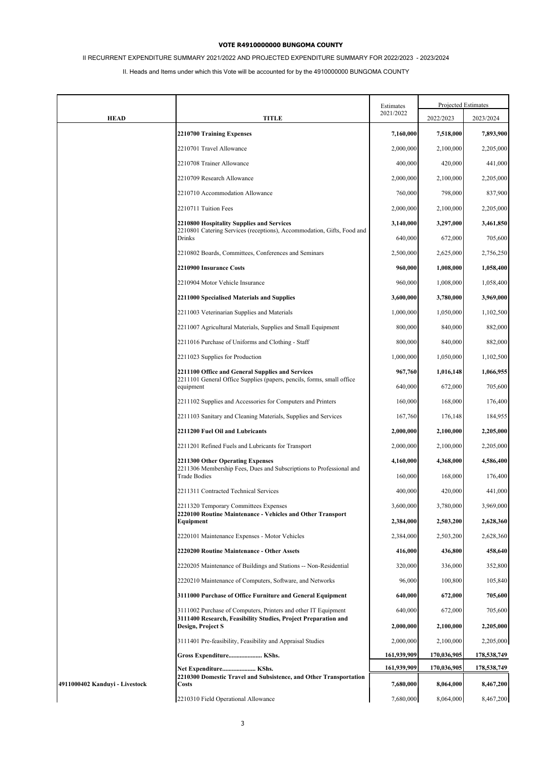# II RECURRENT EXPENDITURE SUMMARY 2021/2022 AND PROJECTED EXPENDITURE SUMMARY FOR 2022/2023 - 2023/2024

|                                |                                                                                                                                  | Estimates   |             | Projected Estimates |
|--------------------------------|----------------------------------------------------------------------------------------------------------------------------------|-------------|-------------|---------------------|
| <b>HEAD</b>                    | <b>TITLE</b>                                                                                                                     | 2021/2022   | 2022/2023   | 2023/2024           |
|                                | 2210700 Training Expenses                                                                                                        | 7,160,000   | 7,518,000   | 7,893,900           |
|                                | 2210701 Travel Allowance                                                                                                         | 2,000,000   | 2,100,000   | 2,205,000           |
|                                | 2210708 Trainer Allowance                                                                                                        | 400,000     | 420,000     | 441,000             |
|                                | 2210709 Research Allowance                                                                                                       | 2,000,000   | 2,100,000   | 2,205,000           |
|                                | 2210710 Accommodation Allowance                                                                                                  | 760,000     | 798,000     | 837,900             |
|                                | 2210711 Tuition Fees                                                                                                             | 2,000,000   | 2,100,000   | 2,205,000           |
|                                | 2210800 Hospitality Supplies and Services                                                                                        | 3,140,000   | 3,297,000   | 3,461,850           |
|                                | 2210801 Catering Services (receptions), Accommodation, Gifts, Food and<br>Drinks                                                 | 640,000     | 672,000     | 705,600             |
|                                | 2210802 Boards, Committees, Conferences and Seminars                                                                             | 2,500,000   | 2,625,000   | 2,756,250           |
|                                | 2210900 Insurance Costs                                                                                                          | 960,000     | 1,008,000   | 1,058,400           |
|                                | 2210904 Motor Vehicle Insurance                                                                                                  | 960,000     | 1,008,000   | 1,058,400           |
|                                | 2211000 Specialised Materials and Supplies                                                                                       | 3,600,000   | 3,780,000   | 3,969,000           |
|                                | 2211003 Veterinarian Supplies and Materials                                                                                      | 1,000,000   | 1,050,000   | 1,102,500           |
|                                | 2211007 Agricultural Materials, Supplies and Small Equipment                                                                     | 800,000     | 840,000     | 882,000             |
|                                | 2211016 Purchase of Uniforms and Clothing - Staff                                                                                | 800,000     | 840,000     | 882,000             |
|                                | 2211023 Supplies for Production                                                                                                  | 1,000,000   | 1,050,000   | 1,102,500           |
|                                | 2211100 Office and General Supplies and Services<br>2211101 General Office Supplies (papers, pencils, forms, small office        | 967,760     | 1,016,148   | 1,066,955           |
|                                | equipment                                                                                                                        | 640,000     | 672,000     | 705,600             |
|                                | 2211102 Supplies and Accessories for Computers and Printers                                                                      | 160,000     | 168,000     | 176,400             |
|                                | 2211103 Sanitary and Cleaning Materials, Supplies and Services                                                                   | 167,760     | 176,148     | 184,955             |
|                                | 2211200 Fuel Oil and Lubricants                                                                                                  | 2,000,000   | 2,100,000   | 2,205,000           |
|                                | 2211201 Refined Fuels and Lubricants for Transport                                                                               | 2,000,000   | 2,100,000   | 2,205,000           |
|                                | 2211300 Other Operating Expenses<br>2211306 Membership Fees, Dues and Subscriptions to Professional and                          | 4,160,000   | 4,368,000   | 4,586,400           |
|                                | <b>Trade Bodies</b>                                                                                                              | 160,000     | 168,000     | 176,400             |
|                                | 2211311 Contracted Technical Services                                                                                            | 400,000     | 420,000     | 441,000             |
|                                | 2211320 Temporary Committees Expenses                                                                                            | 3,600,000   | 3,780,000   | 3,969,000           |
|                                | 2220100 Routine Maintenance - Vehicles and Other Transport<br>Equipment                                                          | 2,384,000   | 2,503,200   | 2,628,360           |
|                                | 2220101 Maintenance Expenses - Motor Vehicles                                                                                    | 2,384,000   | 2,503,200   | 2,628,360           |
|                                | 2220200 Routine Maintenance - Other Assets                                                                                       | 416,000     | 436,800     | 458,640             |
|                                | 2220205 Maintenance of Buildings and Stations -- Non-Residential                                                                 | 320,000     | 336,000     | 352,800             |
|                                | 2220210 Maintenance of Computers, Software, and Networks                                                                         | 96,000      | 100,800     | 105,840             |
|                                | 3111000 Purchase of Office Furniture and General Equipment                                                                       | 640,000     | 672,000     | 705,600             |
|                                | 3111002 Purchase of Computers, Printers and other IT Equipment<br>3111400 Research, Feasibility Studies, Project Preparation and | 640,000     | 672,000     | 705,600             |
|                                | Design, Project S                                                                                                                | 2,000,000   | 2,100,000   | 2,205,000           |
|                                | 3111401 Pre-feasibility, Feasibility and Appraisal Studies                                                                       | 2,000,000   | 2,100,000   | 2,205,000           |
|                                | Gross Expenditure KShs.                                                                                                          | 161,939,909 | 170,036,905 | 178,538,749         |
|                                | Net Expenditure KShs.<br>2210300 Domestic Travel and Subsistence, and Other Transportation                                       | 161,939,909 | 170,036,905 | 178,538,749         |
| 4911000402 Kanduyi - Livestock | <b>Costs</b>                                                                                                                     | 7,680,000   | 8,064,000   | 8,467,200           |
|                                | 2210310 Field Operational Allowance                                                                                              | 7,680,000   | 8,064,000   | 8,467,200           |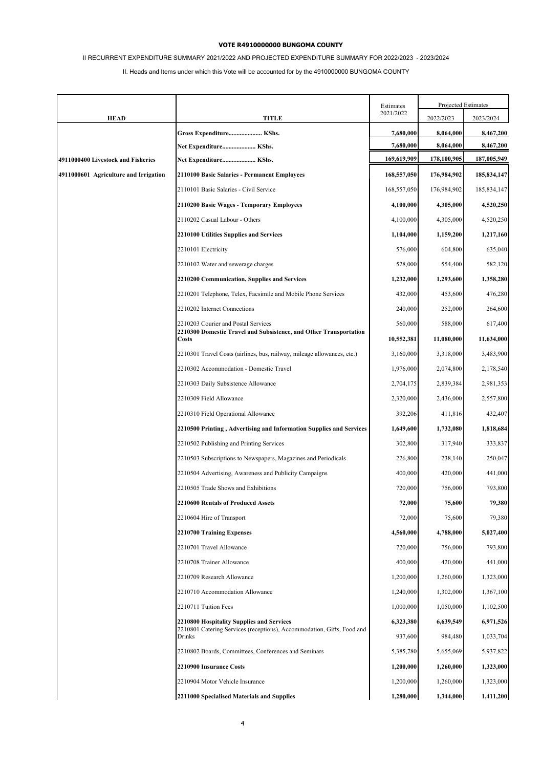# II RECURRENT EXPENDITURE SUMMARY 2021/2022 AND PROJECTED EXPENDITURE SUMMARY FOR 2022/2023 - 2023/2024

|                                       |                                                                                                                     | Estimates   | Projected Estimates |               |
|---------------------------------------|---------------------------------------------------------------------------------------------------------------------|-------------|---------------------|---------------|
| <b>HEAD</b>                           | <b>TITLE</b>                                                                                                        | 2021/2022   | 2022/2023           | 2023/2024     |
|                                       | Gross Expenditure KShs.                                                                                             | 7,680,000   | 8,064,000           | 8,467,200     |
|                                       | Net Expenditure KShs.                                                                                               | 7,680,000   | 8,064,000           | 8,467,200     |
| 4911000400 Livestock and Fisheries    | Net Expenditure KShs.                                                                                               | 169,619,909 | 178,100,905         | 187,005,949   |
| 4911000601 Agriculture and Irrigation | 2110100 Basic Salaries - Permanent Employees                                                                        | 168,557,050 | 176,984,902         | 185,834,147   |
|                                       | 2110101 Basic Salaries - Civil Service                                                                              | 168,557,050 | 176,984,902         | 185, 834, 147 |
|                                       | 2110200 Basic Wages - Temporary Employees                                                                           | 4,100,000   | 4,305,000           | 4,520,250     |
|                                       | 2110202 Casual Labour - Others                                                                                      | 4,100,000   | 4,305,000           | 4,520,250     |
|                                       | <b>2210100 Utilities Supplies and Services</b>                                                                      | 1,104,000   | 1,159,200           | 1,217,160     |
|                                       | 2210101 Electricity                                                                                                 | 576,000     | 604,800             | 635,040       |
|                                       | 2210102 Water and sewerage charges                                                                                  | 528,000     | 554,400             | 582,120       |
|                                       | 2210200 Communication, Supplies and Services                                                                        | 1,232,000   | 1,293,600           | 1,358,280     |
|                                       | 2210201 Telephone, Telex, Facsimile and Mobile Phone Services                                                       | 432,000     | 453,600             | 476,280       |
|                                       | 2210202 Internet Connections                                                                                        | 240,000     | 252,000             | 264,600       |
|                                       | 2210203 Courier and Postal Services                                                                                 | 560,000     | 588,000             | 617,400       |
|                                       | 2210300 Domestic Travel and Subsistence, and Other Transportation<br>Costs                                          | 10,552,381  | 11,080,000          | 11,634,000    |
|                                       | 2210301 Travel Costs (airlines, bus, railway, mileage allowances, etc.)                                             | 3,160,000   | 3,318,000           | 3,483,900     |
|                                       | 2210302 Accommodation - Domestic Travel                                                                             | 1,976,000   | 2,074,800           | 2,178,540     |
|                                       | 2210303 Daily Subsistence Allowance                                                                                 | 2,704,175   | 2,839,384           | 2,981,353     |
|                                       | 2210309 Field Allowance                                                                                             | 2,320,000   | 2,436,000           | 2,557,800     |
|                                       | 2210310 Field Operational Allowance                                                                                 | 392,206     | 411,816             | 432,407       |
|                                       | 2210500 Printing, Advertising and Information Supplies and Services                                                 | 1,649,600   | 1,732,080           | 1,818,684     |
|                                       | 2210502 Publishing and Printing Services                                                                            | 302,800     | 317,940             | 333,837       |
|                                       | 2210503 Subscriptions to Newspapers, Magazines and Periodicals                                                      | 226,800     | 238,140             | 250,047       |
|                                       | 2210504 Advertising, Awareness and Publicity Campaigns                                                              | 400,000     | 420,000             | 441,000       |
|                                       | 2210505 Trade Shows and Exhibitions                                                                                 | 720,000     | 756,000             | 793,800       |
|                                       | 2210600 Rentals of Produced Assets                                                                                  | 72,000      | 75,600              | 79,380        |
|                                       | 2210604 Hire of Transport                                                                                           | 72,000      | 75,600              | 79,380        |
|                                       | 2210700 Training Expenses                                                                                           | 4,560,000   | 4,788,000           | 5,027,400     |
|                                       | 2210701 Travel Allowance                                                                                            | 720,000     | 756,000             | 793,800       |
|                                       | 2210708 Trainer Allowance                                                                                           | 400,000     | 420,000             | 441,000       |
|                                       | 2210709 Research Allowance                                                                                          | 1,200,000   | 1,260,000           | 1,323,000     |
|                                       | 2210710 Accommodation Allowance                                                                                     | 1,240,000   | 1,302,000           | 1,367,100     |
|                                       | 2210711 Tuition Fees                                                                                                | 1,000,000   | 1,050,000           | 1,102,500     |
|                                       | 2210800 Hospitality Supplies and Services<br>2210801 Catering Services (receptions), Accommodation, Gifts, Food and | 6,323,380   | 6,639,549           | 6,971,526     |
|                                       | Drinks                                                                                                              | 937,600     | 984,480             | 1,033,704     |
|                                       | 2210802 Boards, Committees, Conferences and Seminars                                                                | 5,385,780   | 5,655,069           | 5,937,822     |
|                                       | 2210900 Insurance Costs                                                                                             | 1,200,000   | 1,260,000           | 1,323,000     |
|                                       | 2210904 Motor Vehicle Insurance                                                                                     | 1,200,000   | 1,260,000           | 1,323,000     |
|                                       | 2211000 Specialised Materials and Supplies                                                                          | 1,280,000   | 1,344,000           | 1,411,200     |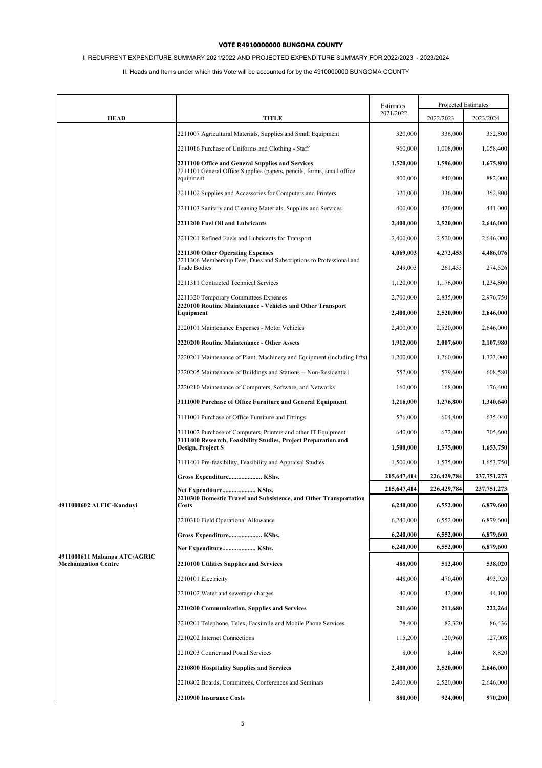# II RECURRENT EXPENDITURE SUMMARY 2021/2022 AND PROJECTED EXPENDITURE SUMMARY FOR 2022/2023 - 2023/2024

|                              |                                                                                            | Estimates   |               | Projected Estimates |
|------------------------------|--------------------------------------------------------------------------------------------|-------------|---------------|---------------------|
| <b>HEAD</b>                  | <b>TITLE</b>                                                                               | 2021/2022   | 2022/2023     | 2023/2024           |
|                              | 2211007 Agricultural Materials, Supplies and Small Equipment                               | 320,000     | 336,000       | 352,800             |
|                              | 2211016 Purchase of Uniforms and Clothing - Staff                                          | 960,000     | 1,008,000     | 1,058,400           |
|                              | 2211100 Office and General Supplies and Services                                           | 1,520,000   | 1,596,000     | 1,675,800           |
|                              | 2211101 General Office Supplies (papers, pencils, forms, small office<br>equipment         | 800,000     | 840,000       | 882,000             |
|                              | 2211102 Supplies and Accessories for Computers and Printers                                | 320,000     | 336,000       | 352,800             |
|                              | 2211103 Sanitary and Cleaning Materials, Supplies and Services                             | 400,000     | 420,000       | 441,000             |
|                              | 2211200 Fuel Oil and Lubricants                                                            | 2,400,000   | 2,520,000     | 2,646,000           |
|                              | 2211201 Refined Fuels and Lubricants for Transport                                         | 2,400,000   | 2,520,000     | 2,646,000           |
|                              | 2211300 Other Operating Expenses                                                           | 4,069,003   | 4,272,453     | 4,486,076           |
|                              | 2211306 Membership Fees, Dues and Subscriptions to Professional and<br><b>Trade Bodies</b> | 249,003     | 261,453       | 274,526             |
|                              | 2211311 Contracted Technical Services                                                      | 1,120,000   | 1,176,000     | 1,234,800           |
|                              | 2211320 Temporary Committees Expenses                                                      | 2,700,000   | 2,835,000     | 2,976,750           |
|                              | 2220100 Routine Maintenance - Vehicles and Other Transport<br>Equipment                    | 2,400,000   | 2,520,000     | 2,646,000           |
|                              | 2220101 Maintenance Expenses - Motor Vehicles                                              | 2,400,000   | 2,520,000     | 2,646,000           |
|                              | 2220200 Routine Maintenance - Other Assets                                                 | 1,912,000   | 2,007,600     | 2,107,980           |
|                              | 2220201 Maintenance of Plant, Machinery and Equipment (including lifts)                    | 1,200,000   | 1,260,000     | 1,323,000           |
|                              | 2220205 Maintenance of Buildings and Stations -- Non-Residential                           | 552,000     | 579,600       | 608,580             |
|                              | 2220210 Maintenance of Computers, Software, and Networks                                   | 160,000     | 168,000       | 176,400             |
|                              | 3111000 Purchase of Office Furniture and General Equipment                                 | 1,216,000   | 1,276,800     | 1,340,640           |
|                              | 3111001 Purchase of Office Furniture and Fittings                                          | 576,000     | 604,800       | 635,040             |
|                              | 3111002 Purchase of Computers, Printers and other IT Equipment                             | 640,000     | 672,000       | 705,600             |
|                              | 3111400 Research, Feasibility Studies, Project Preparation and<br>Design, Project S        | 1,500,000   | 1,575,000     | 1,653,750           |
|                              | 3111401 Pre-feasibility, Feasibility and Appraisal Studies                                 | 1,500,000   | 1,575,000     | 1,653,750           |
|                              | Gross Expenditure KShs.                                                                    | 215,647,414 | 226, 429, 784 | 237,751,273         |
|                              | Net Expenditure KShs.<br>2210300 Domestic Travel and Subsistence, and Other Transportation | 215,647,414 | 226,429,784   | 237,751,273         |
| 4911000602 ALFIC-Kanduyi     | <b>Costs</b>                                                                               | 6,240,000   | 6,552,000     | 6,879,600           |
|                              | 2210310 Field Operational Allowance                                                        | 6,240,000   | 6,552,000     | 6,879,600           |
|                              | Gross Expenditure KShs.                                                                    | 6,240,000   | 6,552,000     | 6,879,600           |
| 4911000611 Mabanga ATC/AGRIC | Net Expenditure KShs.                                                                      | 6,240,000   | 6,552,000     | 6,879,600           |
| <b>Mechanization Centre</b>  | 2210100 Utilities Supplies and Services                                                    | 488,000     | 512,400       | 538,020             |
|                              | 2210101 Electricity                                                                        | 448,000     | 470,400       | 493,920             |
|                              | 2210102 Water and sewerage charges                                                         | 40,000      | 42,000        | 44,100              |
|                              | 2210200 Communication, Supplies and Services                                               | 201,600     | 211,680       | 222,264             |
|                              | 2210201 Telephone, Telex, Facsimile and Mobile Phone Services                              | 78,400      | 82,320        | 86,436              |
|                              | 2210202 Internet Connections                                                               | 115,200     | 120,960       | 127,008             |
|                              | 2210203 Courier and Postal Services                                                        | 8,000       | 8,400         | 8,820               |
|                              | 2210800 Hospitality Supplies and Services                                                  | 2,400,000   | 2,520,000     | 2,646,000           |
|                              | 2210802 Boards, Committees, Conferences and Seminars                                       | 2,400,000   | 2,520,000     | 2,646,000           |
|                              | 2210900 Insurance Costs                                                                    | 880,000     | 924,000       | 970,200             |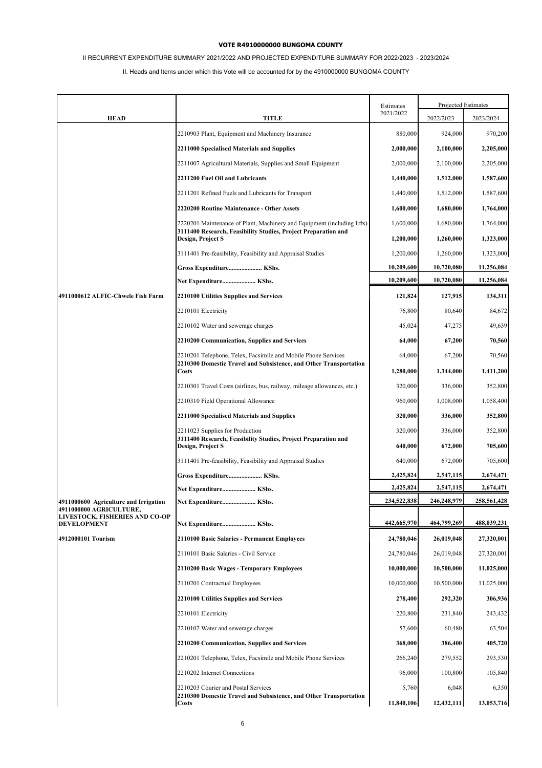# II RECURRENT EXPENDITURE SUMMARY 2021/2022 AND PROJECTED EXPENDITURE SUMMARY FOR 2022/2023 - 2023/2024

|                                                                  |                                                                                                                                                    | Estimates                | Projected Estimates      |                          |
|------------------------------------------------------------------|----------------------------------------------------------------------------------------------------------------------------------------------------|--------------------------|--------------------------|--------------------------|
| <b>HEAD</b>                                                      | <b>TITLE</b>                                                                                                                                       | 2021/2022                | 2022/2023                | 2023/2024                |
|                                                                  | 2210903 Plant, Equipment and Machinery Insurance                                                                                                   | 880,000                  | 924,000                  | 970,200                  |
|                                                                  | 2211000 Specialised Materials and Supplies                                                                                                         | 2,000,000                | 2,100,000                | 2,205,000                |
|                                                                  | 2211007 Agricultural Materials, Supplies and Small Equipment                                                                                       | 2,000,000                | 2,100,000                | 2,205,000                |
|                                                                  | 2211200 Fuel Oil and Lubricants                                                                                                                    | 1,440,000                | 1,512,000                | 1,587,600                |
|                                                                  | 2211201 Refined Fuels and Lubricants for Transport                                                                                                 | 1,440,000                | 1,512,000                | 1,587,600                |
|                                                                  | 2220200 Routine Maintenance - Other Assets                                                                                                         | 1,600,000                | 1,680,000                | 1,764,000                |
|                                                                  | 2220201 Maintenance of Plant, Machinery and Equipment (including lifts)<br>3111400 Research, Feasibility Studies, Project Preparation and          | 1,600,000                | 1,680,000                | 1,764,000                |
|                                                                  | Design, Project S                                                                                                                                  | 1,200,000                | 1,260,000                | 1,323,000                |
|                                                                  | 3111401 Pre-feasibility, Feasibility and Appraisal Studies                                                                                         | 1,200,000                | 1,260,000                | 1,323,000                |
|                                                                  | Gross Expenditure KShs.                                                                                                                            | 10,209,600<br>10,209,600 | 10,720,080<br>10,720,080 | 11,256,084<br>11,256,084 |
|                                                                  | Net Expenditure KShs.                                                                                                                              |                          |                          |                          |
| 4911000612 ALFIC-Chwele Fish Farm                                | 2210100 Utilities Supplies and Services                                                                                                            | 121,824                  | 127,915                  | 134,311                  |
|                                                                  | 2210101 Electricity                                                                                                                                | 76,800                   | 80,640                   | 84,672                   |
|                                                                  | 2210102 Water and sewerage charges                                                                                                                 | 45,024                   | 47,275                   | 49,639                   |
|                                                                  | 2210200 Communication, Supplies and Services                                                                                                       | 64,000                   | 67,200                   | 70,560                   |
|                                                                  | 2210201 Telephone, Telex, Facsimile and Mobile Phone Services<br>2210300 Domestic Travel and Subsistence, and Other Transportation<br><b>Costs</b> | 64,000                   | 67,200                   | 70,560                   |
|                                                                  |                                                                                                                                                    | 1,280,000                | 1,344,000                | 1,411,200                |
|                                                                  | 2210301 Travel Costs (airlines, bus, railway, mileage allowances, etc.)                                                                            | 320,000                  | 336,000                  | 352,800                  |
|                                                                  | 2210310 Field Operational Allowance                                                                                                                | 960,000                  | 1,008,000                | 1,058,400                |
|                                                                  | 2211000 Specialised Materials and Supplies                                                                                                         | 320,000                  | 336,000                  | 352,800                  |
|                                                                  | 2211023 Supplies for Production                                                                                                                    | 320,000                  | 336,000                  | 352,800                  |
|                                                                  | 3111400 Research, Feasibility Studies, Project Preparation and<br>Design, Project S                                                                | 640,000                  | 672,000                  | 705,600                  |
|                                                                  | 3111401 Pre-feasibility, Feasibility and Appraisal Studies                                                                                         | 640,000                  | 672,000                  | 705,600                  |
|                                                                  | Gross Expenditure KShs.                                                                                                                            | 2,425,824                | 2,547,115                | 2,674,471                |
|                                                                  | Net Expenditure KShs.                                                                                                                              | 2,425,824                | 2,547,115                | 2,674,471                |
| 4911000600 Agriculture and Irrigation<br>4911000000 AGRICULTURE, |                                                                                                                                                    | 234,522,838              | 246,248,979              | 258,561,428              |
| LIVESTOCK, FISHERIES AND CO-OP<br><b>DEVELOPMENT</b>             | Net Expenditure KShs.                                                                                                                              | 442,665,970              | 464,799,269              | 488,039,231              |
| 4912000101 Tourism                                               | 2110100 Basic Salaries - Permanent Employees                                                                                                       | 24,780,046               | 26,019,048               | 27,320,001               |
|                                                                  | 2110101 Basic Salaries - Civil Service                                                                                                             | 24,780,046               | 26,019,048               | 27,320,001               |
|                                                                  | 2110200 Basic Wages - Temporary Employees                                                                                                          | 10,000,000               | 10,500,000               | 11,025,000               |
|                                                                  | 2110201 Contractual Employees                                                                                                                      | 10,000,000               | 10,500,000               | 11,025,000               |
|                                                                  | 2210100 Utilities Supplies and Services                                                                                                            | 278,400                  | 292,320                  | 306,936                  |
|                                                                  | 2210101 Electricity                                                                                                                                | 220,800                  | 231,840                  | 243,432                  |
|                                                                  | 2210102 Water and sewerage charges                                                                                                                 | 57,600                   | 60,480                   | 63,504                   |
|                                                                  | 2210200 Communication, Supplies and Services                                                                                                       | 368,000                  | 386,400                  | 405,720                  |
|                                                                  | 2210201 Telephone, Telex, Facsimile and Mobile Phone Services                                                                                      | 266,240                  | 279,552                  | 293,530                  |
|                                                                  | 2210202 Internet Connections                                                                                                                       | 96,000                   | 100,800                  | 105,840                  |
|                                                                  | 2210203 Courier and Postal Services                                                                                                                | 5,760                    | 6,048                    | 6,350                    |
|                                                                  | 2210300 Domestic Travel and Subsistence, and Other Transportation<br><b>Costs</b>                                                                  | 11,840,106               | 12,432,111               | 13,053,716               |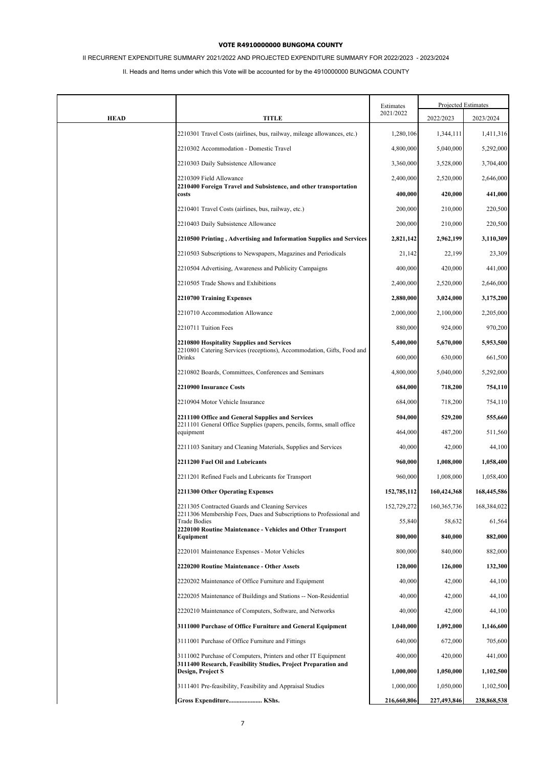# II RECURRENT EXPENDITURE SUMMARY 2021/2022 AND PROJECTED EXPENDITURE SUMMARY FOR 2022/2023 - 2023/2024

|             |                                                                                                                                  | Estimates   |               | Projected Estimates |
|-------------|----------------------------------------------------------------------------------------------------------------------------------|-------------|---------------|---------------------|
| <b>HEAD</b> | <b>TITLE</b>                                                                                                                     | 2021/2022   | 2022/2023     | 2023/2024           |
|             | 2210301 Travel Costs (airlines, bus, railway, mileage allowances, etc.)                                                          | 1,280,106   | 1,344,111     | 1,411,316           |
|             | 2210302 Accommodation - Domestic Travel                                                                                          | 4,800,000   | 5,040,000     | 5,292,000           |
|             | 2210303 Daily Subsistence Allowance                                                                                              | 3,360,000   | 3,528,000     | 3,704,400           |
|             | 2210309 Field Allowance                                                                                                          | 2,400,000   | 2,520,000     | 2,646,000           |
|             | 2210400 Foreign Travel and Subsistence, and other transportation<br>costs                                                        | 400,000     | 420,000       | 441,000             |
|             | 2210401 Travel Costs (airlines, bus, railway, etc.)                                                                              | 200,000     | 210,000       | 220,500             |
|             | 2210403 Daily Subsistence Allowance                                                                                              | 200,000     | 210,000       | 220,500             |
|             | 2210500 Printing, Advertising and Information Supplies and Services                                                              | 2,821,142   | 2,962,199     | 3,110,309           |
|             | 2210503 Subscriptions to Newspapers, Magazines and Periodicals                                                                   | 21,142      | 22,199        | 23,309              |
|             | 2210504 Advertising, Awareness and Publicity Campaigns                                                                           | 400,000     | 420,000       | 441,000             |
|             | 2210505 Trade Shows and Exhibitions                                                                                              | 2,400,000   | 2,520,000     | 2,646,000           |
|             | 2210700 Training Expenses                                                                                                        | 2,880,000   | 3,024,000     | 3,175,200           |
|             | 2210710 Accommodation Allowance                                                                                                  | 2,000,000   | 2,100,000     | 2,205,000           |
|             | 2210711 Tuition Fees                                                                                                             | 880,000     | 924,000       | 970,200             |
|             | <b>2210800 Hospitality Supplies and Services</b><br>2210801 Catering Services (receptions), Accommodation, Gifts, Food and       | 5,400,000   | 5,670,000     | 5,953,500           |
|             | Drinks                                                                                                                           | 600,000     | 630,000       | 661,500             |
|             | 2210802 Boards, Committees, Conferences and Seminars                                                                             | 4,800,000   | 5,040,000     | 5,292,000           |
|             | 2210900 Insurance Costs                                                                                                          | 684,000     | 718,200       | 754,110             |
|             | 2210904 Motor Vehicle Insurance                                                                                                  | 684,000     | 718,200       | 754,110             |
|             | 2211100 Office and General Supplies and Services<br>2211101 General Office Supplies (papers, pencils, forms, small office        | 504,000     | 529,200       | 555,660             |
|             | equipment                                                                                                                        | 464,000     | 487,200       | 511,560             |
|             | 2211103 Sanitary and Cleaning Materials, Supplies and Services                                                                   | 40,000      | 42,000        | 44,100              |
|             | 2211200 Fuel Oil and Lubricants                                                                                                  | 960,000     | 1,008,000     | 1,058,400           |
|             | 2211201 Refined Fuels and Lubricants for Transport                                                                               | 960,000     | 1,008,000     | 1,058,400           |
|             | 2211300 Other Operating Expenses                                                                                                 | 152,785,112 | 160,424,368   | 168,445,586         |
|             | 2211305 Contracted Guards and Cleaning Services<br>2211306 Membership Fees, Dues and Subscriptions to Professional and           | 152,729,272 | 160, 365, 736 | 168,384,022         |
|             | <b>Trade Bodies</b><br>2220100 Routine Maintenance - Vehicles and Other Transport                                                | 55,840      | 58,632        | 61,564              |
|             | Equipment                                                                                                                        | 800,000     | 840,000       | 882,000             |
|             | 2220101 Maintenance Expenses - Motor Vehicles                                                                                    | 800,000     | 840,000       | 882,000             |
|             | 2220200 Routine Maintenance - Other Assets                                                                                       | 120,000     | 126,000       | 132,300             |
|             | 2220202 Maintenance of Office Furniture and Equipment                                                                            | 40,000      | 42,000        | 44,100              |
|             | 2220205 Maintenance of Buildings and Stations -- Non-Residential                                                                 | 40,000      | 42,000        | 44,100              |
|             | 2220210 Maintenance of Computers, Software, and Networks                                                                         | 40,000      | 42,000        | 44,100              |
|             | 3111000 Purchase of Office Furniture and General Equipment                                                                       | 1,040,000   | 1,092,000     | 1,146,600           |
|             | 3111001 Purchase of Office Furniture and Fittings                                                                                | 640,000     | 672,000       | 705,600             |
|             | 3111002 Purchase of Computers, Printers and other IT Equipment<br>3111400 Research, Feasibility Studies, Project Preparation and | 400,000     | 420,000       | 441,000             |
|             | Design, Project S                                                                                                                | 1,000,000   | 1,050,000     | 1,102,500           |
|             | 3111401 Pre-feasibility, Feasibility and Appraisal Studies                                                                       | 1,000,000   | 1,050,000     | 1,102,500           |
|             | Gross Expenditure KShs.                                                                                                          | 216,660,806 | 227,493,846   | 238,868,538         |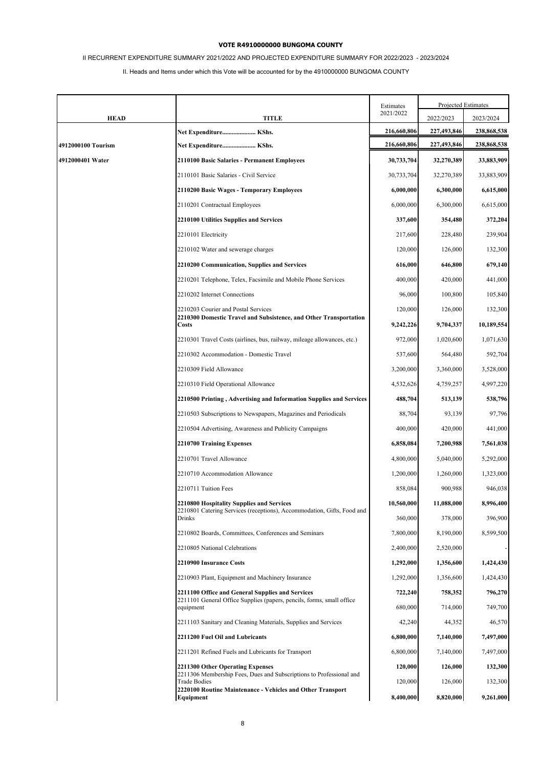# II RECURRENT EXPENDITURE SUMMARY 2021/2022 AND PROJECTED EXPENDITURE SUMMARY FOR 2022/2023 - 2023/2024

|                    |                                                                                                                           | Estimates   | Projected Estimates |             |
|--------------------|---------------------------------------------------------------------------------------------------------------------------|-------------|---------------------|-------------|
| <b>HEAD</b>        | <b>TITLE</b>                                                                                                              | 2021/2022   | 2022/2023           | 2023/2024   |
|                    | Net Expenditure KShs.                                                                                                     | 216,660,806 | 227,493,846         | 238,868,538 |
| 4912000100 Tourism | Net Expenditure KShs.                                                                                                     | 216,660,806 | 227,493,846         | 238,868,538 |
| 4912000401 Water   | 2110100 Basic Salaries - Permanent Employees                                                                              | 30,733,704  | 32,270,389          | 33,883,909  |
|                    | 2110101 Basic Salaries - Civil Service                                                                                    | 30,733,704  | 32,270,389          | 33,883,909  |
|                    | 2110200 Basic Wages - Temporary Employees                                                                                 | 6,000,000   | 6,300,000           | 6,615,000   |
|                    | 2110201 Contractual Employees                                                                                             | 6,000,000   | 6,300,000           | 6,615,000   |
|                    | 2210100 Utilities Supplies and Services                                                                                   | 337,600     | 354,480             | 372,204     |
|                    | 2210101 Electricity                                                                                                       | 217,600     | 228,480             | 239,904     |
|                    | 2210102 Water and sewerage charges                                                                                        | 120,000     | 126,000             | 132,300     |
|                    | 2210200 Communication, Supplies and Services                                                                              | 616,000     | 646,800             | 679,140     |
|                    | 2210201 Telephone, Telex, Facsimile and Mobile Phone Services                                                             | 400,000     | 420,000             | 441,000     |
|                    | 2210202 Internet Connections                                                                                              | 96,000      | 100,800             | 105,840     |
|                    | 2210203 Courier and Postal Services                                                                                       | 120,000     | 126,000             | 132,300     |
|                    | 2210300 Domestic Travel and Subsistence, and Other Transportation<br>Costs                                                | 9,242,226   | 9,704,337           | 10,189,554  |
|                    | 2210301 Travel Costs (airlines, bus, railway, mileage allowances, etc.)                                                   | 972,000     | 1,020,600           | 1,071,630   |
|                    | 2210302 Accommodation - Domestic Travel                                                                                   | 537,600     | 564,480             | 592,704     |
|                    | 2210309 Field Allowance                                                                                                   | 3,200,000   | 3,360,000           | 3,528,000   |
|                    | 2210310 Field Operational Allowance                                                                                       | 4,532,626   | 4,759,257           | 4,997,220   |
|                    | 2210500 Printing, Advertising and Information Supplies and Services                                                       | 488,704     | 513,139             | 538,796     |
|                    | 2210503 Subscriptions to Newspapers, Magazines and Periodicals                                                            | 88,704      | 93,139              | 97,796      |
|                    | 2210504 Advertising, Awareness and Publicity Campaigns                                                                    | 400,000     | 420,000             | 441,000     |
|                    | 2210700 Training Expenses                                                                                                 | 6,858,084   | 7,200,988           | 7,561,038   |
|                    | 2210701 Travel Allowance                                                                                                  | 4,800,000   | 5,040,000           | 5,292,000   |
|                    | 2210710 Accommodation Allowance                                                                                           | 1,200,000   | 1,260,000           | 1,323,000   |
|                    | 2210711 Tuition Fees                                                                                                      | 858,084     | 900,988             | 946,038     |
|                    | 2210800 Hospitality Supplies and Services<br>2210801 Catering Services (receptions), Accommodation, Gifts, Food and       | 10,560,000  | 11,088,000          | 8,996,400   |
|                    | Drinks                                                                                                                    | 360,000     | 378,000             | 396,900     |
|                    | 2210802 Boards, Committees, Conferences and Seminars                                                                      | 7,800,000   | 8,190,000           | 8,599,500   |
|                    | 2210805 National Celebrations                                                                                             | 2,400,000   | 2,520,000           |             |
|                    | 2210900 Insurance Costs                                                                                                   | 1,292,000   | 1,356,600           | 1,424,430   |
|                    | 2210903 Plant, Equipment and Machinery Insurance                                                                          | 1,292,000   | 1,356,600           | 1,424,430   |
|                    | 2211100 Office and General Supplies and Services<br>2211101 General Office Supplies (papers, pencils, forms, small office | 722,240     | 758,352             | 796,270     |
|                    | equipment                                                                                                                 | 680,000     | 714,000             | 749,700     |
|                    | 2211103 Sanitary and Cleaning Materials, Supplies and Services                                                            | 42,240      | 44,352              | 46,570      |
|                    | 2211200 Fuel Oil and Lubricants                                                                                           | 6,800,000   | 7,140,000           | 7,497,000   |
|                    | 2211201 Refined Fuels and Lubricants for Transport                                                                        | 6,800,000   | 7,140,000           | 7,497,000   |
|                    | 2211300 Other Operating Expenses<br>2211306 Membership Fees, Dues and Subscriptions to Professional and                   | 120,000     | 126,000             | 132,300     |
|                    | <b>Trade Bodies</b><br>2220100 Routine Maintenance - Vehicles and Other Transport                                         | 120,000     | 126,000             | 132,300     |
|                    | Equipment                                                                                                                 | 8,400,000   | 8,820,000           | 9,261,000   |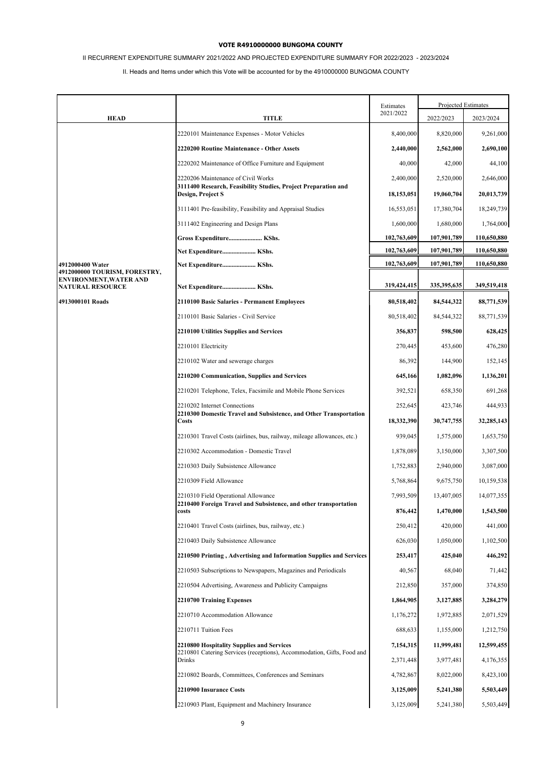# II RECURRENT EXPENDITURE SUMMARY 2021/2022 AND PROJECTED EXPENDITURE SUMMARY FOR 2022/2023 - 2023/2024

|                                                   |                                                                                                                     | Estimates    | Projected Estimates |             |
|---------------------------------------------------|---------------------------------------------------------------------------------------------------------------------|--------------|---------------------|-------------|
| <b>HEAD</b>                                       | TITLE                                                                                                               | 2021/2022    | 2022/2023           | 2023/2024   |
|                                                   | 2220101 Maintenance Expenses - Motor Vehicles                                                                       | 8,400,000    | 8,820,000           | 9,261,000   |
|                                                   | 2220200 Routine Maintenance - Other Assets                                                                          | 2,440,000    | 2,562,000           | 2,690,100   |
|                                                   | 2220202 Maintenance of Office Furniture and Equipment                                                               | 40,000       | 42,000              | 44,100      |
|                                                   | 2220206 Maintenance of Civil Works                                                                                  | 2,400,000    | 2,520,000           | 2,646,000   |
|                                                   | 3111400 Research, Feasibility Studies, Project Preparation and<br>Design, Project S                                 | 18, 153, 051 | 19,060,704          | 20,013,739  |
|                                                   | 3111401 Pre-feasibility, Feasibility and Appraisal Studies                                                          | 16,553,051   | 17,380,704          | 18,249,739  |
|                                                   | 3111402 Engineering and Design Plans                                                                                | 1,600,000    | 1,680,000           | 1,764,000   |
|                                                   | Gross Expenditure KShs.                                                                                             | 102,763,609  | 107,901,789         | 110,650,880 |
|                                                   | Net Expenditure KShs.                                                                                               | 102,763,609  | 107,901,789         | 110,650,880 |
| 4912000400 Water<br>4912000000 TOURISM, FORESTRY, | Net Expenditure KShs.                                                                                               | 102,763,609  | 107,901,789         | 110,650,880 |
| ENVIRONMENT,WATER AND<br><b>NATURAL RESOURCE</b>  | Net Expenditure KShs.                                                                                               | 319,424,415  | 335,395,635         | 349,519,418 |
| 4913000101 Roads                                  | 2110100 Basic Salaries - Permanent Employees                                                                        | 80,518,402   | 84,544,322          | 88,771,539  |
|                                                   | 2110101 Basic Salaries - Civil Service                                                                              | 80,518,402   | 84,544,322          | 88,771,539  |
|                                                   | <b>2210100 Utilities Supplies and Services</b>                                                                      | 356,837      | 598,500             | 628,425     |
|                                                   | 2210101 Electricity                                                                                                 | 270,445      | 453,600             | 476,280     |
|                                                   | 2210102 Water and sewerage charges                                                                                  | 86,392       | 144,900             | 152,145     |
|                                                   | <b>2210200 Communication, Supplies and Services</b>                                                                 | 645,166      | 1,082,096           | 1,136,201   |
|                                                   | 2210201 Telephone, Telex, Facsimile and Mobile Phone Services                                                       | 392,521      | 658,350             | 691,268     |
|                                                   | 2210202 Internet Connections                                                                                        | 252,645      | 423,746             | 444,933     |
|                                                   | 2210300 Domestic Travel and Subsistence, and Other Transportation<br>Costs                                          | 18,332,390   | 30,747,755          | 32,285,143  |
|                                                   | 2210301 Travel Costs (airlines, bus, railway, mileage allowances, etc.)                                             | 939,045      | 1,575,000           | 1,653,750   |
|                                                   | 2210302 Accommodation - Domestic Travel                                                                             | 1,878,089    | 3,150,000           | 3,307,500   |
|                                                   | 2210303 Daily Subsistence Allowance                                                                                 | 1,752,883    | 2,940,000           | 3,087,000   |
|                                                   | 2210309 Field Allowance                                                                                             | 5,768,864    | 9,675,750           | 10,159,538  |
|                                                   | 2210310 Field Operational Allowance                                                                                 | 7,993,509    | 13,407,005          | 14,077,355  |
|                                                   | 2210400 Foreign Travel and Subsistence, and other transportation<br>costs                                           | 876,442      | 1,470,000           | 1,543,500   |
|                                                   | 2210401 Travel Costs (airlines, bus, railway, etc.)                                                                 | 250,412      | 420,000             | 441,000     |
|                                                   | 2210403 Daily Subsistence Allowance                                                                                 | 626,030      | 1,050,000           | 1,102,500   |
|                                                   | 2210500 Printing, Advertising and Information Supplies and Services                                                 | 253,417      | 425,040             | 446,292     |
|                                                   | 2210503 Subscriptions to Newspapers, Magazines and Periodicals                                                      | 40,567       | 68,040              | 71,442      |
|                                                   | 2210504 Advertising, Awareness and Publicity Campaigns                                                              | 212,850      | 357,000             | 374,850     |
|                                                   | 2210700 Training Expenses                                                                                           | 1,864,905    | 3,127,885           | 3,284,279   |
|                                                   | 2210710 Accommodation Allowance                                                                                     | 1,176,272    | 1,972,885           | 2,071,529   |
|                                                   | 2210711 Tuition Fees                                                                                                | 688,633      | 1,155,000           | 1,212,750   |
|                                                   | 2210800 Hospitality Supplies and Services<br>2210801 Catering Services (receptions), Accommodation, Gifts, Food and | 7,154,315    | 11,999,481          | 12,599,455  |
|                                                   | Drinks                                                                                                              | 2,371,448    | 3,977,481           | 4,176,355   |
|                                                   | 2210802 Boards, Committees, Conferences and Seminars                                                                | 4,782,867    | 8,022,000           | 8,423,100   |
|                                                   | 2210900 Insurance Costs                                                                                             | 3,125,009    | 5,241,380           | 5,503,449   |
|                                                   | 2210903 Plant, Equipment and Machinery Insurance                                                                    | 3,125,009    | 5,241,380           | 5,503,449   |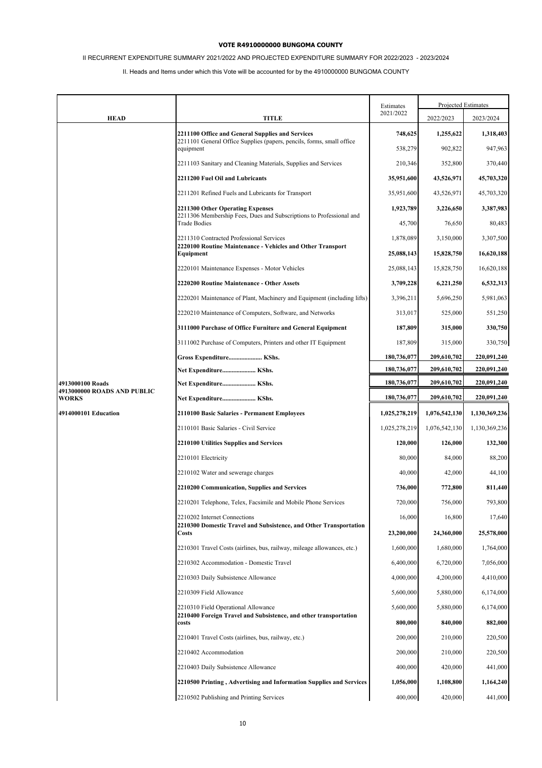# II RECURRENT EXPENDITURE SUMMARY 2021/2022 AND PROJECTED EXPENDITURE SUMMARY FOR 2022/2023 - 2023/2024

|                                                 |                                                                                            | Estimates     |               | Projected Estimates |
|-------------------------------------------------|--------------------------------------------------------------------------------------------|---------------|---------------|---------------------|
| <b>HEAD</b>                                     | <b>TITLE</b>                                                                               | 2021/2022     | 2022/2023     | 2023/2024           |
|                                                 | 2211100 Office and General Supplies and Services                                           | 748,625       | 1,255,622     | 1,318,403           |
|                                                 | 2211101 General Office Supplies (papers, pencils, forms, small office<br>equipment         | 538,279       | 902,822       | 947,963             |
|                                                 | 2211103 Sanitary and Cleaning Materials, Supplies and Services                             | 210,346       | 352,800       | 370,440             |
|                                                 | 2211200 Fuel Oil and Lubricants                                                            | 35,951,600    | 43,526,971    | 45,703,320          |
|                                                 | 2211201 Refined Fuels and Lubricants for Transport                                         | 35,951,600    | 43,526,971    | 45,703,320          |
|                                                 | 2211300 Other Operating Expenses                                                           | 1,923,789     | 3,226,650     | 3,387,983           |
|                                                 | 2211306 Membership Fees, Dues and Subscriptions to Professional and<br><b>Trade Bodies</b> | 45,700        | 76,650        | 80,483              |
|                                                 | 2211310 Contracted Professional Services                                                   | 1,878,089     | 3,150,000     | 3,307,500           |
|                                                 | 2220100 Routine Maintenance - Vehicles and Other Transport<br>Equipment                    | 25,088,143    | 15,828,750    | 16,620,188          |
|                                                 | 2220101 Maintenance Expenses - Motor Vehicles                                              | 25,088,143    | 15,828,750    | 16,620,188          |
|                                                 | 2220200 Routine Maintenance - Other Assets                                                 | 3,709,228     | 6,221,250     | 6,532,313           |
|                                                 | 2220201 Maintenance of Plant, Machinery and Equipment (including lifts)                    | 3,396,211     | 5,696,250     | 5,981,063           |
|                                                 | 2220210 Maintenance of Computers, Software, and Networks                                   | 313,017       | 525,000       | 551,250             |
|                                                 | 3111000 Purchase of Office Furniture and General Equipment                                 | 187,809       | 315,000       | 330,750             |
|                                                 | 3111002 Purchase of Computers, Printers and other IT Equipment                             | 187,809       | 315,000       | 330,750             |
|                                                 | Gross Expenditure KShs.                                                                    | 180,736,077   | 209,610,702   | 220,091,240         |
|                                                 | Net Expenditure KShs.                                                                      | 180,736,077   | 209,610,702   | 220,091,240         |
| 4913000100 Roads<br>4913000000 ROADS AND PUBLIC | Net Expenditure KShs.                                                                      | 180,736,077   | 209,610,702   | 220,091,240         |
| <b>WORKS</b>                                    | Net Expenditure KShs.                                                                      | 180,736,077   | 209,610,702   | 220,091,240         |
| 4914000101 Education                            | 2110100 Basic Salaries - Permanent Employees                                               | 1,025,278,219 | 1,076,542,130 | 1,130,369,236       |
|                                                 | 2110101 Basic Salaries - Civil Service                                                     | 1,025,278,219 | 1,076,542,130 | 1,130,369,236       |
|                                                 | <b>2210100 Utilities Supplies and Services</b>                                             | 120,000       | 126,000       | 132,300             |
|                                                 | 2210101 Electricity                                                                        | 80,000        | 84,000        | 88,200              |
|                                                 | 2210102 Water and sewerage charges                                                         | 40,000        | 42,000        | 44,100              |
|                                                 | <b>2210200 Communication, Supplies and Services</b>                                        | 736,000       | 772,800       | 811,440             |
|                                                 | 2210201 Telephone, Telex, Facsimile and Mobile Phone Services                              | 720,000       | 756,000       | 793.800             |
|                                                 | 2210202 Internet Connections                                                               | 16,000        | 16,800        | 17,640              |
|                                                 | 2210300 Domestic Travel and Subsistence, and Other Transportation<br>Costs                 | 23,200,000    | 24,360,000    | 25,578,000          |
|                                                 | 2210301 Travel Costs (airlines, bus, railway, mileage allowances, etc.)                    | 1,600,000     | 1,680,000     | 1,764,000           |
|                                                 | 2210302 Accommodation - Domestic Travel                                                    | 6,400,000     | 6,720,000     | 7,056,000           |
|                                                 | 2210303 Daily Subsistence Allowance                                                        | 4,000,000     | 4,200,000     | 4,410,000           |
|                                                 | 2210309 Field Allowance                                                                    | 5,600,000     | 5,880,000     | 6,174,000           |
|                                                 | 2210310 Field Operational Allowance                                                        | 5,600,000     | 5,880,000     | 6,174,000           |
|                                                 | 2210400 Foreign Travel and Subsistence, and other transportation<br>costs                  | 800,000       | 840,000       | 882,000             |
|                                                 | 2210401 Travel Costs (airlines, bus, railway, etc.)                                        | 200,000       | 210,000       | 220,500             |
|                                                 | 2210402 Accommodation                                                                      | 200,000       | 210,000       | 220,500             |
|                                                 | 2210403 Daily Subsistence Allowance                                                        | 400,000       | 420,000       | 441,000             |
|                                                 | 2210500 Printing, Advertising and Information Supplies and Services                        | 1,056,000     | 1,108,800     | 1,164,240           |
|                                                 | 2210502 Publishing and Printing Services                                                   | 400,000       | 420,000       | 441,000             |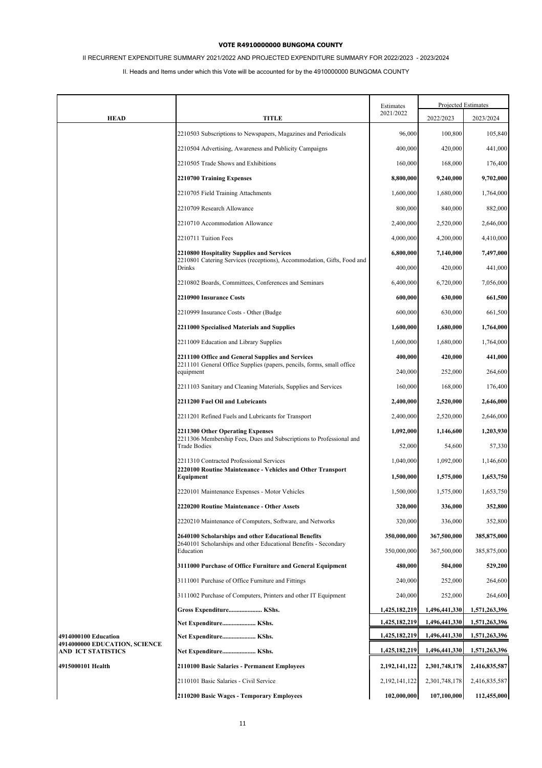# II RECURRENT EXPENDITURE SUMMARY 2021/2022 AND PROJECTED EXPENDITURE SUMMARY FOR 2022/2023 - 2023/2024

|                                                       |                                                                                                                           | Estimates        | Projected Estimates |               |
|-------------------------------------------------------|---------------------------------------------------------------------------------------------------------------------------|------------------|---------------------|---------------|
| <b>HEAD</b>                                           | <b>TITLE</b>                                                                                                              | 2021/2022        | 2022/2023           | 2023/2024     |
|                                                       | 2210503 Subscriptions to Newspapers, Magazines and Periodicals                                                            | 96,000           | 100,800             | 105,840       |
|                                                       | 2210504 Advertising, Awareness and Publicity Campaigns                                                                    | 400,000          | 420,000             | 441,000       |
|                                                       | 2210505 Trade Shows and Exhibitions                                                                                       | 160,000          | 168,000             | 176,400       |
|                                                       | 2210700 Training Expenses                                                                                                 | 8,800,000        | 9,240,000           | 9,702,000     |
|                                                       | 2210705 Field Training Attachments                                                                                        | 1,600,000        | 1,680,000           | 1,764,000     |
|                                                       | 2210709 Research Allowance                                                                                                | 800,000          | 840,000             | 882,000       |
|                                                       | 2210710 Accommodation Allowance                                                                                           | 2,400,000        | 2,520,000           | 2,646,000     |
|                                                       | 2210711 Tuition Fees                                                                                                      | 4,000,000        | 4,200,000           | 4,410,000     |
|                                                       | 2210800 Hospitality Supplies and Services                                                                                 | 6,800,000        | 7,140,000           | 7,497,000     |
|                                                       | 2210801 Catering Services (receptions), Accommodation, Gifts, Food and<br><b>Drinks</b>                                   | 400,000          | 420,000             | 441,000       |
|                                                       | 2210802 Boards, Committees, Conferences and Seminars                                                                      | 6,400,000        | 6.720.000           | 7,056,000     |
|                                                       | 2210900 Insurance Costs                                                                                                   | 600,000          | 630,000             | 661,500       |
|                                                       | 2210999 Insurance Costs - Other (Budge                                                                                    | 600,000          | 630,000             | 661,500       |
|                                                       | 2211000 Specialised Materials and Supplies                                                                                | 1,600,000        | 1,680,000           | 1,764,000     |
|                                                       | 2211009 Education and Library Supplies                                                                                    | 1,600,000        | 1,680,000           | 1,764,000     |
|                                                       | 2211100 Office and General Supplies and Services<br>2211101 General Office Supplies (papers, pencils, forms, small office | 400,000          | 420,000             | 441,000       |
|                                                       | equipment                                                                                                                 | 240,000          | 252,000             | 264,600       |
|                                                       | 2211103 Sanitary and Cleaning Materials, Supplies and Services                                                            | 160,000          | 168,000             | 176,400       |
|                                                       | 2211200 Fuel Oil and Lubricants                                                                                           | 2,400,000        | 2,520,000           | 2,646,000     |
|                                                       | 2211201 Refined Fuels and Lubricants for Transport                                                                        | 2,400,000        | 2,520,000           | 2,646,000     |
|                                                       | 2211300 Other Operating Expenses                                                                                          | 1,092,000        | 1,146,600           | 1,203,930     |
|                                                       | 2211306 Membership Fees, Dues and Subscriptions to Professional and<br><b>Trade Bodies</b>                                | 52,000           | 54,600              | 57,330        |
|                                                       | 2211310 Contracted Professional Services                                                                                  | 1,040,000        | 1,092,000           | 1,146,600     |
|                                                       | 2220100 Routine Maintenance - Vehicles and Other Transport<br>Equipment                                                   | 1,500,000        | 1,575,000           | 1,653,750     |
|                                                       | 2220101 Maintenance Expenses - Motor Vehicles                                                                             | 1,500,000        | 1,575,000           | 1,653,750     |
|                                                       | 2220200 Routine Maintenance - Other Assets                                                                                | 320,000          | 336,000             | 352,800       |
|                                                       | 2220210 Maintenance of Computers, Software, and Networks                                                                  | 320,000          | 336,000             | 352,800       |
|                                                       | 2640100 Scholarships and other Educational Benefits                                                                       | 350,000,000      | 367,500,000         | 385,875,000   |
|                                                       | 2640101 Scholarships and other Educational Benefits - Secondary<br>Education                                              | 350,000,000      | 367,500,000         | 385,875,000   |
|                                                       | 3111000 Purchase of Office Furniture and General Equipment                                                                | 480,000          | 504,000             | 529,200       |
|                                                       | 3111001 Purchase of Office Furniture and Fittings                                                                         | 240,000          | 252,000             | 264,600       |
|                                                       | 3111002 Purchase of Computers, Printers and other IT Equipment                                                            | 240,000          | 252,000             | 264,600       |
|                                                       | Gross Expenditure KShs.                                                                                                   | 1,425,182,219    | 1,496,441,330       | 1,571,263,396 |
|                                                       | Net Expenditure KShs.                                                                                                     | 1,425,182,219    | 1,496,441,330       | 1,571,263,396 |
| 4914000100 Education<br>4914000000 EDUCATION, SCIENCE | Net Expenditure KShs.                                                                                                     | 1,425,182,219    | 1,496,441,330       | 1,571,263,396 |
| AND ICT STATISTICS                                    | Net Expenditure KShs.                                                                                                     | 1,425,182,219    | 1,496,441,330       | 1,571,263,396 |
| 4915000101 Health                                     | 2110100 Basic Salaries - Permanent Employees                                                                              | 2, 192, 141, 122 | 2,301,748,178       | 2,416,835,587 |
|                                                       | 2110101 Basic Salaries - Civil Service                                                                                    | 2,192,141,122    | 2,301,748,178       | 2,416,835,587 |
|                                                       | 2110200 Basic Wages - Temporary Employees                                                                                 | 102,000,000      | 107,100,000         | 112,455,000   |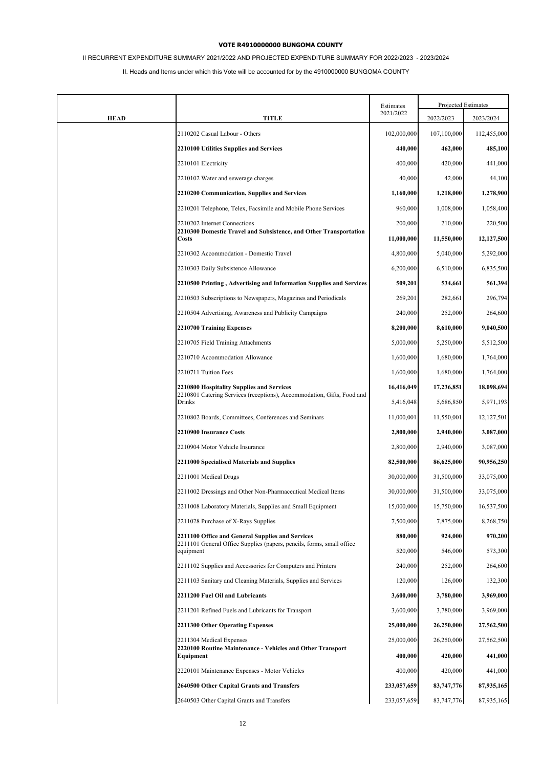# II RECURRENT EXPENDITURE SUMMARY 2021/2022 AND PROJECTED EXPENDITURE SUMMARY FOR 2022/2023 - 2023/2024

|             |                                                                                                   | Estimates   |             | Projected Estimates |
|-------------|---------------------------------------------------------------------------------------------------|-------------|-------------|---------------------|
| <b>HEAD</b> | TITLE                                                                                             | 2021/2022   | 2022/2023   | 2023/2024           |
|             | 2110202 Casual Labour - Others                                                                    | 102,000,000 | 107,100,000 | 112,455,000         |
|             | 2210100 Utilities Supplies and Services                                                           | 440,000     | 462,000     | 485,100             |
|             | 2210101 Electricity                                                                               | 400,000     | 420,000     | 441,000             |
|             | 2210102 Water and sewerage charges                                                                | 40,000      | 42,000      | 44,100              |
|             | 2210200 Communication, Supplies and Services                                                      | 1,160,000   | 1,218,000   | 1,278,900           |
|             | 2210201 Telephone, Telex, Facsimile and Mobile Phone Services                                     | 960,000     | 1,008,000   | 1,058,400           |
|             | 2210202 Internet Connections<br>2210300 Domestic Travel and Subsistence, and Other Transportation | 200,000     | 210,000     | 220,500             |
|             | Costs                                                                                             | 11,000,000  | 11,550,000  | 12,127,500          |
|             | 2210302 Accommodation - Domestic Travel                                                           | 4,800,000   | 5,040,000   | 5,292,000           |
|             | 2210303 Daily Subsistence Allowance                                                               | 6,200,000   | 6,510,000   | 6,835,500           |
|             | 2210500 Printing, Advertising and Information Supplies and Services                               | 509,201     | 534,661     | 561,394             |
|             | 2210503 Subscriptions to Newspapers, Magazines and Periodicals                                    | 269,201     | 282,661     | 296,794             |
|             | 2210504 Advertising, Awareness and Publicity Campaigns                                            | 240,000     | 252,000     | 264,600             |
|             | 2210700 Training Expenses                                                                         | 8,200,000   | 8,610,000   | 9,040,500           |
|             | 2210705 Field Training Attachments                                                                | 5,000,000   | 5,250,000   | 5,512,500           |
|             | 2210710 Accommodation Allowance                                                                   | 1,600,000   | 1,680,000   | 1,764,000           |
|             | 2210711 Tuition Fees                                                                              | 1,600,000   | 1,680,000   | 1,764,000           |
|             | 2210800 Hospitality Supplies and Services                                                         | 16,416,049  | 17,236,851  | 18,098,694          |
|             | 2210801 Catering Services (receptions), Accommodation, Gifts, Food and<br>Drinks                  | 5,416,048   | 5,686,850   | 5,971,193           |
|             | 2210802 Boards, Committees, Conferences and Seminars                                              | 11,000,001  | 11,550,001  | 12, 127, 501        |
|             | 2210900 Insurance Costs                                                                           | 2,800,000   | 2,940,000   | 3,087,000           |
|             | 2210904 Motor Vehicle Insurance                                                                   | 2,800,000   | 2,940,000   | 3,087,000           |
|             | 2211000 Specialised Materials and Supplies                                                        | 82,500,000  | 86,625,000  | 90,956,250          |
|             | 2211001 Medical Drugs                                                                             | 30,000,000  | 31,500,000  | 33,075,000          |
|             | 2211002 Dressings and Other Non-Pharmaceutical Medical Items                                      | 30,000,000  | 31,500,000  | 33,075,000          |
|             | 2211008 Laboratory Materials, Supplies and Small Equipment                                        | 15,000,000  | 15,750,000  | 16,537,500          |
|             | 2211028 Purchase of X-Rays Supplies                                                               | 7,500,000   | 7,875,000   | 8,268,750           |
|             | 2211100 Office and General Supplies and Services                                                  | 880,000     | 924,000     | 970,200             |
|             | 2211101 General Office Supplies (papers, pencils, forms, small office<br>equipment                | 520,000     | 546,000     | 573,300             |
|             | 2211102 Supplies and Accessories for Computers and Printers                                       | 240,000     | 252,000     | 264,600             |
|             | 2211103 Sanitary and Cleaning Materials, Supplies and Services                                    | 120,000     | 126,000     | 132,300             |
|             | 2211200 Fuel Oil and Lubricants                                                                   | 3,600,000   | 3,780,000   | 3,969,000           |
|             | 2211201 Refined Fuels and Lubricants for Transport                                                | 3,600,000   | 3,780,000   | 3,969,000           |
|             | 2211300 Other Operating Expenses                                                                  | 25,000,000  | 26,250,000  | 27,562,500          |
|             | 2211304 Medical Expenses                                                                          | 25,000,000  | 26,250,000  | 27,562,500          |
|             | 2220100 Routine Maintenance - Vehicles and Other Transport<br>Equipment                           | 400,000     | 420,000     | 441,000             |
|             | 2220101 Maintenance Expenses - Motor Vehicles                                                     | 400,000     | 420,000     | 441,000             |
|             | 2640500 Other Capital Grants and Transfers                                                        | 233,057,659 | 83,747,776  | 87,935,165          |
|             | 2640503 Other Capital Grants and Transfers                                                        | 233,057,659 | 83,747,776  | 87,935,165          |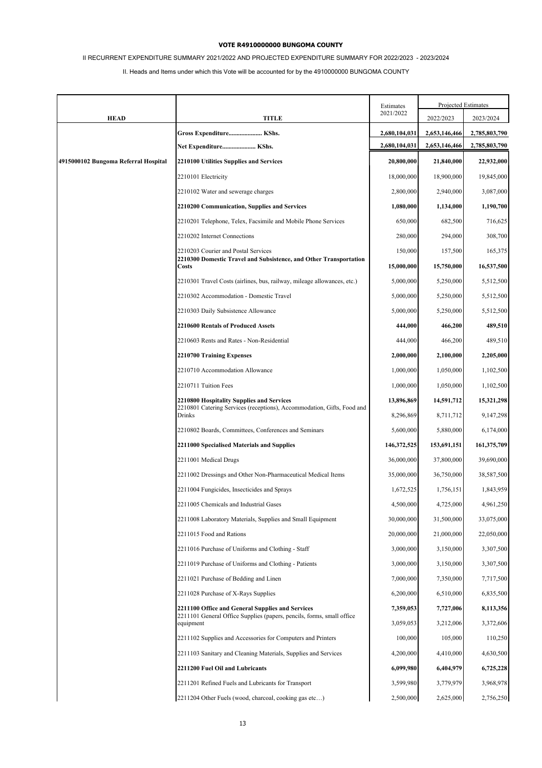# II RECURRENT EXPENDITURE SUMMARY 2021/2022 AND PROJECTED EXPENDITURE SUMMARY FOR 2022/2023 - 2023/2024

|                                      |                                                                                                                           | Estimates     | Projected Estimates |               |
|--------------------------------------|---------------------------------------------------------------------------------------------------------------------------|---------------|---------------------|---------------|
| <b>HEAD</b>                          | TITLE                                                                                                                     | 2021/2022     | 2022/2023           | 2023/2024     |
|                                      | Gross Expenditure KShs.                                                                                                   | 2,680,104,031 | 2,653,146,466       | 2,785,803,790 |
|                                      | Net Expenditure KShs.                                                                                                     | 2,680,104,031 | 2,653,146,466       | 2,785,803,790 |
| 4915000102 Bungoma Referral Hospital | 2210100 Utilities Supplies and Services                                                                                   | 20,800,000    | 21,840,000          | 22,932,000    |
|                                      | 2210101 Electricity                                                                                                       | 18,000,000    | 18,900,000          | 19,845,000    |
|                                      | 2210102 Water and sewerage charges                                                                                        | 2,800,000     | 2,940,000           | 3,087,000     |
|                                      | 2210200 Communication, Supplies and Services                                                                              | 1,080,000     | 1,134,000           | 1,190,700     |
|                                      | 2210201 Telephone, Telex, Facsimile and Mobile Phone Services                                                             | 650,000       | 682,500             | 716,625       |
|                                      | 2210202 Internet Connections                                                                                              | 280,000       | 294,000             | 308,700       |
|                                      | 2210203 Courier and Postal Services                                                                                       | 150,000       | 157,500             | 165,375       |
|                                      | 2210300 Domestic Travel and Subsistence, and Other Transportation<br><b>Costs</b>                                         | 15,000,000    | 15,750,000          | 16,537,500    |
|                                      | 2210301 Travel Costs (airlines, bus, railway, mileage allowances, etc.)                                                   | 5,000,000     | 5,250,000           | 5,512,500     |
|                                      | 2210302 Accommodation - Domestic Travel                                                                                   | 5,000,000     | 5,250,000           | 5,512,500     |
|                                      | 2210303 Daily Subsistence Allowance                                                                                       | 5,000,000     | 5,250,000           | 5,512,500     |
|                                      | 2210600 Rentals of Produced Assets                                                                                        | 444,000       | 466,200             | 489,510       |
|                                      | 2210603 Rents and Rates - Non-Residential                                                                                 | 444,000       | 466,200             | 489,510       |
|                                      | 2210700 Training Expenses                                                                                                 | 2,000,000     | 2,100,000           | 2,205,000     |
|                                      | 2210710 Accommodation Allowance                                                                                           | 1,000,000     | 1,050,000           | 1,102,500     |
|                                      | 2210711 Tuition Fees                                                                                                      | 1,000,000     | 1,050,000           | 1,102,500     |
|                                      | 2210800 Hospitality Supplies and Services<br>2210801 Catering Services (receptions), Accommodation, Gifts, Food and       | 13,896,869    | 14,591,712          | 15,321,298    |
|                                      | Drinks                                                                                                                    | 8,296,869     | 8,711,712           | 9,147,298     |
|                                      | 2210802 Boards, Committees, Conferences and Seminars                                                                      | 5,600,000     | 5,880,000           | 6,174,000     |
|                                      | 2211000 Specialised Materials and Supplies                                                                                | 146, 372, 525 | 153,691,151         | 161,375,709   |
|                                      | 2211001 Medical Drugs                                                                                                     | 36,000,000    | 37,800,000          | 39,690,000    |
|                                      | 2211002 Dressings and Other Non-Pharmaceutical Medical Items                                                              | 35,000,000    | 36,750,000          | 38,587,500    |
|                                      | 2211004 Fungicides, Insecticides and Sprays                                                                               | 1,672,525     | 1,756,151           | 1,843,959     |
|                                      | 2211005 Chemicals and Industrial Gases                                                                                    | 4,500,000     | 4,725,000           | 4,961,250     |
|                                      | 2211008 Laboratory Materials, Supplies and Small Equipment                                                                | 30,000,000    | 31,500,000          | 33,075,000    |
|                                      | 2211015 Food and Rations                                                                                                  | 20,000,000    | 21,000,000          | 22,050,000    |
|                                      | 2211016 Purchase of Uniforms and Clothing - Staff                                                                         | 3,000,000     | 3,150,000           | 3,307,500     |
|                                      | 2211019 Purchase of Uniforms and Clothing - Patients                                                                      | 3,000,000     | 3,150,000           | 3,307,500     |
|                                      | 2211021 Purchase of Bedding and Linen                                                                                     | 7,000,000     | 7,350,000           | 7,717,500     |
|                                      | 2211028 Purchase of X-Rays Supplies                                                                                       | 6,200,000     | 6,510,000           | 6,835,500     |
|                                      | 2211100 Office and General Supplies and Services<br>2211101 General Office Supplies (papers, pencils, forms, small office | 7,359,053     | 7,727,006           | 8,113,356     |
|                                      | equipment                                                                                                                 | 3,059,053     | 3,212,006           | 3,372,606     |
|                                      | 2211102 Supplies and Accessories for Computers and Printers                                                               | 100,000       | 105,000             | 110,250       |
|                                      | 2211103 Sanitary and Cleaning Materials, Supplies and Services                                                            | 4,200,000     | 4,410,000           | 4,630,500     |
|                                      | 2211200 Fuel Oil and Lubricants                                                                                           | 6,099,980     | 6,404,979           | 6,725,228     |
|                                      | 2211201 Refined Fuels and Lubricants for Transport                                                                        | 3,599,980     | 3,779,979           | 3,968,978     |
|                                      | 2211204 Other Fuels (wood, charcoal, cooking gas etc)                                                                     | 2,500,000     | 2,625,000           | 2,756,250     |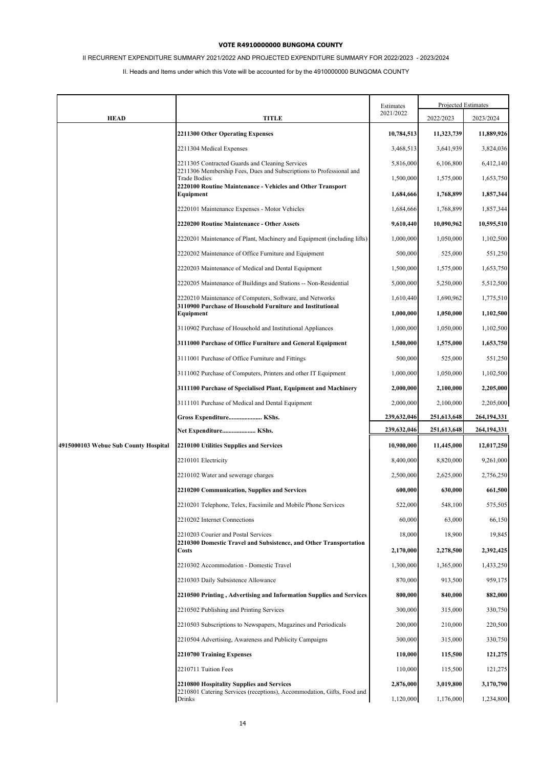# II RECURRENT EXPENDITURE SUMMARY 2021/2022 AND PROJECTED EXPENDITURE SUMMARY FOR 2022/2023 - 2023/2024

|                                      |                                                                                                                     | Estimates   | Projected Estimates |             |
|--------------------------------------|---------------------------------------------------------------------------------------------------------------------|-------------|---------------------|-------------|
| <b>HEAD</b>                          | <b>TITLE</b>                                                                                                        | 2021/2022   | 2022/2023           | 2023/2024   |
|                                      | <b>2211300 Other Operating Expenses</b>                                                                             | 10,784,513  | 11,323,739          | 11,889,926  |
|                                      | 2211304 Medical Expenses                                                                                            | 3,468,513   | 3,641,939           | 3,824,036   |
|                                      | 2211305 Contracted Guards and Cleaning Services                                                                     | 5,816,000   | 6,106,800           | 6,412,140   |
|                                      | 2211306 Membership Fees, Dues and Subscriptions to Professional and<br><b>Trade Bodies</b>                          | 1,500,000   | 1,575,000           | 1,653,750   |
|                                      | 2220100 Routine Maintenance - Vehicles and Other Transport<br>Equipment                                             | 1,684,666   | 1,768,899           | 1,857,344   |
|                                      | 2220101 Maintenance Expenses - Motor Vehicles                                                                       | 1,684,666   | 1,768,899           | 1,857,344   |
|                                      | 2220200 Routine Maintenance - Other Assets                                                                          | 9,610,440   | 10,090,962          | 10,595,510  |
|                                      | 2220201 Maintenance of Plant, Machinery and Equipment (including lifts)                                             | 1,000,000   | 1,050,000           | 1,102,500   |
|                                      | 2220202 Maintenance of Office Furniture and Equipment                                                               | 500,000     | 525,000             | 551,250     |
|                                      | 2220203 Maintenance of Medical and Dental Equipment                                                                 | 1,500,000   | 1,575,000           | 1,653,750   |
|                                      | 2220205 Maintenance of Buildings and Stations -- Non-Residential                                                    | 5,000,000   | 5,250,000           | 5,512,500   |
|                                      | 2220210 Maintenance of Computers, Software, and Networks                                                            | 1,610,440   | 1,690,962           | 1,775,510   |
|                                      | 3110900 Purchase of Household Furniture and Institutional<br>Equipment                                              | 1,000,000   | 1,050,000           | 1,102,500   |
|                                      | 3110902 Purchase of Household and Institutional Appliances                                                          | 1,000,000   | 1,050,000           | 1,102,500   |
|                                      | 3111000 Purchase of Office Furniture and General Equipment                                                          | 1,500,000   | 1,575,000           | 1,653,750   |
|                                      | 3111001 Purchase of Office Furniture and Fittings                                                                   | 500,000     | 525,000             | 551,250     |
|                                      | 3111002 Purchase of Computers, Printers and other IT Equipment                                                      | 1,000,000   | 1,050,000           | 1,102,500   |
|                                      | 3111100 Purchase of Specialised Plant, Equipment and Machinery                                                      | 2,000,000   | 2,100,000           | 2,205,000   |
|                                      | 3111101 Purchase of Medical and Dental Equipment                                                                    | 2,000,000   | 2,100,000           | 2,205,000   |
|                                      | Gross Expenditure KShs.                                                                                             | 239,632,046 | 251,613,648         | 264,194,331 |
|                                      | Net Expenditure KShs.                                                                                               | 239,632,046 | 251,613,648         | 264,194,331 |
| 4915000103 Webue Sub County Hospital | 2210100 Utilities Supplies and Services                                                                             | 10,900,000  | 11,445,000          | 12,017,250  |
|                                      | 2210101 Electricity                                                                                                 | 8,400,000   | 8,820,000           | 9,261,000   |
|                                      | 2210102 Water and sewerage charges                                                                                  | 2,500,000   | 2,625,000           | 2,756,250   |
|                                      | 2210200 Communication, Supplies and Services                                                                        | 600,000     | 630,000             | 661,500     |
|                                      | 2210201 Telephone, Telex, Facsimile and Mobile Phone Services                                                       | 522,000     | 548,100             | 575,505     |
|                                      | 2210202 Internet Connections                                                                                        | 60,000      | 63,000              | 66,150      |
|                                      | 2210203 Courier and Postal Services<br>2210300 Domestic Travel and Subsistence, and Other Transportation            | 18,000      | 18,900              | 19,845      |
|                                      | <b>Costs</b>                                                                                                        | 2,170,000   | 2,278,500           | 2,392,425   |
|                                      | 2210302 Accommodation - Domestic Travel                                                                             | 1,300,000   | 1,365,000           | 1,433,250   |
|                                      | 2210303 Daily Subsistence Allowance                                                                                 | 870,000     | 913,500             | 959,175     |
|                                      | 2210500 Printing, Advertising and Information Supplies and Services                                                 | 800,000     | 840,000             | 882,000     |
|                                      | 2210502 Publishing and Printing Services                                                                            | 300,000     | 315,000             | 330,750     |
|                                      | 2210503 Subscriptions to Newspapers, Magazines and Periodicals                                                      | 200,000     | 210,000             | 220,500     |
|                                      | 2210504 Advertising, Awareness and Publicity Campaigns                                                              | 300,000     | 315,000             | 330,750     |
|                                      | 2210700 Training Expenses                                                                                           | 110,000     | 115,500             | 121,275     |
|                                      | 2210711 Tuition Fees                                                                                                | 110,000     | 115,500             | 121,275     |
|                                      | 2210800 Hospitality Supplies and Services<br>2210801 Catering Services (receptions), Accommodation, Gifts, Food and | 2,876,000   | 3,019,800           | 3,170,790   |
|                                      | Drinks                                                                                                              | 1,120,000   | 1,176,000           | 1,234,800   |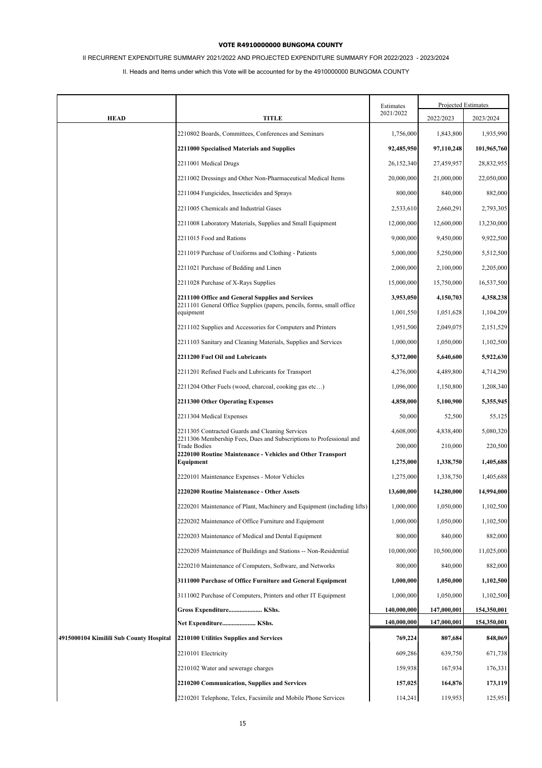# II RECURRENT EXPENDITURE SUMMARY 2021/2022 AND PROJECTED EXPENDITURE SUMMARY FOR 2022/2023 - 2023/2024

|                                         |                                                                                                                        | Estimates   | Projected Estimates |             |
|-----------------------------------------|------------------------------------------------------------------------------------------------------------------------|-------------|---------------------|-------------|
| <b>HEAD</b>                             | <b>TITLE</b>                                                                                                           | 2021/2022   | 2022/2023           | 2023/2024   |
|                                         | 2210802 Boards, Committees, Conferences and Seminars                                                                   | 1,756,000   | 1,843,800           | 1,935,990   |
|                                         | 2211000 Specialised Materials and Supplies                                                                             | 92,485,950  | 97,110,248          | 101,965,760 |
|                                         | 2211001 Medical Drugs                                                                                                  | 26,152,340  | 27,459,957          | 28,832,955  |
|                                         | 2211002 Dressings and Other Non-Pharmaceutical Medical Items                                                           | 20,000,000  | 21,000,000          | 22,050,000  |
|                                         | 2211004 Fungicides, Insecticides and Sprays                                                                            | 800,000     | 840,000             | 882,000     |
|                                         | 2211005 Chemicals and Industrial Gases                                                                                 | 2,533,610   | 2,660,291           | 2,793,305   |
|                                         | 2211008 Laboratory Materials, Supplies and Small Equipment                                                             | 12,000,000  | 12,600,000          | 13,230,000  |
|                                         | 2211015 Food and Rations                                                                                               | 9,000,000   | 9,450,000           | 9,922,500   |
|                                         | 2211019 Purchase of Uniforms and Clothing - Patients                                                                   | 5,000,000   | 5,250,000           | 5,512,500   |
|                                         | 2211021 Purchase of Bedding and Linen                                                                                  | 2,000,000   | 2,100,000           | 2,205,000   |
|                                         | 2211028 Purchase of X-Rays Supplies                                                                                    | 15,000,000  | 15,750,000          | 16,537,500  |
|                                         | 2211100 Office and General Supplies and Services                                                                       | 3,953,050   | 4,150,703           | 4,358,238   |
|                                         | 2211101 General Office Supplies (papers, pencils, forms, small office<br>equipment                                     | 1,001,550   | 1,051,628           | 1,104,209   |
|                                         | 2211102 Supplies and Accessories for Computers and Printers                                                            | 1,951,500   | 2,049,075           | 2,151,529   |
|                                         | 2211103 Sanitary and Cleaning Materials, Supplies and Services                                                         | 1,000,000   | 1,050,000           | 1,102,500   |
|                                         | 2211200 Fuel Oil and Lubricants                                                                                        | 5,372,000   | 5,640,600           | 5,922,630   |
|                                         | 2211201 Refined Fuels and Lubricants for Transport                                                                     | 4,276,000   | 4,489,800           | 4,714,290   |
|                                         | 2211204 Other Fuels (wood, charcoal, cooking gas etc)                                                                  | 1,096,000   | 1,150,800           | 1,208,340   |
|                                         | 2211300 Other Operating Expenses                                                                                       | 4,858,000   | 5,100,900           | 5,355,945   |
|                                         | 2211304 Medical Expenses                                                                                               | 50,000      | 52,500              | 55,125      |
|                                         | 2211305 Contracted Guards and Cleaning Services<br>2211306 Membership Fees, Dues and Subscriptions to Professional and | 4,608,000   | 4,838,400           | 5,080,320   |
|                                         | <b>Trade Bodies</b>                                                                                                    | 200,000     | 210,000             | 220,500     |
|                                         | 2220100 Routine Maintenance - Vehicles and Other Transport<br>Equipment                                                | 1,275,000   | 1,338,750           | 1,405,688   |
|                                         | 2220101 Maintenance Expenses - Motor Vehicles                                                                          | 1,275,000   | 1,338,750           | 1,405,688   |
|                                         | 2220200 Routine Maintenance - Other Assets                                                                             | 13,600,000  | 14,280,000          | 14,994,000  |
|                                         | 2220201 Maintenance of Plant, Machinery and Equipment (including lifts)                                                | 1,000,000   | 1,050,000           | 1,102,500   |
|                                         | 2220202 Maintenance of Office Furniture and Equipment                                                                  | 1,000,000   | 1,050,000           | 1,102,500   |
|                                         | 2220203 Maintenance of Medical and Dental Equipment                                                                    | 800,000     | 840,000             | 882,000     |
|                                         | 2220205 Maintenance of Buildings and Stations -- Non-Residential                                                       | 10,000,000  | 10,500,000          | 11,025,000  |
|                                         | 2220210 Maintenance of Computers, Software, and Networks                                                               | 800,000     | 840,000             | 882,000     |
|                                         | 3111000 Purchase of Office Furniture and General Equipment                                                             | 1,000,000   | 1,050,000           | 1,102,500   |
|                                         | 3111002 Purchase of Computers, Printers and other IT Equipment                                                         | 1,000,000   | 1,050,000           | 1,102,500   |
|                                         | Gross Expenditure KShs.                                                                                                | 140,000,000 | 147,000,001         | 154,350,001 |
|                                         | Net Expenditure KShs.                                                                                                  | 140,000,000 | 147,000,001         | 154,350,001 |
| 4915000104 Kimilili Sub County Hospital | 2210100 Utilities Supplies and Services                                                                                | 769,224     | 807,684             | 848,069     |
|                                         | 2210101 Electricity                                                                                                    | 609,286     | 639,750             | 671,738     |
|                                         | 2210102 Water and sewerage charges                                                                                     | 159,938     | 167,934             | 176,331     |
|                                         | 2210200 Communication, Supplies and Services                                                                           | 157,025     | 164,876             | 173,119     |
|                                         | 2210201 Telephone, Telex, Facsimile and Mobile Phone Services                                                          | 114,241     | 119,953             | 125,951     |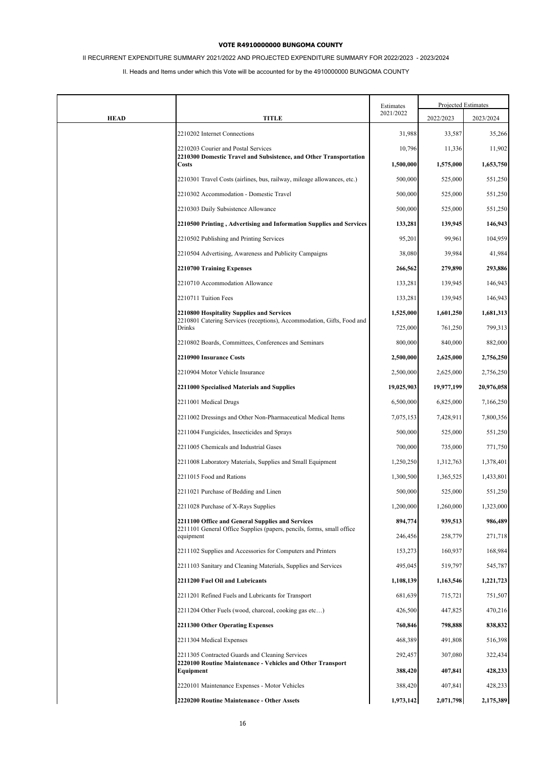# II RECURRENT EXPENDITURE SUMMARY 2021/2022 AND PROJECTED EXPENDITURE SUMMARY FOR 2022/2023 - 2023/2024

|             |                                                                                                                           | Estimates  | Projected Estimates |            |
|-------------|---------------------------------------------------------------------------------------------------------------------------|------------|---------------------|------------|
| <b>HEAD</b> | <b>TITLE</b>                                                                                                              | 2021/2022  | 2022/2023           | 2023/2024  |
|             | 2210202 Internet Connections                                                                                              | 31,988     | 33,587              | 35,266     |
|             | 2210203 Courier and Postal Services                                                                                       | 10,796     | 11,336              | 11,902     |
|             | 2210300 Domestic Travel and Subsistence, and Other Transportation<br>Costs                                                | 1,500,000  | 1,575,000           | 1,653,750  |
|             | 2210301 Travel Costs (airlines, bus, railway, mileage allowances, etc.)                                                   | 500,000    | 525,000             | 551,250    |
|             | 2210302 Accommodation - Domestic Travel                                                                                   | 500,000    | 525,000             | 551,250    |
|             | 2210303 Daily Subsistence Allowance                                                                                       | 500,000    | 525,000             | 551,250    |
|             | 2210500 Printing, Advertising and Information Supplies and Services                                                       | 133,281    | 139,945             | 146,943    |
|             | 2210502 Publishing and Printing Services                                                                                  | 95,201     | 99,961              | 104,959    |
|             | 2210504 Advertising, Awareness and Publicity Campaigns                                                                    | 38,080     | 39,984              | 41,984     |
|             | 2210700 Training Expenses                                                                                                 | 266,562    | 279,890             | 293,886    |
|             | 2210710 Accommodation Allowance                                                                                           | 133,281    | 139,945             | 146,943    |
|             | 2210711 Tuition Fees                                                                                                      | 133,281    | 139,945             | 146,943    |
|             | <b>2210800 Hospitality Supplies and Services</b>                                                                          | 1,525,000  | 1,601,250           | 1,681,313  |
|             | 2210801 Catering Services (receptions), Accommodation, Gifts, Food and<br>Drinks                                          | 725,000    | 761,250             | 799,313    |
|             | 2210802 Boards, Committees, Conferences and Seminars                                                                      | 800,000    | 840,000             | 882,000    |
|             | 2210900 Insurance Costs                                                                                                   | 2,500,000  | 2,625,000           | 2,756,250  |
|             | 2210904 Motor Vehicle Insurance                                                                                           | 2,500,000  | 2,625,000           | 2,756,250  |
|             | 2211000 Specialised Materials and Supplies                                                                                | 19,025,903 | 19,977,199          | 20,976,058 |
|             | 2211001 Medical Drugs                                                                                                     | 6,500,000  | 6,825,000           | 7,166,250  |
|             | 2211002 Dressings and Other Non-Pharmaceutical Medical Items                                                              | 7,075,153  | 7,428,911           | 7,800,356  |
|             | 2211004 Fungicides, Insecticides and Sprays                                                                               | 500,000    | 525,000             | 551,250    |
|             | 2211005 Chemicals and Industrial Gases                                                                                    | 700,000    | 735,000             | 771,750    |
|             | 2211008 Laboratory Materials, Supplies and Small Equipment                                                                | 1,250,250  | 1,312,763           | 1,378,401  |
|             | 2211015 Food and Rations                                                                                                  | 1,300,500  | 1,365,525           | 1,433,801  |
|             | 2211021 Purchase of Bedding and Linen                                                                                     | 500,000    | 525,000             | 551,250    |
|             | 2211028 Purchase of X-Rays Supplies                                                                                       | 1,200,000  | 1,260,000           | 1,323,000  |
|             | 2211100 Office and General Supplies and Services<br>2211101 General Office Supplies (papers, pencils, forms, small office | 894,774    | 939,513             | 986,489    |
|             | equipment                                                                                                                 | 246,456    | 258,779             | 271,718    |
|             | 2211102 Supplies and Accessories for Computers and Printers                                                               | 153,273    | 160,937             | 168,984    |
|             | 2211103 Sanitary and Cleaning Materials, Supplies and Services                                                            | 495,045    | 519,797             | 545,787    |
|             | 2211200 Fuel Oil and Lubricants                                                                                           | 1,108,139  | 1,163,546           | 1,221,723  |
|             | 2211201 Refined Fuels and Lubricants for Transport                                                                        | 681,639    | 715,721             | 751,507    |
|             | 2211204 Other Fuels (wood, charcoal, cooking gas etc)                                                                     | 426,500    | 447,825             | 470,216    |
|             | 2211300 Other Operating Expenses                                                                                          | 760,846    | 798,888             | 838,832    |
|             | 2211304 Medical Expenses                                                                                                  | 468,389    | 491,808             | 516,398    |
|             | 2211305 Contracted Guards and Cleaning Services<br>2220100 Routine Maintenance - Vehicles and Other Transport             | 292,457    | 307,080             | 322,434    |
|             | Equipment                                                                                                                 | 388,420    | 407,841             | 428,233    |
|             | 2220101 Maintenance Expenses - Motor Vehicles                                                                             | 388,420    | 407,841             | 428,233    |
|             | 2220200 Routine Maintenance - Other Assets                                                                                | 1,973,142  | 2,071,798           | 2,175,389  |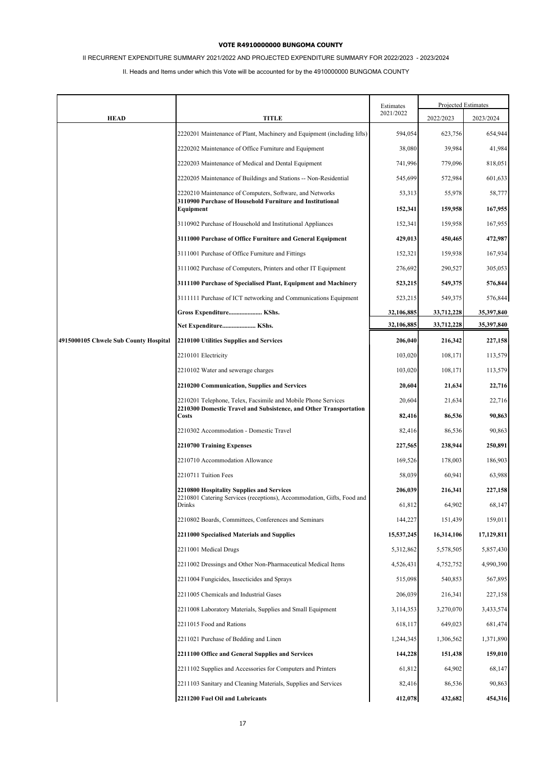# II RECURRENT EXPENDITURE SUMMARY 2021/2022 AND PROJECTED EXPENDITURE SUMMARY FOR 2022/2023 - 2023/2024

|                                       |                                                                                                                                      | Estimates         | Projected Estimates |                   |
|---------------------------------------|--------------------------------------------------------------------------------------------------------------------------------------|-------------------|---------------------|-------------------|
| <b>HEAD</b>                           | <b>TITLE</b>                                                                                                                         | 2021/2022         | 2022/2023           | 2023/2024         |
|                                       | 2220201 Maintenance of Plant, Machinery and Equipment (including lifts)                                                              | 594,054           | 623,756             | 654,944           |
|                                       | 2220202 Maintenance of Office Furniture and Equipment                                                                                | 38,080            | 39,984              | 41,984            |
|                                       | 2220203 Maintenance of Medical and Dental Equipment                                                                                  | 741,996           | 779,096             | 818,051           |
|                                       | 2220205 Maintenance of Buildings and Stations -- Non-Residential                                                                     | 545,699           | 572,984             | 601,633           |
|                                       | 2220210 Maintenance of Computers, Software, and Networks<br>3110900 Purchase of Household Furniture and Institutional                | 53,313<br>152,341 | 55,978<br>159,958   | 58,777<br>167,955 |
|                                       | Equipment<br>3110902 Purchase of Household and Institutional Appliances                                                              | 152,341           | 159,958             | 167,955           |
|                                       | 3111000 Purchase of Office Furniture and General Equipment                                                                           | 429,013           | 450,465             | 472,987           |
|                                       | 3111001 Purchase of Office Furniture and Fittings                                                                                    | 152,321           | 159,938             | 167,934           |
|                                       | 3111002 Purchase of Computers, Printers and other IT Equipment                                                                       | 276,692           | 290,527             | 305,053           |
|                                       | 3111100 Purchase of Specialised Plant, Equipment and Machinery                                                                       | 523,215           | 549,375             | 576,844           |
|                                       | 3111111 Purchase of ICT networking and Communications Equipment                                                                      | 523,215           | 549,375             | 576,844           |
|                                       | Gross Expenditure KShs.                                                                                                              | 32,106,885        | 33,712,228          | 35,397,840        |
|                                       | Net Expenditure KShs.                                                                                                                | 32,106,885        | 33,712,228          | 35,397,840        |
| 4915000105 Chwele Sub County Hospital | 2210100 Utilities Supplies and Services                                                                                              | 206,040           | 216,342             | 227,158           |
|                                       | 2210101 Electricity                                                                                                                  | 103,020           | 108,171             | 113,579           |
|                                       | 2210102 Water and sewerage charges                                                                                                   | 103,020           | 108,171             | 113,579           |
|                                       | 2210200 Communication, Supplies and Services                                                                                         | 20,604            | 21,634              | 22,716            |
|                                       | 2210201 Telephone, Telex, Facsimile and Mobile Phone Services<br>2210300 Domestic Travel and Subsistence, and Other Transportation   | 20,604            | 21,634              | 22,716            |
|                                       | Costs                                                                                                                                | 82,416            | 86,536              | 90,863            |
|                                       | 2210302 Accommodation - Domestic Travel                                                                                              | 82,416            | 86,536              | 90,863            |
|                                       | 2210700 Training Expenses                                                                                                            | 227,565           | 238,944             | 250,891           |
|                                       | 2210710 Accommodation Allowance                                                                                                      | 169,526           | 178,003             | 186,903           |
|                                       | 2210711 Tuition Fees                                                                                                                 | 58,039            | 60,941              | 63,988            |
|                                       | 2210800 Hospitality Supplies and Services<br>2210801 Catering Services (receptions), Accommodation, Gifts, Food and<br><b>Drinks</b> | 206,039<br>61,812 | 216,341<br>64,902   | 227,158<br>68,147 |
|                                       | 2210802 Boards, Committees, Conferences and Seminars                                                                                 | 144,227           | 151,439             | 159,011           |
|                                       | 2211000 Specialised Materials and Supplies                                                                                           | 15,537,245        | 16,314,106          | 17,129,811        |
|                                       | 2211001 Medical Drugs                                                                                                                | 5,312,862         | 5,578,505           | 5,857,430         |
|                                       | 2211002 Dressings and Other Non-Pharmaceutical Medical Items                                                                         | 4,526,431         | 4,752,752           | 4,990,390         |
|                                       | 2211004 Fungicides, Insecticides and Sprays                                                                                          | 515,098           | 540,853             | 567,895           |
|                                       | 2211005 Chemicals and Industrial Gases                                                                                               | 206,039           | 216,341             | 227,158           |
|                                       | 2211008 Laboratory Materials, Supplies and Small Equipment                                                                           | 3,114,353         | 3,270,070           | 3,433,574         |
|                                       | 2211015 Food and Rations                                                                                                             | 618,117           | 649,023             | 681,474           |
|                                       | 2211021 Purchase of Bedding and Linen                                                                                                | 1,244,345         | 1,306,562           | 1,371,890         |
|                                       | 2211100 Office and General Supplies and Services                                                                                     | 144,228           | 151,438             | 159,010           |
|                                       | 2211102 Supplies and Accessories for Computers and Printers                                                                          | 61,812            | 64,902              | 68,147            |
|                                       | 2211103 Sanitary and Cleaning Materials, Supplies and Services                                                                       | 82,416            | 86,536              | 90,863            |
|                                       | 2211200 Fuel Oil and Lubricants                                                                                                      | 412,078           | 432,682             | 454,316           |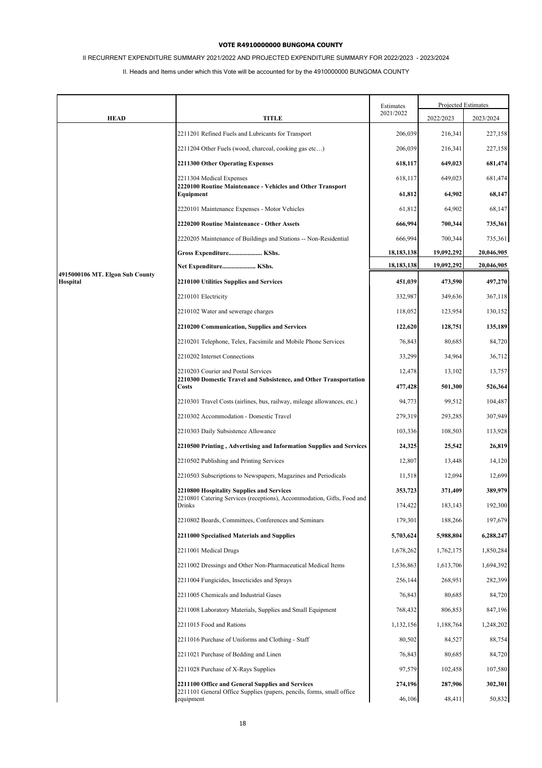# II RECURRENT EXPENDITURE SUMMARY 2021/2022 AND PROJECTED EXPENDITURE SUMMARY FOR 2022/2023 - 2023/2024

|                                 |                                                                                                                     | Estimates    |            | Projected Estimates |
|---------------------------------|---------------------------------------------------------------------------------------------------------------------|--------------|------------|---------------------|
| <b>HEAD</b>                     | <b>TITLE</b>                                                                                                        | 2021/2022    | 2022/2023  | 2023/2024           |
|                                 | 2211201 Refined Fuels and Lubricants for Transport                                                                  | 206,039      | 216,341    | 227,158             |
|                                 | 2211204 Other Fuels (wood, charcoal, cooking gas etc)                                                               | 206,039      | 216,341    | 227,158             |
|                                 | 2211300 Other Operating Expenses                                                                                    | 618,117      | 649,023    | 681,474             |
|                                 | 2211304 Medical Expenses                                                                                            | 618,117      | 649,023    | 681,474             |
|                                 | 2220100 Routine Maintenance - Vehicles and Other Transport<br>Equipment                                             | 61,812       | 64,902     | 68,147              |
|                                 | 2220101 Maintenance Expenses - Motor Vehicles                                                                       | 61,812       | 64,902     | 68,147              |
|                                 | 2220200 Routine Maintenance - Other Assets                                                                          | 666,994      | 700,344    | 735,361             |
|                                 | 2220205 Maintenance of Buildings and Stations -- Non-Residential                                                    | 666,994      | 700,344    | 735,361             |
|                                 | Gross Expenditure KShs.                                                                                             | 18,183,138   | 19,092,292 | 20,046,905          |
| 4915000106 MT. Elgon Sub County | Net Expenditure KShs.                                                                                               | 18, 183, 138 | 19,092,292 | 20,046,905          |
| Hospital                        | 2210100 Utilities Supplies and Services                                                                             | 451,039      | 473,590    | 497,270             |
|                                 | 2210101 Electricity                                                                                                 | 332,987      | 349,636    | 367,118             |
|                                 | 2210102 Water and sewerage charges                                                                                  | 118,052      | 123,954    | 130,152             |
|                                 | 2210200 Communication, Supplies and Services                                                                        | 122,620      | 128,751    | 135,189             |
|                                 | 2210201 Telephone, Telex, Facsimile and Mobile Phone Services                                                       | 76,843       | 80,685     | 84,720              |
|                                 | 2210202 Internet Connections                                                                                        | 33,299       | 34,964     | 36,712              |
|                                 | 2210203 Courier and Postal Services<br>2210300 Domestic Travel and Subsistence, and Other Transportation<br>Costs   | 12,478       | 13,102     | 13,757              |
|                                 |                                                                                                                     | 477,428      | 501,300    | 526,364             |
|                                 | 2210301 Travel Costs (airlines, bus, railway, mileage allowances, etc.)                                             | 94,773       | 99,512     | 104,487             |
|                                 | 2210302 Accommodation - Domestic Travel                                                                             | 279,319      | 293,285    | 307,949             |
|                                 | 2210303 Daily Subsistence Allowance                                                                                 | 103,336      | 108,503    | 113,928             |
|                                 | 2210500 Printing, Advertising and Information Supplies and Services                                                 | 24,325       | 25,542     | 26,819              |
|                                 | 2210502 Publishing and Printing Services                                                                            | 12,807       | 13,448     | 14,120              |
|                                 | 2210503 Subscriptions to Newspapers, Magazines and Periodicals                                                      | 11,518       | 12,094     | 12,699              |
|                                 | 2210800 Hospitality Supplies and Services<br>2210801 Catering Services (receptions), Accommodation, Gifts, Food and | 353,723      | 371,409    | 389,979             |
|                                 | Drinks                                                                                                              | 174,422      | 183,143    | 192,300             |
|                                 | 2210802 Boards, Committees, Conferences and Seminars                                                                | 179,301      | 188,266    | 197,679             |
|                                 | 2211000 Specialised Materials and Supplies                                                                          | 5,703,624    | 5,988,804  | 6,288,247           |
|                                 | 2211001 Medical Drugs                                                                                               | 1,678,262    | 1,762,175  | 1,850,284           |
|                                 | 2211002 Dressings and Other Non-Pharmaceutical Medical Items                                                        | 1,536,863    | 1,613,706  | 1,694,392           |
|                                 | 2211004 Fungicides, Insecticides and Sprays                                                                         | 256,144      | 268,951    | 282,399             |
|                                 | 2211005 Chemicals and Industrial Gases                                                                              | 76,843       | 80,685     | 84,720              |
|                                 | 2211008 Laboratory Materials, Supplies and Small Equipment                                                          | 768,432      | 806,853    | 847,196             |
|                                 | 2211015 Food and Rations                                                                                            | 1,132,156    | 1,188,764  | 1,248,202           |
|                                 | 2211016 Purchase of Uniforms and Clothing - Staff                                                                   | 80,502       | 84,527     | 88,754              |
|                                 | 2211021 Purchase of Bedding and Linen                                                                               | 76,843       | 80,685     | 84,720              |
|                                 | 2211028 Purchase of X-Rays Supplies                                                                                 | 97,579       | 102,458    | 107,580             |
|                                 | 2211100 Office and General Supplies and Services                                                                    | 274,196      | 287,906    | 302,301             |
|                                 | 2211101 General Office Supplies (papers, pencils, forms, small office<br>equipment                                  | 46,106       | 48,411     | 50,832              |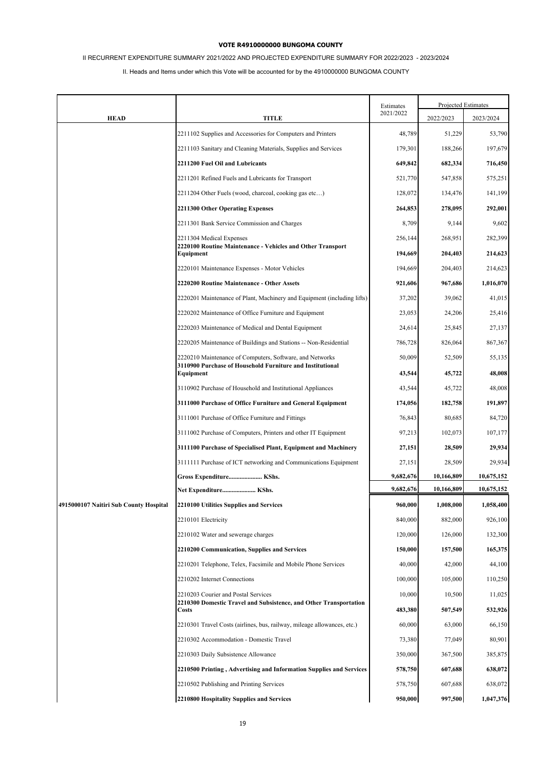# II RECURRENT EXPENDITURE SUMMARY 2021/2022 AND PROJECTED EXPENDITURE SUMMARY FOR 2022/2023 - 2023/2024

|                                        |                                                                                                     | Estimates          | Projected Estimates |                    |
|----------------------------------------|-----------------------------------------------------------------------------------------------------|--------------------|---------------------|--------------------|
| <b>HEAD</b>                            | TITLE                                                                                               | 2021/2022          | 2022/2023           | 2023/2024          |
|                                        | 2211102 Supplies and Accessories for Computers and Printers                                         | 48,789             | 51,229              | 53,790             |
|                                        | 2211103 Sanitary and Cleaning Materials, Supplies and Services                                      | 179,301            | 188,266             | 197,679            |
|                                        | 2211200 Fuel Oil and Lubricants                                                                     | 649,842            | 682,334             | 716,450            |
|                                        | 2211201 Refined Fuels and Lubricants for Transport                                                  | 521,770            | 547,858             | 575,251            |
|                                        | 2211204 Other Fuels (wood, charcoal, cooking gas etc)                                               | 128,072            | 134,476             | 141,199            |
|                                        | <b>2211300 Other Operating Expenses</b>                                                             | 264,853            | 278,095             | 292,001            |
|                                        | 2211301 Bank Service Commission and Charges                                                         | 8,709              | 9,144               | 9,602              |
|                                        | 2211304 Medical Expenses<br>2220100 Routine Maintenance - Vehicles and Other Transport<br>Equipment | 256,144<br>194,669 | 268,951<br>204,403  | 282,399<br>214,623 |
|                                        | 2220101 Maintenance Expenses - Motor Vehicles                                                       | 194,669            | 204,403             | 214,623            |
|                                        | 2220200 Routine Maintenance - Other Assets                                                          | 921,606            | 967,686             | 1,016,070          |
|                                        | 2220201 Maintenance of Plant, Machinery and Equipment (including lifts)                             | 37,202             | 39,062              | 41,015             |
|                                        | 2220202 Maintenance of Office Furniture and Equipment                                               | 23,053             | 24,206              | 25,416             |
|                                        | 2220203 Maintenance of Medical and Dental Equipment                                                 | 24,614             | 25,845              | 27,137             |
|                                        | 2220205 Maintenance of Buildings and Stations -- Non-Residential                                    | 786,728            | 826,064             | 867,367            |
|                                        | 2220210 Maintenance of Computers, Software, and Networks                                            | 50,009             | 52,509              | 55,135             |
|                                        | 3110900 Purchase of Household Furniture and Institutional<br>Equipment                              | 43,544             | 45,722              | 48,008             |
|                                        | 3110902 Purchase of Household and Institutional Appliances                                          | 43,544             | 45,722              | 48,008             |
|                                        | 3111000 Purchase of Office Furniture and General Equipment                                          | 174,056            | 182,758             | 191,897            |
|                                        | 3111001 Purchase of Office Furniture and Fittings                                                   | 76,843             | 80,685              | 84,720             |
|                                        | 3111002 Purchase of Computers, Printers and other IT Equipment                                      | 97,213             | 102,073             | 107,177            |
|                                        | 3111100 Purchase of Specialised Plant, Equipment and Machinery                                      | 27,151             | 28,509              | 29,934             |
|                                        | 3111111 Purchase of ICT networking and Communications Equipment                                     | 27,151             | 28,509              | 29,934             |
|                                        | Gross Expenditure KShs.                                                                             | 9,682,676          | 10,166,809          | 10,675,152         |
|                                        | Net Expenditure KShs.                                                                               | 9,682,676          | 10,166,809          | 10,675,152         |
| 4915000107 Naitiri Sub County Hospital | 2210100 Utilities Supplies and Services                                                             | 960,000            | 1,008,000           | 1,058,400          |
|                                        | 2210101 Electricity                                                                                 | 840,000            | 882,000             | 926,100            |
|                                        | 2210102 Water and sewerage charges                                                                  | 120,000            | 126,000             | 132,300            |
|                                        | 2210200 Communication, Supplies and Services                                                        | 150,000            | 157,500             | 165,375            |
|                                        | 2210201 Telephone, Telex, Facsimile and Mobile Phone Services                                       | 40,000             | 42,000              | 44,100             |
|                                        | 2210202 Internet Connections                                                                        | 100,000            | 105,000             | 110,250            |
|                                        | 2210203 Courier and Postal Services                                                                 | 10,000             | 10,500              | 11,025             |
|                                        | 2210300 Domestic Travel and Subsistence, and Other Transportation<br>Costs                          | 483,380            | 507,549             | 532,926            |
|                                        | 2210301 Travel Costs (airlines, bus, railway, mileage allowances, etc.)                             | 60,000             | 63,000              | 66,150             |
|                                        | 2210302 Accommodation - Domestic Travel                                                             | 73,380             | 77,049              | 80,901             |
|                                        | 2210303 Daily Subsistence Allowance                                                                 | 350,000            | 367,500             | 385,875            |
|                                        | 2210500 Printing, Advertising and Information Supplies and Services                                 | 578,750            | 607,688             | 638,072            |
|                                        | 2210502 Publishing and Printing Services                                                            | 578,750            | 607,688             | 638,072            |
|                                        | 2210800 Hospitality Supplies and Services                                                           | 950,000            | 997,500             | 1,047,376          |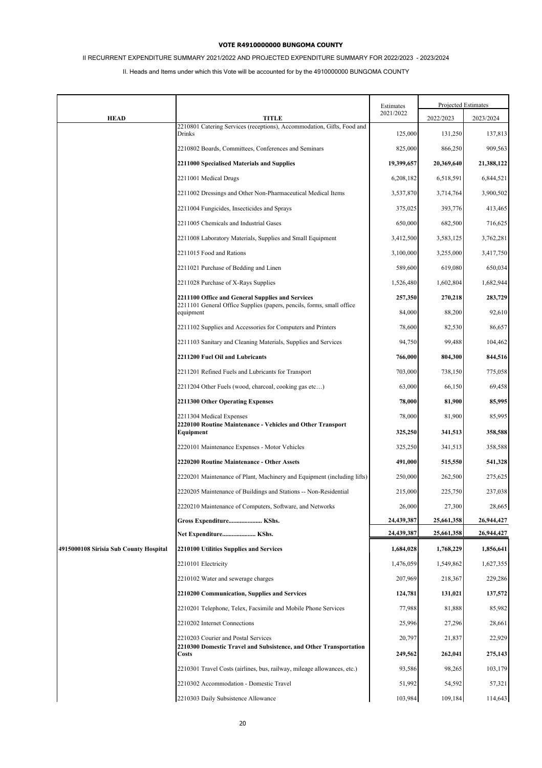# II RECURRENT EXPENDITURE SUMMARY 2021/2022 AND PROJECTED EXPENDITURE SUMMARY FOR 2022/2023 - 2023/2024

|                                        |                                                                                                                           | Estimates  |            | <b>Projected Estimates</b> |
|----------------------------------------|---------------------------------------------------------------------------------------------------------------------------|------------|------------|----------------------------|
| <b>HEAD</b>                            | TITLE                                                                                                                     | 2021/2022  | 2022/2023  | 2023/2024                  |
|                                        | 2210801 Catering Services (receptions), Accommodation, Gifts, Food and<br>Drinks                                          | 125,000    | 131,250    | 137,813                    |
|                                        | 2210802 Boards, Committees, Conferences and Seminars                                                                      | 825,000    | 866,250    | 909,563                    |
|                                        | 2211000 Specialised Materials and Supplies                                                                                | 19,399,657 | 20,369,640 | 21,388,122                 |
|                                        | 2211001 Medical Drugs                                                                                                     | 6,208,182  | 6,518,591  | 6,844,521                  |
|                                        | 2211002 Dressings and Other Non-Pharmaceutical Medical Items                                                              | 3,537,870  | 3,714,764  | 3,900,502                  |
|                                        | 2211004 Fungicides, Insecticides and Sprays                                                                               | 375,025    | 393,776    | 413,465                    |
|                                        | 2211005 Chemicals and Industrial Gases                                                                                    | 650,000    | 682,500    | 716,625                    |
|                                        | 2211008 Laboratory Materials, Supplies and Small Equipment                                                                | 3,412,500  | 3,583,125  | 3,762,281                  |
|                                        | 2211015 Food and Rations                                                                                                  | 3,100,000  | 3,255,000  | 3,417,750                  |
|                                        | 2211021 Purchase of Bedding and Linen                                                                                     | 589,600    | 619,080    | 650,034                    |
|                                        | 2211028 Purchase of X-Rays Supplies                                                                                       | 1,526,480  | 1,602,804  | 1,682,944                  |
|                                        | 2211100 Office and General Supplies and Services<br>2211101 General Office Supplies (papers, pencils, forms, small office | 257,350    | 270,218    | 283,729                    |
|                                        | equipment                                                                                                                 | 84,000     | 88,200     | 92,610                     |
|                                        | 2211102 Supplies and Accessories for Computers and Printers                                                               | 78,600     | 82,530     | 86,657                     |
|                                        | 2211103 Sanitary and Cleaning Materials, Supplies and Services                                                            | 94,750     | 99,488     | 104,462                    |
|                                        | 2211200 Fuel Oil and Lubricants                                                                                           | 766,000    | 804,300    | 844,516                    |
|                                        | 2211201 Refined Fuels and Lubricants for Transport                                                                        | 703,000    | 738,150    | 775,058                    |
|                                        | 2211204 Other Fuels (wood, charcoal, cooking gas etc)                                                                     | 63,000     | 66,150     | 69,458                     |
|                                        | 2211300 Other Operating Expenses                                                                                          | 78,000     | 81,900     | 85,995                     |
|                                        | 2211304 Medical Expenses<br>2220100 Routine Maintenance - Vehicles and Other Transport                                    | 78,000     | 81,900     | 85,995                     |
|                                        | Equipment                                                                                                                 | 325,250    | 341,513    | 358,588                    |
|                                        | 2220101 Maintenance Expenses - Motor Vehicles                                                                             | 325,250    | 341,513    | 358,588                    |
|                                        | 2220200 Routine Maintenance - Other Assets                                                                                | 491,000    | 515,550    | 541,328                    |
|                                        | 2220201 Maintenance of Plant, Machinery and Equipment (including lifts)                                                   | 250,000    | 262,500    | 275,625                    |
|                                        | 2220205 Maintenance of Buildings and Stations -- Non-Residential                                                          | 215,000    | 225,750    | 237,038                    |
|                                        | 2220210 Maintenance of Computers, Software, and Networks                                                                  | 26,000     | 27,300     | 28,665                     |
|                                        | Gross Expenditure KShs.                                                                                                   | 24,439,387 | 25,661,358 | 26,944,427                 |
|                                        | Net Expenditure KShs.                                                                                                     | 24,439,387 | 25,661,358 | 26,944,427                 |
| 4915000108 Sirisia Sub County Hospital | 2210100 Utilities Supplies and Services                                                                                   | 1,684,028  | 1,768,229  | 1,856,641                  |
|                                        | 2210101 Electricity                                                                                                       | 1,476,059  | 1,549,862  | 1,627,355                  |
|                                        | 2210102 Water and sewerage charges                                                                                        | 207,969    | 218,367    | 229,286                    |
|                                        | 2210200 Communication, Supplies and Services                                                                              | 124,781    | 131,021    | 137,572                    |
|                                        | 2210201 Telephone, Telex, Facsimile and Mobile Phone Services                                                             | 77,988     | 81,888     | 85,982                     |
|                                        | 2210202 Internet Connections                                                                                              | 25,996     | 27,296     | 28,661                     |
|                                        | 2210203 Courier and Postal Services<br>2210300 Domestic Travel and Subsistence, and Other Transportation                  | 20,797     | 21,837     | 22,929                     |
|                                        | Costs                                                                                                                     | 249,562    | 262,041    | 275,143                    |
|                                        | 2210301 Travel Costs (airlines, bus, railway, mileage allowances, etc.)                                                   | 93,586     | 98,265     | 103,179                    |
|                                        | 2210302 Accommodation - Domestic Travel                                                                                   | 51,992     | 54,592     | 57,321                     |
|                                        | 2210303 Daily Subsistence Allowance                                                                                       | 103,984    | 109,184    | 114,643                    |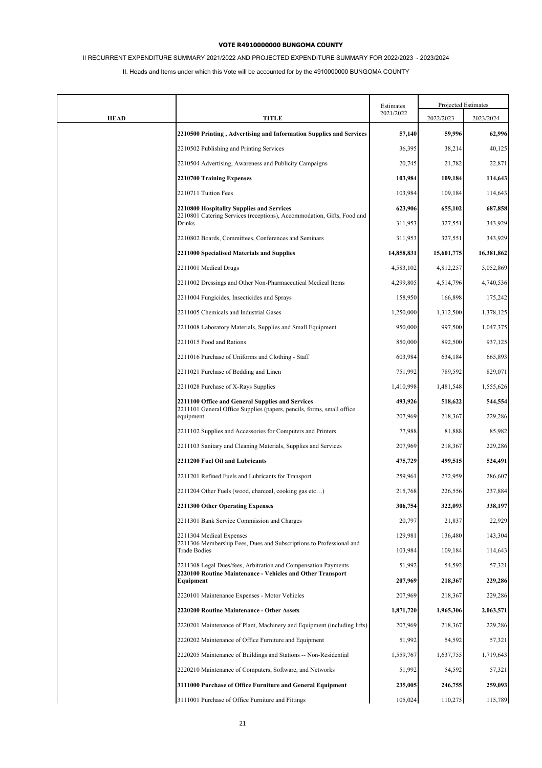# II RECURRENT EXPENDITURE SUMMARY 2021/2022 AND PROJECTED EXPENDITURE SUMMARY FOR 2022/2023 - 2023/2024

|             |                                                                                                                              | Estimates  | Projected Estimates |            |
|-------------|------------------------------------------------------------------------------------------------------------------------------|------------|---------------------|------------|
| <b>HEAD</b> | <b>TITLE</b>                                                                                                                 | 2021/2022  | 2022/2023           | 2023/2024  |
|             | 2210500 Printing, Advertising and Information Supplies and Services                                                          | 57,140     | 59,996              | 62,996     |
|             | 2210502 Publishing and Printing Services                                                                                     | 36,395     | 38,214              | 40,125     |
|             | 2210504 Advertising, Awareness and Publicity Campaigns                                                                       | 20,745     | 21,782              | 22,871     |
|             | 2210700 Training Expenses                                                                                                    | 103,984    | 109,184             | 114,643    |
|             | 2210711 Tuition Fees                                                                                                         | 103,984    | 109,184             | 114,643    |
|             | 2210800 Hospitality Supplies and Services                                                                                    | 623,906    | 655,102             | 687,858    |
|             | 2210801 Catering Services (receptions), Accommodation, Gifts, Food and<br>Drinks                                             | 311,953    | 327,551             | 343,929    |
|             | 2210802 Boards, Committees, Conferences and Seminars                                                                         | 311,953    | 327,551             | 343,929    |
|             | 2211000 Specialised Materials and Supplies                                                                                   | 14,858,831 | 15,601,775          | 16,381,862 |
|             | 2211001 Medical Drugs                                                                                                        | 4,583,102  | 4,812,257           | 5,052,869  |
|             | 2211002 Dressings and Other Non-Pharmaceutical Medical Items                                                                 | 4,299,805  | 4,514,796           | 4,740,536  |
|             | 2211004 Fungicides, Insecticides and Sprays                                                                                  | 158,950    | 166,898             | 175,242    |
|             | 2211005 Chemicals and Industrial Gases                                                                                       | 1,250,000  | 1,312,500           | 1,378,125  |
|             | 2211008 Laboratory Materials, Supplies and Small Equipment                                                                   | 950,000    | 997,500             | 1,047,375  |
|             | 2211015 Food and Rations                                                                                                     | 850,000    | 892,500             | 937,125    |
|             | 2211016 Purchase of Uniforms and Clothing - Staff                                                                            | 603,984    | 634,184             | 665,893    |
|             | 2211021 Purchase of Bedding and Linen                                                                                        | 751,992    | 789,592             | 829,071    |
|             | 2211028 Purchase of X-Rays Supplies                                                                                          | 1,410,998  | 1,481,548           | 1,555,626  |
|             | 2211100 Office and General Supplies and Services                                                                             | 493,926    | 518,622             | 544,554    |
|             | 2211101 General Office Supplies (papers, pencils, forms, small office<br>equipment                                           | 207,969    | 218,367             | 229,286    |
|             | 2211102 Supplies and Accessories for Computers and Printers                                                                  | 77,988     | 81,888              | 85,982     |
|             | 2211103 Sanitary and Cleaning Materials, Supplies and Services                                                               | 207,969    | 218,367             | 229,286    |
|             | 2211200 Fuel Oil and Lubricants                                                                                              | 475,729    | 499,515             | 524,491    |
|             | 2211201 Refined Fuels and Lubricants for Transport                                                                           | 259,961    | 272,959             | 286,607    |
|             | 2211204 Other Fuels (wood, charcoal, cooking gas etc)                                                                        | 215,768    | 226,556             | 237,884    |
|             | 2211300 Other Operating Expenses                                                                                             | 306,754    | 322,093             | 338,197    |
|             | 2211301 Bank Service Commission and Charges                                                                                  | 20,797     | 21,837              | 22,929     |
|             | 2211304 Medical Expenses<br>2211306 Membership Fees, Dues and Subscriptions to Professional and                              | 129,981    | 136,480             | 143,304    |
|             | <b>Trade Bodies</b>                                                                                                          | 103,984    | 109,184             | 114,643    |
|             | 2211308 Legal Dues/fees, Arbitration and Compensation Payments<br>2220100 Routine Maintenance - Vehicles and Other Transport | 51,992     | 54,592              | 57,321     |
|             | Equipment                                                                                                                    | 207,969    | 218,367             | 229,286    |
|             | 2220101 Maintenance Expenses - Motor Vehicles                                                                                | 207,969    | 218,367             | 229,286    |
|             | 2220200 Routine Maintenance - Other Assets                                                                                   | 1,871,720  | 1,965,306           | 2,063,571  |
|             | 2220201 Maintenance of Plant, Machinery and Equipment (including lifts)                                                      | 207,969    | 218,367             | 229,286    |
|             | 2220202 Maintenance of Office Furniture and Equipment                                                                        | 51,992     | 54,592              | 57,321     |
|             | 2220205 Maintenance of Buildings and Stations -- Non-Residential                                                             | 1,559,767  | 1,637,755           | 1,719,643  |
|             | 2220210 Maintenance of Computers, Software, and Networks                                                                     | 51,992     | 54,592              | 57,321     |
|             | 3111000 Purchase of Office Furniture and General Equipment                                                                   | 235,005    | 246,755             | 259,093    |
|             | 3111001 Purchase of Office Furniture and Fittings                                                                            | 105,024    | 110,275             | 115,789    |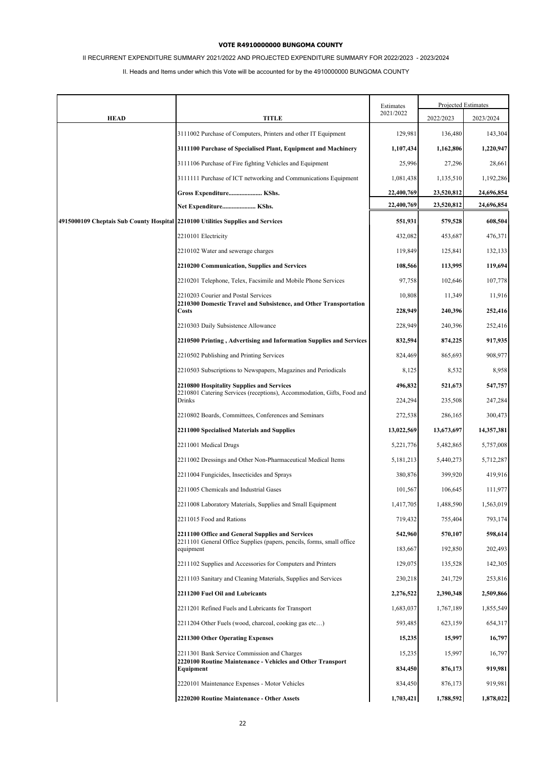# II RECURRENT EXPENDITURE SUMMARY 2021/2022 AND PROJECTED EXPENDITURE SUMMARY FOR 2022/2023 - 2023/2024

|                                                                                 |                                                                                    | Estimates  | Projected Estimates |            |
|---------------------------------------------------------------------------------|------------------------------------------------------------------------------------|------------|---------------------|------------|
| <b>HEAD</b>                                                                     | <b>TITLE</b>                                                                       | 2021/2022  | 2022/2023           | 2023/2024  |
|                                                                                 | 3111002 Purchase of Computers, Printers and other IT Equipment                     | 129,981    | 136,480             | 143,304    |
|                                                                                 | 3111100 Purchase of Specialised Plant, Equipment and Machinery                     | 1,107,434  | 1,162,806           | 1,220,947  |
|                                                                                 | 3111106 Purchase of Fire fighting Vehicles and Equipment                           | 25,996     | 27,296              | 28,661     |
|                                                                                 | 3111111 Purchase of ICT networking and Communications Equipment                    | 1,081,438  | 1,135,510           | 1,192,286  |
|                                                                                 | Gross Expenditure KShs.                                                            | 22,400,769 | 23,520,812          | 24,696,854 |
|                                                                                 | Net Expenditure KShs.                                                              | 22,400,769 | 23,520,812          | 24,696,854 |
| 4915000109 Cheptais Sub County Hospital 2210100 Utilities Supplies and Services |                                                                                    | 551,931    | 579,528             | 608,504    |
|                                                                                 | 2210101 Electricity                                                                | 432,082    | 453,687             | 476,371    |
|                                                                                 | 2210102 Water and sewerage charges                                                 | 119,849    | 125,841             | 132,133    |
|                                                                                 | 2210200 Communication, Supplies and Services                                       | 108,566    | 113,995             | 119,694    |
|                                                                                 | 2210201 Telephone, Telex, Facsimile and Mobile Phone Services                      | 97,758     | 102,646             | 107,778    |
|                                                                                 | 2210203 Courier and Postal Services                                                | 10,808     | 11,349              | 11,916     |
|                                                                                 | 2210300 Domestic Travel and Subsistence, and Other Transportation<br><b>Costs</b>  | 228,949    | 240,396             | 252,416    |
|                                                                                 | 2210303 Daily Subsistence Allowance                                                | 228,949    | 240,396             | 252,416    |
|                                                                                 | 2210500 Printing, Advertising and Information Supplies and Services                | 832,594    | 874,225             | 917,935    |
|                                                                                 | 2210502 Publishing and Printing Services                                           | 824,469    | 865,693             | 908,977    |
|                                                                                 | 2210503 Subscriptions to Newspapers, Magazines and Periodicals                     | 8,125      | 8,532               | 8,958      |
|                                                                                 | 2210800 Hospitality Supplies and Services                                          | 496,832    | 521,673             | 547,757    |
|                                                                                 | 2210801 Catering Services (receptions), Accommodation, Gifts, Food and<br>Drinks   | 224,294    | 235,508             | 247,284    |
|                                                                                 | 2210802 Boards, Committees, Conferences and Seminars                               | 272,538    | 286,165             | 300,473    |
|                                                                                 | 2211000 Specialised Materials and Supplies                                         | 13,022,569 | 13,673,697          | 14,357,381 |
|                                                                                 | 2211001 Medical Drugs                                                              | 5,221,776  | 5,482,865           | 5,757,008  |
|                                                                                 | 2211002 Dressings and Other Non-Pharmaceutical Medical Items                       | 5,181,213  | 5,440,273           | 5,712,287  |
|                                                                                 | 2211004 Fungicides, Insecticides and Sprays                                        | 380,876    | 399,920             | 419,916    |
|                                                                                 | 2211005 Chemicals and Industrial Gases                                             | 101,567    | 106,645             | 111,977    |
|                                                                                 | 2211008 Laboratory Materials, Supplies and Small Equipment                         | 1,417,705  | 1,488,590           | 1,563,019  |
|                                                                                 | 2211015 Food and Rations                                                           | 719,432    | 755,404             | 793,174    |
|                                                                                 | 2211100 Office and General Supplies and Services                                   | 542,960    | 570,107             | 598,614    |
|                                                                                 | 2211101 General Office Supplies (papers, pencils, forms, small office<br>equipment | 183,667    | 192,850             | 202,493    |
|                                                                                 | 2211102 Supplies and Accessories for Computers and Printers                        | 129,075    | 135,528             | 142,305    |
|                                                                                 | 2211103 Sanitary and Cleaning Materials, Supplies and Services                     | 230,218    | 241,729             | 253,816    |
|                                                                                 | 2211200 Fuel Oil and Lubricants                                                    | 2,276,522  | 2,390,348           | 2,509,866  |
|                                                                                 | 2211201 Refined Fuels and Lubricants for Transport                                 | 1,683,037  | 1,767,189           | 1,855,549  |
|                                                                                 | 2211204 Other Fuels (wood, charcoal, cooking gas etc)                              | 593,485    | 623,159             | 654,317    |
|                                                                                 | 2211300 Other Operating Expenses                                                   | 15,235     | 15,997              | 16,797     |
|                                                                                 | 2211301 Bank Service Commission and Charges                                        | 15,235     | 15,997              | 16,797     |
|                                                                                 | 2220100 Routine Maintenance - Vehicles and Other Transport<br>Equipment            | 834,450    | 876,173             | 919,981    |
|                                                                                 | 2220101 Maintenance Expenses - Motor Vehicles                                      | 834,450    | 876,173             | 919,981    |
|                                                                                 | 2220200 Routine Maintenance - Other Assets                                         | 1,703,421  | 1,788,592           | 1,878,022  |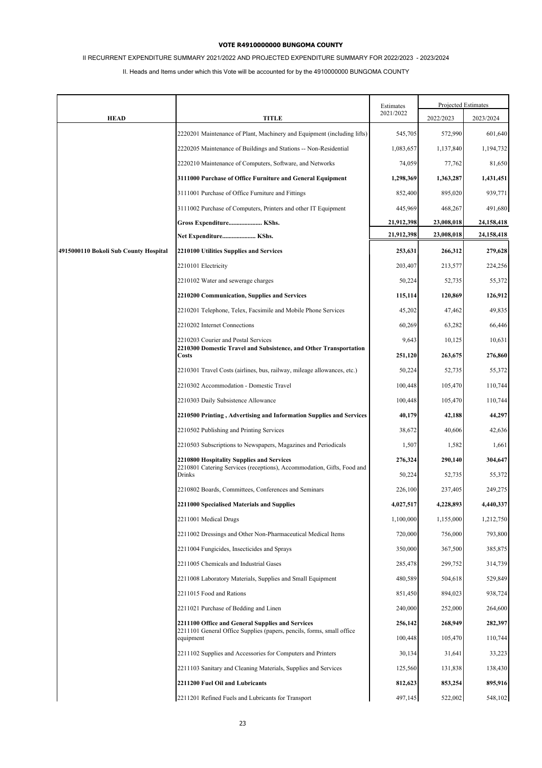# II RECURRENT EXPENDITURE SUMMARY 2021/2022 AND PROJECTED EXPENDITURE SUMMARY FOR 2022/2023 - 2023/2024

|                                       |                                                                                    | Estimates  | Projected Estimates |            |
|---------------------------------------|------------------------------------------------------------------------------------|------------|---------------------|------------|
| <b>HEAD</b>                           | <b>TITLE</b>                                                                       | 2021/2022  | 2022/2023           | 2023/2024  |
|                                       | 2220201 Maintenance of Plant, Machinery and Equipment (including lifts)            | 545,705    | 572,990             | 601,640    |
|                                       | 2220205 Maintenance of Buildings and Stations -- Non-Residential                   | 1,083,657  | 1,137,840           | 1,194,732  |
|                                       | 2220210 Maintenance of Computers, Software, and Networks                           | 74,059     | 77,762              | 81,650     |
|                                       | 3111000 Purchase of Office Furniture and General Equipment                         | 1,298,369  | 1,363,287           | 1,431,451  |
|                                       | 3111001 Purchase of Office Furniture and Fittings                                  | 852,400    | 895,020             | 939,771    |
|                                       | 3111002 Purchase of Computers, Printers and other IT Equipment                     | 445,969    | 468,267             | 491,680    |
|                                       | Gross Expenditure KShs.                                                            | 21,912,398 | 23,008,018          | 24,158,418 |
|                                       | Net Expenditure KShs.                                                              | 21,912,398 | 23,008,018          | 24,158,418 |
| 4915000110 Bokoli Sub County Hospital | 2210100 Utilities Supplies and Services                                            | 253,631    | 266,312             | 279,628    |
|                                       | 2210101 Electricity                                                                | 203,407    | 213,577             | 224,256    |
|                                       | 2210102 Water and sewerage charges                                                 | 50,224     | 52,735              | 55,372     |
|                                       | 2210200 Communication, Supplies and Services                                       | 115,114    | 120,869             | 126,912    |
|                                       | 2210201 Telephone, Telex, Facsimile and Mobile Phone Services                      | 45,202     | 47,462              | 49,835     |
|                                       | 2210202 Internet Connections                                                       | 60,269     | 63,282              | 66,446     |
|                                       | 2210203 Courier and Postal Services                                                | 9,643      | 10,125              | 10,631     |
|                                       | 2210300 Domestic Travel and Subsistence, and Other Transportation<br>Costs         | 251,120    | 263,675             | 276,860    |
|                                       | 2210301 Travel Costs (airlines, bus, railway, mileage allowances, etc.)            | 50,224     | 52,735              | 55,372     |
|                                       | 2210302 Accommodation - Domestic Travel                                            | 100,448    | 105,470             | 110,744    |
|                                       | 2210303 Daily Subsistence Allowance                                                | 100,448    | 105,470             | 110,744    |
|                                       | 2210500 Printing, Advertising and Information Supplies and Services                | 40,179     | 42,188              | 44,297     |
|                                       | 2210502 Publishing and Printing Services                                           | 38,672     | 40,606              | 42,636     |
|                                       | 2210503 Subscriptions to Newspapers, Magazines and Periodicals                     | 1,507      | 1,582               | 1,661      |
|                                       | 2210800 Hospitality Supplies and Services                                          | 276,324    | 290,140             | 304,647    |
|                                       | 2210801 Catering Services (receptions), Accommodation, Gifts, Food and<br>Drinks   | 50,224     | 52,735              | 55,372     |
|                                       | 2210802 Boards, Committees, Conferences and Seminars                               | 226,100    | 237,405             | 249,275    |
|                                       | 2211000 Specialised Materials and Supplies                                         | 4,027,517  | 4,228,893           | 4,440,337  |
|                                       | 2211001 Medical Drugs                                                              | 1,100,000  | 1,155,000           | 1,212,750  |
|                                       | 2211002 Dressings and Other Non-Pharmaceutical Medical Items                       | 720,000    | 756,000             | 793,800    |
|                                       | 2211004 Fungicides, Insecticides and Sprays                                        | 350,000    | 367,500             | 385,875    |
|                                       | 2211005 Chemicals and Industrial Gases                                             | 285,478    | 299,752             | 314,739    |
|                                       | 2211008 Laboratory Materials, Supplies and Small Equipment                         | 480,589    | 504,618             | 529,849    |
|                                       | 2211015 Food and Rations                                                           | 851,450    | 894,023             | 938,724    |
|                                       | 2211021 Purchase of Bedding and Linen                                              | 240,000    | 252,000             | 264,600    |
|                                       | 2211100 Office and General Supplies and Services                                   | 256,142    | 268,949             | 282,397    |
|                                       | 2211101 General Office Supplies (papers, pencils, forms, small office<br>equipment | 100,448    | 105,470             | 110,744    |
|                                       | 2211102 Supplies and Accessories for Computers and Printers                        | 30,134     | 31,641              | 33,223     |
|                                       | 2211103 Sanitary and Cleaning Materials, Supplies and Services                     | 125,560    | 131,838             | 138,430    |
|                                       | 2211200 Fuel Oil and Lubricants                                                    | 812,623    | 853,254             | 895,916    |
|                                       | 2211201 Refined Fuels and Lubricants for Transport                                 | 497,145    | 522,002             | 548,102    |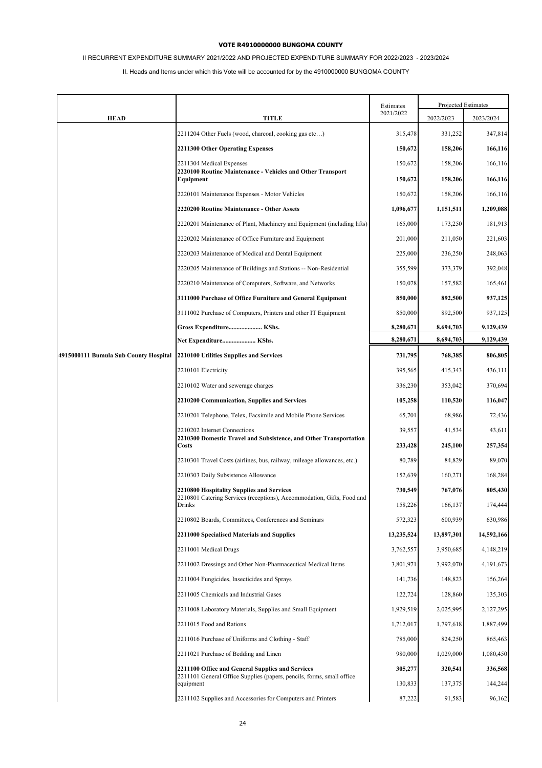# II RECURRENT EXPENDITURE SUMMARY 2021/2022 AND PROJECTED EXPENDITURE SUMMARY FOR 2022/2023 - 2023/2024

|                                       |                                                                                                                           | Estimates  | Projected Estimates |             |
|---------------------------------------|---------------------------------------------------------------------------------------------------------------------------|------------|---------------------|-------------|
| <b>HEAD</b>                           | TITLE                                                                                                                     | 2021/2022  | 2022/2023           | 2023/2024   |
|                                       | 2211204 Other Fuels (wood, charcoal, cooking gas etc)                                                                     | 315,478    | 331,252             | 347,814     |
|                                       | 2211300 Other Operating Expenses                                                                                          | 150,672    | 158,206             | 166,116     |
|                                       | 2211304 Medical Expenses                                                                                                  | 150,672    | 158,206             | 166,116     |
|                                       | 2220100 Routine Maintenance - Vehicles and Other Transport<br>Equipment                                                   | 150,672    | 158,206             | 166,116     |
|                                       | 2220101 Maintenance Expenses - Motor Vehicles                                                                             | 150,672    | 158,206             | 166,116     |
|                                       | 2220200 Routine Maintenance - Other Assets                                                                                | 1,096,677  | 1,151,511           | 1,209,088   |
|                                       | 2220201 Maintenance of Plant, Machinery and Equipment (including lifts)                                                   | 165,000    | 173,250             | 181,913     |
|                                       | 2220202 Maintenance of Office Furniture and Equipment                                                                     | 201,000    | 211,050             | 221,603     |
|                                       | 2220203 Maintenance of Medical and Dental Equipment                                                                       | 225,000    | 236,250             | 248,063     |
|                                       | 2220205 Maintenance of Buildings and Stations -- Non-Residential                                                          | 355,599    | 373,379             | 392,048     |
|                                       | 2220210 Maintenance of Computers, Software, and Networks                                                                  | 150,078    | 157,582             | 165,461     |
|                                       | 3111000 Purchase of Office Furniture and General Equipment                                                                | 850,000    | 892,500             | 937,125     |
|                                       | 3111002 Purchase of Computers, Printers and other IT Equipment                                                            | 850,000    | 892,500             | 937,125     |
|                                       | Gross Expenditure KShs.                                                                                                   | 8,280,671  | 8,694,703           | 9,129,439   |
|                                       | Net Expenditure KShs.                                                                                                     | 8,280,671  | 8,694,703           | 9,129,439   |
| 4915000111 Bumula Sub County Hospital | 2210100 Utilities Supplies and Services                                                                                   | 731,795    | 768,385             | 806,805     |
|                                       | 2210101 Electricity                                                                                                       | 395,565    | 415,343             | 436,111     |
|                                       | 2210102 Water and sewerage charges                                                                                        | 336,230    | 353,042             | 370,694     |
|                                       | 2210200 Communication, Supplies and Services                                                                              | 105,258    | 110,520             | 116,047     |
|                                       | 2210201 Telephone, Telex, Facsimile and Mobile Phone Services                                                             | 65,701     | 68,986              | 72,436      |
|                                       | 2210202 Internet Connections<br>2210300 Domestic Travel and Subsistence, and Other Transportation                         | 39,557     | 41,534              | 43,611      |
|                                       | Costs                                                                                                                     | 233,428    | 245,100             | 257,354     |
|                                       | 2210301 Travel Costs (airlines, bus, railway, mileage allowances, etc.)                                                   | 80,789     | 84,829              | 89,070      |
|                                       | 2210303 Daily Subsistence Allowance                                                                                       | 152,639    | 160,271             | 168,284     |
|                                       | 2210800 Hospitality Supplies and Services<br>2210801 Catering Services (receptions), Accommodation, Gifts, Food and       | 730,549    | 767,076             | 805,430     |
|                                       | Drinks                                                                                                                    | 158,226    | 166,137             | 174,444     |
|                                       | 2210802 Boards, Committees, Conferences and Seminars                                                                      | 572,323    | 600,939             | 630,986     |
|                                       | 2211000 Specialised Materials and Supplies                                                                                | 13,235,524 | 13,897,301          | 14,592,166  |
|                                       | 2211001 Medical Drugs                                                                                                     | 3,762,557  | 3,950,685           | 4,148,219   |
|                                       | 2211002 Dressings and Other Non-Pharmaceutical Medical Items                                                              | 3,801,971  | 3,992,070           | 4, 191, 673 |
|                                       | 2211004 Fungicides, Insecticides and Sprays                                                                               | 141,736    | 148,823             | 156,264     |
|                                       | 2211005 Chemicals and Industrial Gases                                                                                    | 122,724    | 128,860             | 135,303     |
|                                       | 2211008 Laboratory Materials, Supplies and Small Equipment                                                                | 1,929,519  | 2,025,995           | 2,127,295   |
|                                       | 2211015 Food and Rations                                                                                                  | 1,712,017  | 1,797,618           | 1,887,499   |
|                                       | 2211016 Purchase of Uniforms and Clothing - Staff                                                                         | 785,000    | 824,250             | 865,463     |
|                                       | 2211021 Purchase of Bedding and Linen                                                                                     | 980,000    | 1,029,000           | 1,080,450   |
|                                       | 2211100 Office and General Supplies and Services<br>2211101 General Office Supplies (papers, pencils, forms, small office | 305,277    | 320,541             | 336,568     |
|                                       | equipment                                                                                                                 | 130,833    | 137,375             | 144,244     |
|                                       | 2211102 Supplies and Accessories for Computers and Printers                                                               | 87,222     | 91,583              | 96,162      |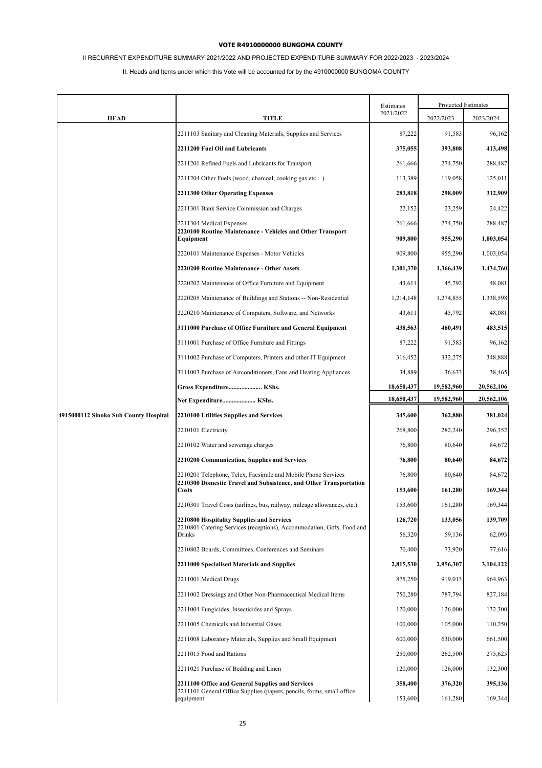# II RECURRENT EXPENDITURE SUMMARY 2021/2022 AND PROJECTED EXPENDITURE SUMMARY FOR 2022/2023 - 2023/2024

|                                       |                                                                                                                                        | Estimates          | Projected Estimates |                    |
|---------------------------------------|----------------------------------------------------------------------------------------------------------------------------------------|--------------------|---------------------|--------------------|
| <b>HEAD</b>                           | <b>TITLE</b>                                                                                                                           | 2021/2022          | 2022/2023           | 2023/2024          |
|                                       | 2211103 Sanitary and Cleaning Materials, Supplies and Services                                                                         | 87,222             | 91,583              | 96,162             |
|                                       | 2211200 Fuel Oil and Lubricants                                                                                                        | 375,055            | 393,808             | 413,498            |
|                                       | 2211201 Refined Fuels and Lubricants for Transport                                                                                     | 261,666            | 274,750             | 288,487            |
|                                       | 2211204 Other Fuels (wood, charcoal, cooking gas etc)                                                                                  | 113,389            | 119,058             | 125,011            |
|                                       | 2211300 Other Operating Expenses                                                                                                       | 283,818            | 298,009             | 312,909            |
|                                       | 2211301 Bank Service Commission and Charges                                                                                            | 22,152             | 23,259              | 24,422             |
|                                       | 2211304 Medical Expenses                                                                                                               | 261,666            | 274,750             | 288,487            |
|                                       | 2220100 Routine Maintenance - Vehicles and Other Transport<br>Equipment                                                                | 909,800            | 955,290             | 1,003,054          |
|                                       | 2220101 Maintenance Expenses - Motor Vehicles                                                                                          | 909,800            | 955,290             | 1,003,054          |
|                                       | 2220200 Routine Maintenance - Other Assets                                                                                             | 1,301,370          | 1,366,439           | 1,434,760          |
|                                       | 2220202 Maintenance of Office Furniture and Equipment                                                                                  | 43,611             | 45,792              | 48,081             |
|                                       | 2220205 Maintenance of Buildings and Stations -- Non-Residential                                                                       | 1,214,148          | 1,274,855           | 1,338,598          |
|                                       | 2220210 Maintenance of Computers, Software, and Networks                                                                               | 43,611             | 45,792              | 48,081             |
|                                       | 3111000 Purchase of Office Furniture and General Equipment                                                                             | 438,563            | 460,491             | 483,515            |
|                                       | 3111001 Purchase of Office Furniture and Fittings                                                                                      | 87,222             | 91,583              | 96,162             |
|                                       | 3111002 Purchase of Computers, Printers and other IT Equipment                                                                         | 316,452            | 332,275             | 348,888            |
|                                       | 3111003 Purchase of Airconditioners, Fans and Heating Appliances                                                                       | 34,889             | 36,633              | 38,465             |
|                                       | Gross Expenditure KShs.                                                                                                                | 18,650,437         | 19,582,960          | 20,562,106         |
|                                       | Net Expenditure KShs.                                                                                                                  | 18,650,437         | 19,582,960          | 20,562,106         |
| 4915000112 Sinoko Sub County Hospital | 2210100 Utilities Supplies and Services                                                                                                | 345,600            | 362,880             | 381,024            |
|                                       | 2210101 Electricity                                                                                                                    | 268,800            | 282,240             | 296,352            |
|                                       | 2210102 Water and sewerage charges                                                                                                     | 76,800             | 80,640              | 84,672             |
|                                       | 2210200 Communication, Supplies and Services                                                                                           | 76,800             | 80,640              | 84,672             |
|                                       | 2210201 Telephone, Telex, Facsimile and Mobile Phone Services<br>2210300 Domestic Travel and Subsistence, and Other Transportation     | 76,800             | 80,640              | 84,672             |
|                                       | Costs                                                                                                                                  | 153,600            | 161,280             | 169,344            |
|                                       | 2210301 Travel Costs (airlines, bus, railway, mileage allowances, etc.)                                                                | 153,600            | 161,280             | 169,344            |
|                                       | 2210800 Hospitality Supplies and Services<br>2210801 Catering Services (receptions), Accommodation, Gifts, Food and                    | 126,720            | 133,056             | 139,709            |
|                                       | Drinks                                                                                                                                 | 56,320             | 59,136              | 62,093             |
|                                       | 2210802 Boards, Committees, Conferences and Seminars                                                                                   | 70,400             | 73,920              | 77,616             |
|                                       | 2211000 Specialised Materials and Supplies                                                                                             | 2,815,530          | 2,956,307           | 3,104,122          |
|                                       | 2211001 Medical Drugs                                                                                                                  | 875,250            | 919,013             | 964,963            |
|                                       | 2211002 Dressings and Other Non-Pharmaceutical Medical Items                                                                           | 750,280            | 787,794             | 827,184            |
|                                       | 2211004 Fungicides, Insecticides and Sprays                                                                                            | 120,000            | 126,000             | 132,300            |
|                                       | 2211005 Chemicals and Industrial Gases                                                                                                 | 100,000            | 105,000             | 110,250            |
|                                       | 2211008 Laboratory Materials, Supplies and Small Equipment                                                                             | 600,000            | 630,000             | 661,500            |
|                                       | 2211015 Food and Rations                                                                                                               | 250,000            | 262,500             | 275,625            |
|                                       | 2211021 Purchase of Bedding and Linen                                                                                                  | 120,000            | 126,000             | 132,300            |
|                                       | 2211100 Office and General Supplies and Services<br>2211101 General Office Supplies (papers, pencils, forms, small office<br>equipment | 358,400<br>153,600 | 376,320<br>161,280  | 395,136<br>169,344 |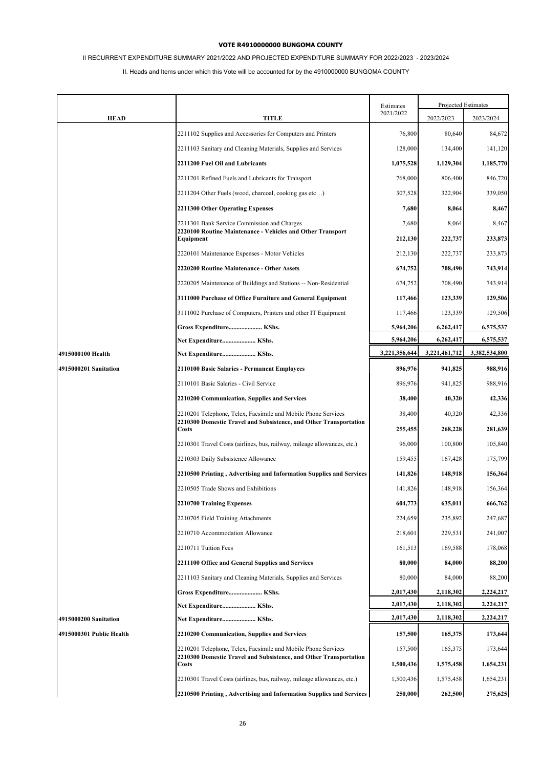# II RECURRENT EXPENDITURE SUMMARY 2021/2022 AND PROJECTED EXPENDITURE SUMMARY FOR 2022/2023 - 2023/2024

|                          |                                                                                                                                    | Estimates     | Projected Estimates |               |
|--------------------------|------------------------------------------------------------------------------------------------------------------------------------|---------------|---------------------|---------------|
| <b>HEAD</b>              | TITLE                                                                                                                              | 2021/2022     | 2022/2023           | 2023/2024     |
|                          | 2211102 Supplies and Accessories for Computers and Printers                                                                        | 76,800        | 80,640              | 84,672        |
|                          | 2211103 Sanitary and Cleaning Materials, Supplies and Services                                                                     | 128,000       | 134,400             | 141,120       |
|                          | 2211200 Fuel Oil and Lubricants                                                                                                    | 1,075,528     | 1,129,304           | 1,185,770     |
|                          | 2211201 Refined Fuels and Lubricants for Transport                                                                                 | 768,000       | 806,400             | 846,720       |
|                          | 2211204 Other Fuels (wood, charcoal, cooking gas etc)                                                                              | 307,528       | 322,904             | 339,050       |
|                          | 2211300 Other Operating Expenses                                                                                                   | 7,680         | 8,064               | 8,467         |
|                          | 2211301 Bank Service Commission and Charges<br>2220100 Routine Maintenance - Vehicles and Other Transport                          | 7,680         | 8,064               | 8,467         |
|                          | Equipment                                                                                                                          | 212,130       | 222,737             | 233,873       |
|                          | 2220101 Maintenance Expenses - Motor Vehicles                                                                                      | 212,130       | 222,737             | 233,873       |
|                          | 2220200 Routine Maintenance - Other Assets                                                                                         | 674,752       | 708,490             | 743,914       |
|                          | 2220205 Maintenance of Buildings and Stations -- Non-Residential                                                                   | 674,752       | 708,490             | 743,914       |
|                          | 3111000 Purchase of Office Furniture and General Equipment                                                                         | 117,466       | 123,339             | 129,506       |
|                          | 3111002 Purchase of Computers, Printers and other IT Equipment                                                                     | 117,466       | 123,339             | 129,506       |
|                          | Gross Expenditure KShs.                                                                                                            | 5,964,206     | 6,262,417           | 6,575,537     |
|                          | Net Expenditure KShs.                                                                                                              | 5,964,206     | 6,262,417           | 6,575,537     |
| 4915000100 Health        | Net Expenditure KShs.                                                                                                              | 3,221,356,644 | 3,221,461,712       | 3,382,534,800 |
| 4915000201 Sanitation    | 2110100 Basic Salaries - Permanent Employees                                                                                       | 896,976       | 941,825             | 988,916       |
|                          | 2110101 Basic Salaries - Civil Service                                                                                             | 896,976       | 941,825             | 988,916       |
|                          | 2210200 Communication, Supplies and Services                                                                                       | 38,400        | 40,320              | 42,336        |
|                          | 2210201 Telephone, Telex, Facsimile and Mobile Phone Services<br>2210300 Domestic Travel and Subsistence, and Other Transportation | 38,400        | 40,320              | 42,336        |
|                          | Costs                                                                                                                              | 255,455       | 268,228             | 281,639       |
|                          | 2210301 Travel Costs (airlines, bus, railway, mileage allowances, etc.)                                                            | 96,000        | 100,800             | 105,840       |
|                          | 2210303 Daily Subsistence Allowance                                                                                                | 159,455       | 167,428             | 175,799       |
|                          | 2210500 Printing, Advertising and Information Supplies and Services                                                                | 141,826       | 148,918             | 156,364       |
|                          | 2210505 Trade Shows and Exhibitions                                                                                                | 141,826       | 148,918             | 156,364       |
|                          | 2210700 Training Expenses                                                                                                          | 604,773       | 635,011             | 666,762       |
|                          | 2210705 Field Training Attachments                                                                                                 | 224,659       | 235,892             | 247,687       |
|                          | 2210710 Accommodation Allowance                                                                                                    | 218,601       | 229,531             | 241,007       |
|                          | 2210711 Tuition Fees                                                                                                               | 161,513       | 169,588             | 178,068       |
|                          | 2211100 Office and General Supplies and Services                                                                                   | 80,000        | 84,000              | 88,200        |
|                          | 2211103 Sanitary and Cleaning Materials, Supplies and Services                                                                     | 80,000        | 84,000              | 88,200        |
|                          | Gross Expenditure KShs.                                                                                                            | 2,017,430     | 2,118,302           | 2,224,217     |
|                          | Net Expenditure KShs.                                                                                                              | 2,017,430     | 2,118,302           | 2,224,217     |
| 4915000200 Sanitation    | Net Expenditure KShs.                                                                                                              | 2,017,430     | 2,118,302           | 2,224,217     |
| 4915000301 Public Health | 2210200 Communication, Supplies and Services                                                                                       | 157,500       | 165,375             | 173,644       |
|                          | 2210201 Telephone, Telex, Facsimile and Mobile Phone Services<br>2210300 Domestic Travel and Subsistence, and Other Transportation | 157,500       | 165,375             | 173,644       |
|                          | Costs                                                                                                                              | 1,500,436     | 1,575,458           | 1,654,231     |
|                          | 2210301 Travel Costs (airlines, bus, railway, mileage allowances, etc.)                                                            | 1,500,436     | 1,575,458           | 1,654,231     |
|                          | 2210500 Printing, Advertising and Information Supplies and Services                                                                | 250,000       | 262,500             | 275,625       |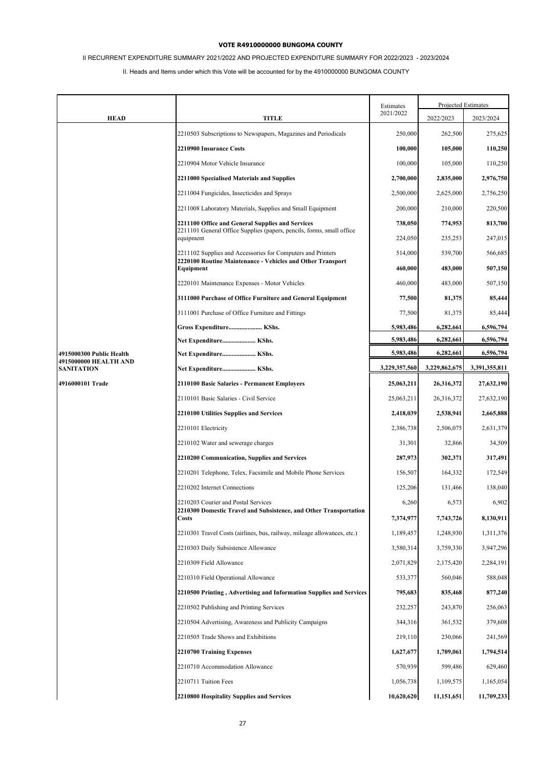# II RECURRENT EXPENDITURE SUMMARY 2021/2022 AND PROJECTED EXPENDITURE SUMMARY FOR 2022/2023 - 2023/2024

|                                                   |                                                                                                                                        | Estimates          |                    | Projected Estimates |
|---------------------------------------------------|----------------------------------------------------------------------------------------------------------------------------------------|--------------------|--------------------|---------------------|
| <b>HEAD</b>                                       | <b>TITLE</b>                                                                                                                           | 2021/2022          | 2022/2023          | 2023/2024           |
|                                                   | 2210503 Subscriptions to Newspapers, Magazines and Periodicals                                                                         | 250,000            | 262,500            | 275,625             |
|                                                   | 2210900 Insurance Costs                                                                                                                | 100,000            | 105,000            | 110,250             |
|                                                   | 2210904 Motor Vehicle Insurance                                                                                                        | 100,000            | 105,000            | 110,250             |
|                                                   | 2211000 Specialised Materials and Supplies                                                                                             | 2,700,000          | 2,835,000          | 2,976,750           |
|                                                   | 2211004 Fungicides, Insecticides and Sprays                                                                                            | 2,500,000          | 2,625,000          | 2,756,250           |
|                                                   | 2211008 Laboratory Materials, Supplies and Small Equipment                                                                             | 200,000            | 210,000            | 220,500             |
|                                                   | 2211100 Office and General Supplies and Services<br>2211101 General Office Supplies (papers, pencils, forms, small office              | 738,050            | 774,953            | 813,700             |
|                                                   | equipment                                                                                                                              | 224,050            | 235,253            | 247,015             |
|                                                   | 2211102 Supplies and Accessories for Computers and Printers<br>2220100 Routine Maintenance - Vehicles and Other Transport<br>Equipment | 514,000<br>460,000 | 539,700<br>483,000 | 566,685<br>507,150  |
|                                                   | 2220101 Maintenance Expenses - Motor Vehicles                                                                                          | 460,000            | 483,000            | 507,150             |
|                                                   | 3111000 Purchase of Office Furniture and General Equipment                                                                             | 77,500             | 81,375             | 85,444              |
|                                                   | 3111001 Purchase of Office Furniture and Fittings                                                                                      | 77,500             | 81,375             | 85,444              |
|                                                   | Gross Expenditure KShs.                                                                                                                | 5,983,486          | 6,282,661          | 6,596,794           |
|                                                   | Net Expenditure KShs.                                                                                                                  | 5,983,486          | 6,282,661          | 6,596,794           |
| 4915000300 Public Health<br>4915000000 HEALTH AND | Net Expenditure KShs.                                                                                                                  | 5,983,486          | 6,282,661          | 6,596,794           |
| <b>SANITATION</b>                                 | Net Expenditure KShs.                                                                                                                  | 3,229,357,560      | 3,229,862,675      | 3,391,355,811       |
| 4916000101 Trade                                  | 2110100 Basic Salaries - Permanent Employees                                                                                           | 25,063,211         | 26,316,372         | 27,632,190          |
|                                                   | 2110101 Basic Salaries - Civil Service                                                                                                 | 25,063,211         | 26,316,372         | 27,632,190          |
|                                                   | 2210100 Utilities Supplies and Services                                                                                                | 2,418,039          | 2,538,941          | 2,665,888           |
|                                                   | 2210101 Electricity                                                                                                                    | 2,386,738          | 2,506,075          | 2,631,379           |
|                                                   | 2210102 Water and sewerage charges                                                                                                     | 31,301             | 32,866             | 34,509              |
|                                                   | 2210200 Communication, Supplies and Services                                                                                           | 287,973            | 302,371            | 317,491             |
|                                                   | 2210201 Telephone, Telex, Facsimile and Mobile Phone Services                                                                          | 156,507            | 164,332            | 172,549             |
|                                                   | 2210202 Internet Connections                                                                                                           | 125,206            | 131,466            | 138,040             |
|                                                   | 2210203 Courier and Postal Services<br>2210300 Domestic Travel and Subsistence, and Other Transportation                               | 6,260              | 6,573              | 6,902               |
|                                                   | <b>Costs</b>                                                                                                                           | 7,374,977          | 7,743,726          | 8,130,911           |
|                                                   | 2210301 Travel Costs (airlines, bus, railway, mileage allowances, etc.)                                                                | 1,189,457          | 1,248,930          | 1,311,376           |
|                                                   | 2210303 Daily Subsistence Allowance                                                                                                    | 3,580,314          | 3,759,330          | 3,947,296           |
|                                                   | 2210309 Field Allowance                                                                                                                | 2,071,829          | 2,175,420          | 2,284,191           |
|                                                   | 2210310 Field Operational Allowance                                                                                                    | 533,377            | 560,046            | 588,048             |
|                                                   | 2210500 Printing, Advertising and Information Supplies and Services                                                                    | 795,683            | 835,468            | 877,240             |
|                                                   | 2210502 Publishing and Printing Services                                                                                               | 232,257            | 243,870            | 256,063             |
|                                                   | 2210504 Advertising, Awareness and Publicity Campaigns                                                                                 | 344,316            | 361,532            | 379,608             |
|                                                   | 2210505 Trade Shows and Exhibitions                                                                                                    | 219,110            | 230,066            | 241,569             |
|                                                   | 2210700 Training Expenses                                                                                                              | 1,627,677          | 1,709,061          | 1,794,514           |
|                                                   | 2210710 Accommodation Allowance                                                                                                        | 570,939            | 599,486            | 629,460             |
|                                                   | 2210711 Tuition Fees                                                                                                                   | 1,056,738          | 1,109,575          | 1,165,054           |
|                                                   | 2210800 Hospitality Supplies and Services                                                                                              | 10,620,620         | 11,151,651         | 11,709,233          |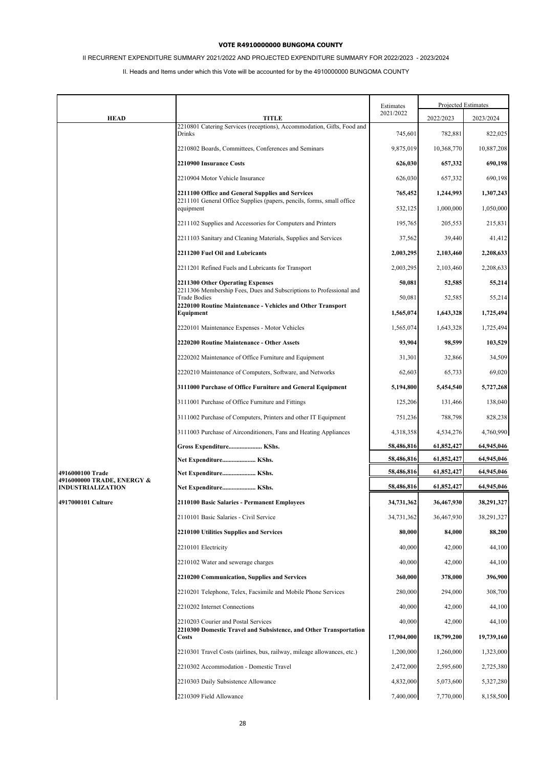# II RECURRENT EXPENDITURE SUMMARY 2021/2022 AND PROJECTED EXPENDITURE SUMMARY FOR 2022/2023 - 2023/2024

|                                                |                                                                                                          | Estimates  |            | Projected Estimates |
|------------------------------------------------|----------------------------------------------------------------------------------------------------------|------------|------------|---------------------|
| <b>HEAD</b>                                    | TITLE                                                                                                    | 2021/2022  | 2022/2023  | 2023/2024           |
|                                                | 2210801 Catering Services (receptions), Accommodation, Gifts, Food and<br>Drinks                         | 745,601    | 782,881    | 822,025             |
|                                                | 2210802 Boards, Committees, Conferences and Seminars                                                     | 9,875,019  | 10,368,770 | 10,887,208          |
|                                                | 2210900 Insurance Costs                                                                                  | 626,030    | 657,332    | 690,198             |
|                                                | 2210904 Motor Vehicle Insurance                                                                          | 626,030    | 657,332    | 690,198             |
|                                                | 2211100 Office and General Supplies and Services                                                         | 765,452    | 1,244,993  | 1,307,243           |
|                                                | 2211101 General Office Supplies (papers, pencils, forms, small office<br>equipment                       | 532,125    | 1,000,000  | 1,050,000           |
|                                                | 2211102 Supplies and Accessories for Computers and Printers                                              | 195,765    | 205,553    | 215,831             |
|                                                | 2211103 Sanitary and Cleaning Materials, Supplies and Services                                           | 37,562     | 39,440     | 41,412              |
|                                                | 2211200 Fuel Oil and Lubricants                                                                          | 2,003,295  | 2,103,460  | 2,208,633           |
|                                                | 2211201 Refined Fuels and Lubricants for Transport                                                       | 2,003,295  | 2,103,460  | 2,208,633           |
|                                                | 2211300 Other Operating Expenses                                                                         | 50,081     | 52,585     | 55,214              |
|                                                | 2211306 Membership Fees, Dues and Subscriptions to Professional and<br><b>Trade Bodies</b>               | 50,081     | 52,585     | 55,214              |
|                                                | 2220100 Routine Maintenance - Vehicles and Other Transport<br>Equipment                                  | 1,565,074  | 1,643,328  | 1,725,494           |
|                                                | 2220101 Maintenance Expenses - Motor Vehicles                                                            | 1,565,074  | 1,643,328  | 1,725,494           |
|                                                | 2220200 Routine Maintenance - Other Assets                                                               | 93.904     | 98,599     | 103,529             |
|                                                | 2220202 Maintenance of Office Furniture and Equipment                                                    | 31,301     | 32,866     | 34,509              |
|                                                | 2220210 Maintenance of Computers, Software, and Networks                                                 | 62,603     | 65,733     | 69,020              |
|                                                | 3111000 Purchase of Office Furniture and General Equipment                                               | 5,194,800  | 5,454,540  | 5,727,268           |
|                                                | 3111001 Purchase of Office Furniture and Fittings                                                        | 125,206    | 131,466    | 138,040             |
|                                                | 3111002 Purchase of Computers, Printers and other IT Equipment                                           | 751,236    | 788,798    | 828,238             |
|                                                | 3111003 Purchase of Airconditioners, Fans and Heating Appliances                                         | 4,318,358  | 4,534,276  | 4,760,990           |
|                                                | Gross Expenditure KShs.                                                                                  | 58,486,816 | 61,852,427 | 64,945,046          |
|                                                | Net Expenditure KShs.                                                                                    | 58,486,816 | 61,852,427 | 64,945,046          |
| 4916000100 Trade<br>4916000000 TRADE, ENERGY & | Net Expenditure KShs.                                                                                    | 58,486,816 | 61,852,427 | 64,945,046          |
| <b>INDUSTRIALIZATION</b>                       | Net Expenditure KShs.                                                                                    | 58,486,816 | 61,852,427 | 64,945,046          |
| 4917000101 Culture                             | 2110100 Basic Salaries - Permanent Employees                                                             | 34,731,362 | 36,467,930 | 38,291,327          |
|                                                | 2110101 Basic Salaries - Civil Service                                                                   | 34,731,362 | 36,467,930 | 38,291,327          |
|                                                | 2210100 Utilities Supplies and Services                                                                  | 80,000     | 84,000     | 88,200              |
|                                                | 2210101 Electricity                                                                                      | 40,000     | 42,000     | 44,100              |
|                                                | 2210102 Water and sewerage charges                                                                       | 40,000     | 42,000     | 44,100              |
|                                                | 2210200 Communication, Supplies and Services                                                             | 360,000    | 378,000    | 396,900             |
|                                                | 2210201 Telephone, Telex, Facsimile and Mobile Phone Services                                            | 280,000    | 294,000    | 308,700             |
|                                                | 2210202 Internet Connections                                                                             | 40,000     | 42,000     | 44,100              |
|                                                | 2210203 Courier and Postal Services<br>2210300 Domestic Travel and Subsistence, and Other Transportation | 40,000     | 42,000     | 44,100              |
|                                                | Costs                                                                                                    | 17,904,000 | 18,799,200 | 19,739,160          |
|                                                | 2210301 Travel Costs (airlines, bus, railway, mileage allowances, etc.)                                  | 1,200,000  | 1,260,000  | 1,323,000           |
|                                                | 2210302 Accommodation - Domestic Travel                                                                  | 2,472,000  | 2,595,600  | 2,725,380           |
|                                                | 2210303 Daily Subsistence Allowance                                                                      | 4,832,000  | 5,073,600  | 5,327,280           |
|                                                | 2210309 Field Allowance                                                                                  | 7,400,000  | 7,770,000  | 8,158,500           |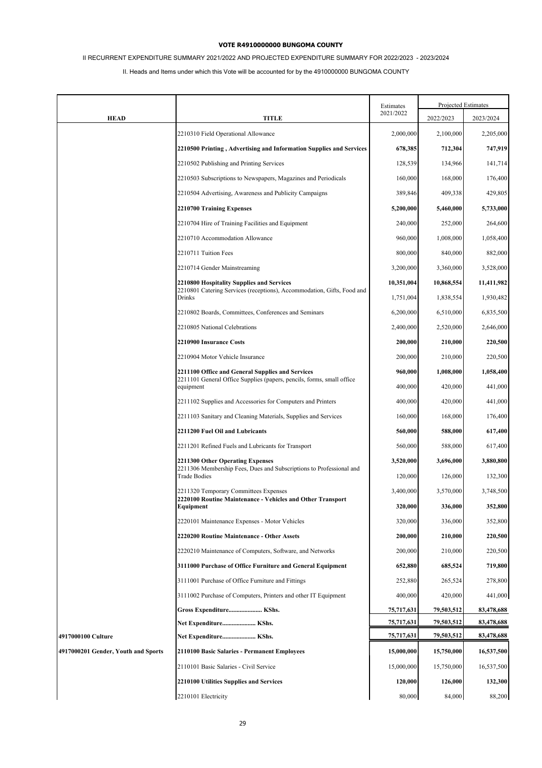# II RECURRENT EXPENDITURE SUMMARY 2021/2022 AND PROJECTED EXPENDITURE SUMMARY FOR 2022/2023 - 2023/2024

|                                     |                                                                                            | Estimates  | Projected Estimates |            |
|-------------------------------------|--------------------------------------------------------------------------------------------|------------|---------------------|------------|
| <b>HEAD</b>                         | TITLE                                                                                      | 2021/2022  | 2022/2023           | 2023/2024  |
|                                     | 2210310 Field Operational Allowance                                                        | 2,000,000  | 2,100,000           | 2,205,000  |
|                                     | 2210500 Printing, Advertising and Information Supplies and Services                        | 678,385    | 712,304             | 747,919    |
|                                     | 2210502 Publishing and Printing Services                                                   | 128,539    | 134,966             | 141,714    |
|                                     | 2210503 Subscriptions to Newspapers, Magazines and Periodicals                             | 160,000    | 168,000             | 176,400    |
|                                     | 2210504 Advertising, Awareness and Publicity Campaigns                                     | 389,846    | 409,338             | 429,805    |
|                                     | 2210700 Training Expenses                                                                  | 5,200,000  | 5,460,000           | 5,733,000  |
|                                     | 2210704 Hire of Training Facilities and Equipment                                          | 240,000    | 252,000             | 264,600    |
|                                     | 2210710 Accommodation Allowance                                                            | 960,000    | 1,008,000           | 1,058,400  |
|                                     | 2210711 Tuition Fees                                                                       | 800,000    | 840,000             | 882,000    |
|                                     | 2210714 Gender Mainstreaming                                                               | 3,200,000  | 3,360,000           | 3,528,000  |
|                                     | 2210800 Hospitality Supplies and Services                                                  | 10,351,004 | 10,868,554          | 11,411,982 |
|                                     | 2210801 Catering Services (receptions), Accommodation, Gifts, Food and<br><b>Drinks</b>    | 1,751,004  | 1,838,554           | 1,930,482  |
|                                     | 2210802 Boards, Committees, Conferences and Seminars                                       | 6,200,000  | 6,510,000           | 6,835,500  |
|                                     | 2210805 National Celebrations                                                              | 2,400,000  | 2,520,000           | 2,646,000  |
|                                     | 2210900 Insurance Costs                                                                    | 200,000    | 210,000             | 220,500    |
|                                     | 2210904 Motor Vehicle Insurance                                                            | 200,000    | 210,000             | 220,500    |
|                                     | 2211100 Office and General Supplies and Services                                           | 960,000    | 1,008,000           | 1,058,400  |
|                                     | 2211101 General Office Supplies (papers, pencils, forms, small office<br>equipment         | 400,000    | 420,000             | 441,000    |
|                                     | 2211102 Supplies and Accessories for Computers and Printers                                | 400,000    | 420,000             | 441,000    |
|                                     | 2211103 Sanitary and Cleaning Materials, Supplies and Services                             | 160,000    | 168,000             | 176,400    |
|                                     | 2211200 Fuel Oil and Lubricants                                                            | 560,000    | 588,000             | 617,400    |
|                                     | 2211201 Refined Fuels and Lubricants for Transport                                         | 560,000    | 588,000             | 617,400    |
|                                     | 2211300 Other Operating Expenses                                                           | 3,520,000  | 3,696,000           | 3,880,800  |
|                                     | 2211306 Membership Fees, Dues and Subscriptions to Professional and<br><b>Trade Bodies</b> | 120,000    | 126,000             | 132,300    |
|                                     | 2211320 Temporary Committees Expenses                                                      | 3,400,000  | 3,570,000           | 3,748,500  |
|                                     | 2220100 Routine Maintenance - Vehicles and Other Transport<br>Equipment                    | 320,000    | 336,000             | 352,800    |
|                                     | 2220101 Maintenance Expenses - Motor Vehicles                                              | 320,000    | 336,000             | 352,800    |
|                                     | 2220200 Routine Maintenance - Other Assets                                                 | 200,000    | 210,000             | 220,500    |
|                                     | 2220210 Maintenance of Computers, Software, and Networks                                   | 200,000    | 210,000             | 220,500    |
|                                     | 3111000 Purchase of Office Furniture and General Equipment                                 | 652,880    | 685,524             | 719,800    |
|                                     | 3111001 Purchase of Office Furniture and Fittings                                          | 252,880    | 265,524             | 278,800    |
|                                     | 3111002 Purchase of Computers, Printers and other IT Equipment                             | 400,000    | 420,000             | 441,000    |
|                                     | Gross Expenditure KShs.                                                                    | 75,717,631 | 79,503,512          | 83,478,688 |
|                                     | Net Expenditure KShs.                                                                      | 75,717,631 | 79,503,512          | 83,478,688 |
| 4917000100 Culture                  | Net Expenditure KShs.                                                                      | 75,717,631 | 79,503,512          | 83,478,688 |
| 4917000201 Gender, Youth and Sports | 2110100 Basic Salaries - Permanent Employees                                               | 15,000,000 | 15,750,000          | 16,537,500 |
|                                     | 2110101 Basic Salaries - Civil Service                                                     | 15,000,000 | 15,750,000          | 16,537,500 |
|                                     | 2210100 Utilities Supplies and Services                                                    | 120,000    | 126,000             | 132,300    |
|                                     | 2210101 Electricity                                                                        | 80,000     | 84,000              | 88,200     |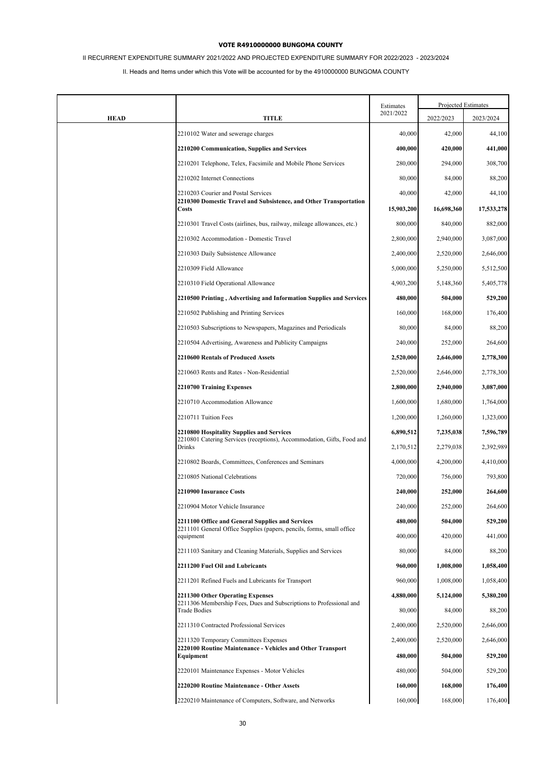# II RECURRENT EXPENDITURE SUMMARY 2021/2022 AND PROJECTED EXPENDITURE SUMMARY FOR 2022/2023 - 2023/2024

|             |                                                                                                                           | Estimates  |            | Projected Estimates |
|-------------|---------------------------------------------------------------------------------------------------------------------------|------------|------------|---------------------|
| <b>HEAD</b> | <b>TITLE</b>                                                                                                              | 2021/2022  | 2022/2023  | 2023/2024           |
|             | 2210102 Water and sewerage charges                                                                                        | 40,000     | 42,000     | 44,100              |
|             | 2210200 Communication, Supplies and Services                                                                              | 400,000    | 420,000    | 441,000             |
|             | 2210201 Telephone, Telex, Facsimile and Mobile Phone Services                                                             | 280,000    | 294,000    | 308,700             |
|             | 2210202 Internet Connections                                                                                              | 80,000     | 84,000     | 88,200              |
|             | 2210203 Courier and Postal Services                                                                                       | 40,000     | 42,000     | 44,100              |
|             | 2210300 Domestic Travel and Subsistence, and Other Transportation<br><b>Costs</b>                                         | 15,903,200 | 16,698,360 | 17,533,278          |
|             | 2210301 Travel Costs (airlines, bus, railway, mileage allowances, etc.)                                                   | 800,000    | 840,000    | 882,000             |
|             | 2210302 Accommodation - Domestic Travel                                                                                   | 2,800,000  | 2,940,000  | 3,087,000           |
|             | 2210303 Daily Subsistence Allowance                                                                                       | 2,400,000  | 2,520,000  | 2,646,000           |
|             | 2210309 Field Allowance                                                                                                   | 5,000,000  | 5,250,000  | 5,512,500           |
|             | 2210310 Field Operational Allowance                                                                                       | 4,903,200  | 5,148,360  | 5,405,778           |
|             | 2210500 Printing, Advertising and Information Supplies and Services                                                       | 480,000    | 504,000    | 529,200             |
|             | 2210502 Publishing and Printing Services                                                                                  | 160,000    | 168,000    | 176,400             |
|             | 2210503 Subscriptions to Newspapers, Magazines and Periodicals                                                            | 80,000     | 84,000     | 88,200              |
|             | 2210504 Advertising, Awareness and Publicity Campaigns                                                                    | 240,000    | 252,000    | 264,600             |
|             | 2210600 Rentals of Produced Assets                                                                                        | 2,520,000  | 2,646,000  | 2,778,300           |
|             | 2210603 Rents and Rates - Non-Residential                                                                                 | 2,520,000  | 2,646,000  | 2,778,300           |
|             | 2210700 Training Expenses                                                                                                 | 2,800,000  | 2,940,000  | 3,087,000           |
|             | 2210710 Accommodation Allowance                                                                                           | 1,600,000  | 1,680,000  | 1,764,000           |
|             | 2210711 Tuition Fees                                                                                                      | 1,200,000  | 1,260,000  | 1,323,000           |
|             | 2210800 Hospitality Supplies and Services<br>2210801 Catering Services (receptions), Accommodation, Gifts, Food and       | 6,890,512  | 7,235,038  | 7,596,789           |
|             | Drinks                                                                                                                    | 2,170,512  | 2,279,038  | 2,392,989           |
|             | 2210802 Boards, Committees, Conferences and Seminars                                                                      | 4,000,000  | 4,200,000  | 4,410,000           |
|             | 2210805 National Celebrations                                                                                             | 720,000    | 756,000    | 793,800             |
|             | 2210900 Insurance Costs                                                                                                   | 240,000    | 252,000    | 264,600             |
|             | 2210904 Motor Vehicle Insurance                                                                                           | 240,000    | 252,000    | 264,600             |
|             | 2211100 Office and General Supplies and Services<br>2211101 General Office Supplies (papers, pencils, forms, small office | 480,000    | 504,000    | 529,200             |
|             | equipment                                                                                                                 | 400,000    | 420,000    | 441,000             |
|             | 2211103 Sanitary and Cleaning Materials, Supplies and Services                                                            | 80,000     | 84,000     | 88,200              |
|             | 2211200 Fuel Oil and Lubricants                                                                                           | 960,000    | 1,008,000  | 1,058,400           |
|             | 2211201 Refined Fuels and Lubricants for Transport                                                                        | 960,000    | 1,008,000  | 1,058,400           |
|             | 2211300 Other Operating Expenses<br>2211306 Membership Fees, Dues and Subscriptions to Professional and                   | 4,880,000  | 5,124,000  | 5,380,200           |
|             | <b>Trade Bodies</b>                                                                                                       | 80,000     | 84,000     | 88,200              |
|             | 2211310 Contracted Professional Services                                                                                  | 2,400,000  | 2,520,000  | 2,646,000           |
|             | 2211320 Temporary Committees Expenses                                                                                     | 2,400,000  | 2,520,000  | 2,646,000           |
|             | 2220100 Routine Maintenance - Vehicles and Other Transport<br>Equipment                                                   | 480,000    | 504,000    | 529,200             |
|             | 2220101 Maintenance Expenses - Motor Vehicles                                                                             | 480,000    | 504,000    | 529,200             |
|             | 2220200 Routine Maintenance - Other Assets                                                                                | 160,000    | 168,000    | 176,400             |
|             | 2220210 Maintenance of Computers, Software, and Networks                                                                  | 160,000    | 168,000    | 176,400             |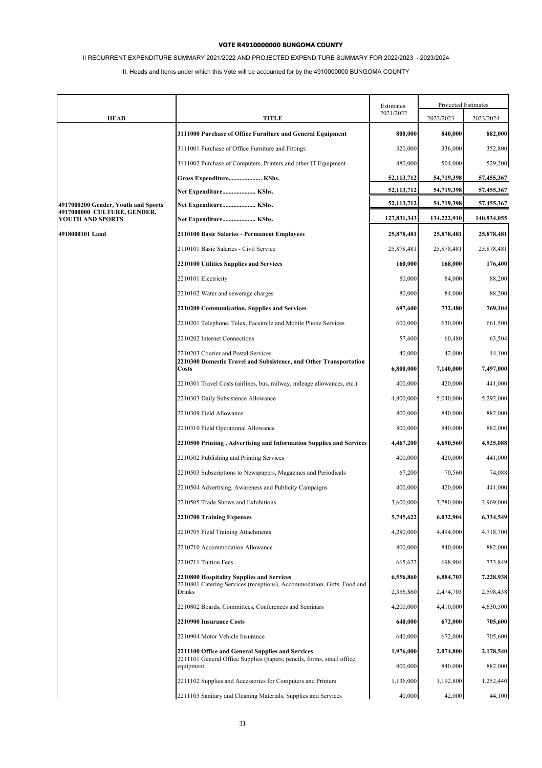# II RECURRENT EXPENDITURE SUMMARY 2021/2022 AND PROJECTED EXPENDITURE SUMMARY FOR 2022/2023 - 2023/2024

|                                                 |                                                                                    | Estimates    | Projected Estimates |             |
|-------------------------------------------------|------------------------------------------------------------------------------------|--------------|---------------------|-------------|
| <b>HEAD</b>                                     | <b>TITLE</b>                                                                       | 2021/2022    | 2022/2023           | 2023/2024   |
|                                                 | 3111000 Purchase of Office Furniture and General Equipment                         | 800,000      | 840,000             | 882,000     |
|                                                 | 3111001 Purchase of Office Furniture and Fittings                                  | 320,000      | 336,000             | 352,800     |
|                                                 | 3111002 Purchase of Computers, Printers and other IT Equipment                     | 480,000      | 504,000             | 529,200     |
|                                                 | Gross Expenditure KShs.                                                            | 52, 113, 712 | 54,719,398          | 57,455,367  |
|                                                 | Net Expenditure KShs.                                                              | 52, 113, 712 | 54,719,398          | 57,455,367  |
| 4917000200 Gender, Youth and Sports             | Net Expenditure KShs.                                                              | 52, 113, 712 | 54,719,398          | 57,455,367  |
| 4917000000 CULTURE, GENDER,<br>YOUTH AND SPORTS | Net Expenditure KShs.                                                              | 127,831,343  | 134,222,910         | 140,934,055 |
| 4918000101 Land                                 | 2110100 Basic Salaries - Permanent Employees                                       | 25,878,481   | 25,878,481          | 25,878,481  |
|                                                 | 2110101 Basic Salaries - Civil Service                                             | 25,878,481   | 25,878,481          | 25,878,481  |
|                                                 | 2210100 Utilities Supplies and Services                                            | 160,000      | 168,000             | 176,400     |
|                                                 | 2210101 Electricity                                                                | 80,000       | 84,000              | 88,200      |
|                                                 | 2210102 Water and sewerage charges                                                 | 80,000       | 84,000              | 88,200      |
|                                                 | 2210200 Communication, Supplies and Services                                       | 697,600      | 732,480             | 769,104     |
|                                                 | 2210201 Telephone, Telex, Facsimile and Mobile Phone Services                      | 600,000      | 630,000             | 661,500     |
|                                                 | 2210202 Internet Connections                                                       | 57,600       | 60,480              | 63,504      |
|                                                 | 2210203 Courier and Postal Services                                                | 40,000       | 42,000              | 44,100      |
|                                                 | 2210300 Domestic Travel and Subsistence, and Other Transportation<br><b>Costs</b>  | 6,800,000    | 7,140,000           | 7,497,000   |
|                                                 | 2210301 Travel Costs (airlines, bus, railway, mileage allowances, etc.)            | 400,000      | 420,000             | 441,000     |
|                                                 | 2210303 Daily Subsistence Allowance                                                | 4,800,000    | 5,040,000           | 5,292,000   |
|                                                 | 2210309 Field Allowance                                                            | 800,000      | 840,000             | 882,000     |
|                                                 | 2210310 Field Operational Allowance                                                | 800,000      | 840,000             | 882,000     |
|                                                 | 2210500 Printing, Advertising and Information Supplies and Services                | 4,467,200    | 4,690,560           | 4,925,088   |
|                                                 | 2210502 Publishing and Printing Services                                           | 400,000      | 420,000             | 441,000     |
|                                                 | 2210503 Subscriptions to Newspapers, Magazines and Periodicals                     | 67,200       | 70,560              | 74,088      |
|                                                 | 2210504 Advertising, Awareness and Publicity Campaigns                             | 400,000      | 420,000             | 441,000     |
|                                                 | 2210505 Trade Shows and Exhibitions                                                | 3,600,000    | 3,780,000           | 3,969,000   |
|                                                 | 2210700 Training Expenses                                                          | 5,745,622    | 6,032,904           | 6,334,549   |
|                                                 | 2210705 Field Training Attachments                                                 | 4,280,000    | 4,494,000           | 4,718,700   |
|                                                 | 2210710 Accommodation Allowance                                                    | 800,000      | 840,000             | 882,000     |
|                                                 | 2210711 Tuition Fees                                                               | 665,622      | 698,904             | 733,849     |
|                                                 | 2210800 Hospitality Supplies and Services                                          | 6,556,860    | 6,884,703           | 7,228,938   |
|                                                 | 2210801 Catering Services (receptions), Accommodation, Gifts, Food and<br>Drinks   | 2,356,860    | 2,474,703           | 2,598,438   |
|                                                 | 2210802 Boards, Committees, Conferences and Seminars                               | 4,200,000    | 4,410,000           | 4,630,500   |
|                                                 | 2210900 Insurance Costs                                                            | 640,000      | 672,000             | 705,600     |
|                                                 | 2210904 Motor Vehicle Insurance                                                    | 640,000      | 672,000             | 705,600     |
|                                                 | 2211100 Office and General Supplies and Services                                   | 1,976,000    | 2,074,800           | 2,178,540   |
|                                                 | 2211101 General Office Supplies (papers, pencils, forms, small office<br>equipment | 800,000      | 840,000             | 882,000     |
|                                                 | 2211102 Supplies and Accessories for Computers and Printers                        | 1,136,000    | 1,192,800           | 1,252,440   |
|                                                 | 2211103 Sanitary and Cleaning Materials, Supplies and Services                     | 40,000       | 42,000              | 44,100      |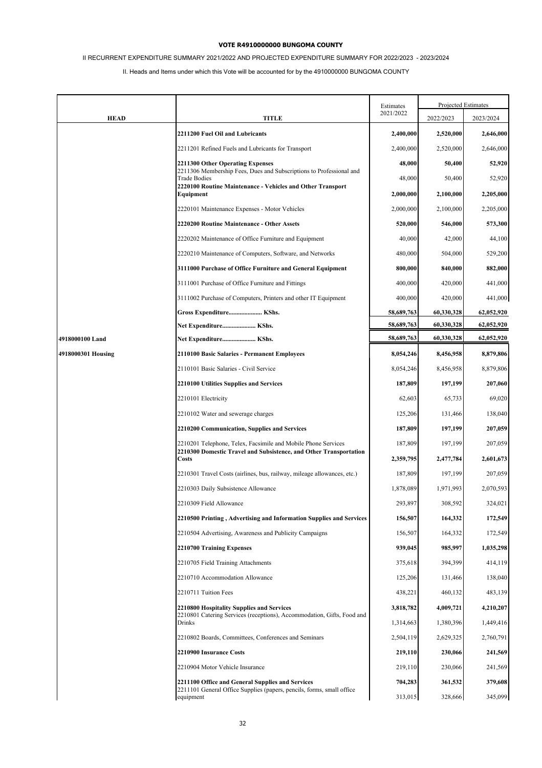# II RECURRENT EXPENDITURE SUMMARY 2021/2022 AND PROJECTED EXPENDITURE SUMMARY FOR 2022/2023 - 2023/2024

|                    |                                                                                                                                    | Estimates          | Projected Estimates |                      |
|--------------------|------------------------------------------------------------------------------------------------------------------------------------|--------------------|---------------------|----------------------|
| <b>HEAD</b>        | TITLE                                                                                                                              | 2021/2022          | 2022/2023           | 2023/2024            |
|                    | 2211200 Fuel Oil and Lubricants                                                                                                    | 2,400,000          | 2,520,000           | 2,646,000            |
|                    | 2211201 Refined Fuels and Lubricants for Transport                                                                                 | 2,400,000          | 2,520,000           | 2,646,000            |
|                    | 2211300 Other Operating Expenses                                                                                                   | 48,000             | 50,400              | 52,920               |
|                    | 2211306 Membership Fees, Dues and Subscriptions to Professional and<br><b>Trade Bodies</b>                                         | 48,000             | 50,400              | 52,920               |
|                    | 2220100 Routine Maintenance - Vehicles and Other Transport<br>Equipment                                                            | 2,000,000          | 2,100,000           | 2,205,000            |
|                    | 2220101 Maintenance Expenses - Motor Vehicles                                                                                      | 2,000,000          | 2,100,000           | 2,205,000            |
|                    | 2220200 Routine Maintenance - Other Assets                                                                                         | 520,000            | 546,000             | 573,300              |
|                    | 2220202 Maintenance of Office Furniture and Equipment                                                                              | 40,000             | 42,000              | 44,100               |
|                    | 2220210 Maintenance of Computers, Software, and Networks                                                                           | 480,000            | 504,000             | 529,200              |
|                    | 3111000 Purchase of Office Furniture and General Equipment                                                                         | 800,000            | 840,000             | 882,000              |
|                    | 3111001 Purchase of Office Furniture and Fittings                                                                                  | 400,000            | 420,000             | 441,000              |
|                    | 3111002 Purchase of Computers, Printers and other IT Equipment                                                                     | 400,000            | 420,000             | 441,000              |
|                    | Gross Expenditure KShs.                                                                                                            | 58,689,763         | 60,330,328          | 62,052,920           |
|                    | Net Expenditure KShs.                                                                                                              | 58,689,763         | 60,330,328          | 62,052,920           |
| 4918000100 Land    | Net Expenditure KShs.                                                                                                              | 58,689,763         | 60,330,328          | 62,052,920           |
| 4918000301 Housing | 2110100 Basic Salaries - Permanent Employees                                                                                       | 8,054,246          | 8,456,958           | 8,879,806            |
|                    | 2110101 Basic Salaries - Civil Service                                                                                             | 8,054,246          | 8,456,958           | 8,879,806            |
|                    | 2210100 Utilities Supplies and Services                                                                                            | 187,809            | 197,199             | 207,060              |
|                    | 2210101 Electricity                                                                                                                | 62,603             | 65,733              | 69,020               |
|                    | 2210102 Water and sewerage charges                                                                                                 | 125,206            | 131,466             | 138,040              |
|                    | 2210200 Communication, Supplies and Services                                                                                       | 187,809            | 197,199             | 207,059              |
|                    | 2210201 Telephone, Telex, Facsimile and Mobile Phone Services<br>2210300 Domestic Travel and Subsistence, and Other Transportation | 187,809            | 197,199             | 207,059              |
|                    | Costs                                                                                                                              | 2,359,795          | 2,477,784           | 2,601,673            |
|                    | 2210301 Travel Costs (airlines, bus, railway, mileage allowances, etc.)                                                            | 187,809            | 197,199             | 207,059              |
|                    | 2210303 Daily Subsistence Allowance                                                                                                | 1,878,089          | 1,971,993           | 2,070,593            |
|                    | 2210309 Field Allowance                                                                                                            | 293,897            | 308,592             | 324,021              |
|                    | 2210500 Printing, Advertising and Information Supplies and Services                                                                | 156,507            | 164,332             | 172,549              |
|                    | 2210504 Advertising, Awareness and Publicity Campaigns<br>2210700 Training Expenses                                                | 156,507<br>939,045 | 164,332<br>985,997  | 172,549<br>1,035,298 |
|                    | 2210705 Field Training Attachments                                                                                                 | 375,618            | 394,399             | 414,119              |
|                    | 2210710 Accommodation Allowance                                                                                                    | 125,206            | 131,466             | 138,040              |
|                    | 2210711 Tuition Fees                                                                                                               | 438,221            | 460,132             | 483,139              |
|                    | 2210800 Hospitality Supplies and Services                                                                                          | 3,818,782          | 4,009,721           | 4,210,207            |
|                    | 2210801 Catering Services (receptions), Accommodation, Gifts, Food and<br>Drinks                                                   | 1,314,663          | 1,380,396           | 1,449,416            |
|                    | 2210802 Boards, Committees, Conferences and Seminars                                                                               | 2,504,119          | 2,629,325           | 2,760,791            |
|                    | 2210900 Insurance Costs                                                                                                            | 219,110            | 230,066             | 241,569              |
|                    | 2210904 Motor Vehicle Insurance                                                                                                    | 219,110            | 230,066             | 241,569              |
|                    | 2211100 Office and General Supplies and Services                                                                                   | 704,283            | 361,532             | 379,608              |
|                    | 2211101 General Office Supplies (papers, pencils, forms, small office<br>equipment                                                 | 313,015            | 328,666             | 345,099              |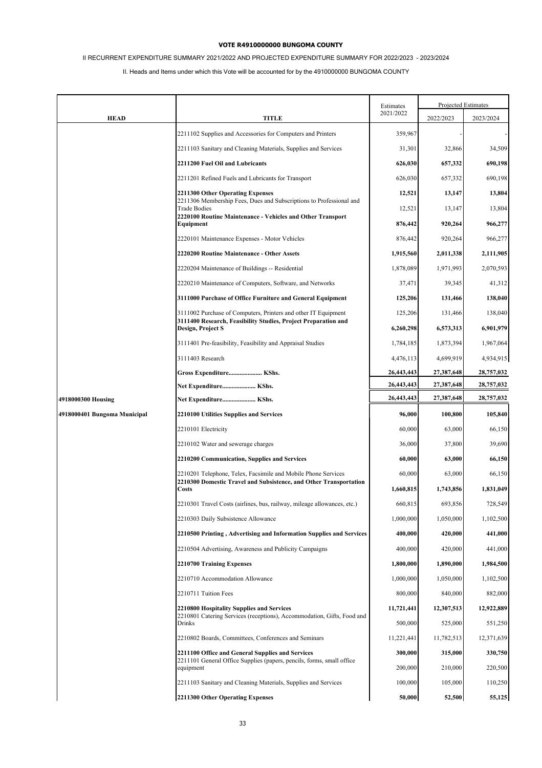# II RECURRENT EXPENDITURE SUMMARY 2021/2022 AND PROJECTED EXPENDITURE SUMMARY FOR 2022/2023 - 2023/2024

|                              |                                                                                                                                    | Estimates  |            | Projected Estimates |
|------------------------------|------------------------------------------------------------------------------------------------------------------------------------|------------|------------|---------------------|
| <b>HEAD</b>                  | TITLE                                                                                                                              | 2021/2022  | 2022/2023  | 2023/2024           |
|                              | 2211102 Supplies and Accessories for Computers and Printers                                                                        | 359,967    |            |                     |
|                              | 2211103 Sanitary and Cleaning Materials, Supplies and Services                                                                     | 31,301     | 32,866     | 34,509              |
|                              | 2211200 Fuel Oil and Lubricants                                                                                                    | 626,030    | 657,332    | 690,198             |
|                              | 2211201 Refined Fuels and Lubricants for Transport                                                                                 | 626,030    | 657,332    | 690,198             |
|                              | 2211300 Other Operating Expenses                                                                                                   | 12,521     | 13,147     | 13,804              |
|                              | 2211306 Membership Fees, Dues and Subscriptions to Professional and<br><b>Trade Bodies</b>                                         | 12,521     | 13,147     | 13,804              |
|                              | 2220100 Routine Maintenance - Vehicles and Other Transport<br>Equipment                                                            | 876,442    | 920,264    | 966,277             |
|                              | 2220101 Maintenance Expenses - Motor Vehicles                                                                                      | 876,442    | 920,264    | 966,277             |
|                              | 2220200 Routine Maintenance - Other Assets                                                                                         | 1,915,560  | 2,011,338  | 2,111,905           |
|                              | 2220204 Maintenance of Buildings -- Residential                                                                                    | 1,878,089  | 1,971,993  | 2,070,593           |
|                              | 2220210 Maintenance of Computers, Software, and Networks                                                                           | 37,471     | 39,345     | 41,312              |
|                              | 3111000 Purchase of Office Furniture and General Equipment                                                                         | 125,206    | 131,466    | 138,040             |
|                              | 3111002 Purchase of Computers, Printers and other IT Equipment                                                                     | 125,206    | 131,466    | 138,040             |
|                              | 3111400 Research, Feasibility Studies, Project Preparation and<br>Design, Project S                                                | 6,260,298  | 6,573,313  | 6,901,979           |
|                              | 3111401 Pre-feasibility, Feasibility and Appraisal Studies                                                                         | 1,784,185  | 1,873,394  | 1,967,064           |
|                              | 3111403 Research                                                                                                                   | 4,476,113  | 4,699,919  | 4,934,915           |
|                              | Gross Expenditure KShs.                                                                                                            | 26,443,443 | 27,387,648 | 28,757,032          |
|                              | Net Expenditure KShs.                                                                                                              | 26,443,443 | 27,387,648 | 28,757,032          |
| 4918000300 Housing           | Net Expenditure KShs.                                                                                                              | 26,443,443 | 27,387,648 | 28,757,032          |
| 4918000401 Bungoma Municipal | <b>2210100 Utilities Supplies and Services</b>                                                                                     | 96,000     | 100,800    | 105,840             |
|                              | 2210101 Electricity                                                                                                                | 60,000     | 63,000     | 66,150              |
|                              | 2210102 Water and sewerage charges                                                                                                 | 36,000     | 37,800     | 39,690              |
|                              | 2210200 Communication, Supplies and Services                                                                                       | 60,000     | 63,000     | 66,150              |
|                              | 2210201 Telephone, Telex, Facsimile and Mobile Phone Services<br>2210300 Domestic Travel and Subsistence, and Other Transportation | 60,000     | 63,000     | 66,150              |
|                              | Costs                                                                                                                              | 1,660,815  | 1,743,856  | 1,831,049           |
|                              | 2210301 Travel Costs (airlines, bus, railway, mileage allowances, etc.)                                                            | 660,815    | 693,856    | 728,549             |
|                              | 2210303 Daily Subsistence Allowance                                                                                                | 1,000,000  | 1,050,000  | 1,102,500           |
|                              | 2210500 Printing, Advertising and Information Supplies and Services                                                                | 400,000    | 420,000    | 441,000             |
|                              | 2210504 Advertising, Awareness and Publicity Campaigns                                                                             | 400,000    | 420,000    | 441,000             |
|                              | 2210700 Training Expenses                                                                                                          | 1,800,000  | 1,890,000  | 1,984,500           |
|                              | 2210710 Accommodation Allowance                                                                                                    | 1,000,000  | 1,050,000  | 1,102,500           |
|                              | 2210711 Tuition Fees                                                                                                               | 800,000    | 840,000    | 882,000             |
|                              | 2210800 Hospitality Supplies and Services<br>2210801 Catering Services (receptions), Accommodation, Gifts, Food and                | 11,721,441 | 12,307,513 | 12,922,889          |
|                              | Drinks                                                                                                                             | 500,000    | 525,000    | 551,250             |
|                              | 2210802 Boards, Committees, Conferences and Seminars                                                                               | 11,221,441 | 11,782,513 | 12,371,639          |
|                              | 2211100 Office and General Supplies and Services<br>2211101 General Office Supplies (papers, pencils, forms, small office          | 300,000    | 315,000    | 330,750             |
|                              | equipment                                                                                                                          | 200,000    | 210,000    | 220,500             |
|                              | 2211103 Sanitary and Cleaning Materials, Supplies and Services                                                                     | 100,000    | 105,000    | 110,250             |
|                              | 2211300 Other Operating Expenses                                                                                                   | 50,000     | 52,500     | 55,125              |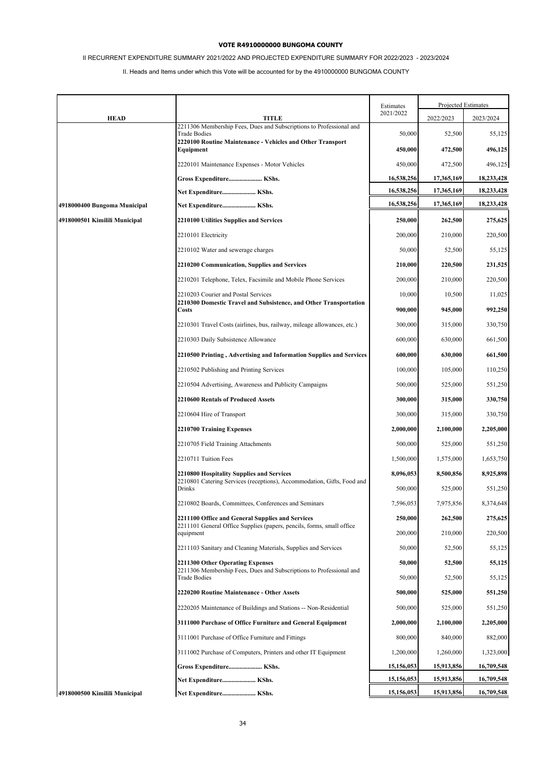# II RECURRENT EXPENDITURE SUMMARY 2021/2022 AND PROJECTED EXPENDITURE SUMMARY FOR 2022/2023 - 2023/2024

|                               |                                                                                                                           | Estimates  | Projected Estimates |            |
|-------------------------------|---------------------------------------------------------------------------------------------------------------------------|------------|---------------------|------------|
| <b>HEAD</b>                   | TITLE                                                                                                                     | 2021/2022  | 2022/2023           | 2023/2024  |
|                               | 2211306 Membership Fees, Dues and Subscriptions to Professional and<br><b>Trade Bodies</b>                                | 50,000     | 52,500              | 55,125     |
|                               | 2220100 Routine Maintenance - Vehicles and Other Transport<br>Equipment                                                   | 450,000    | 472,500             | 496,125    |
|                               | 2220101 Maintenance Expenses - Motor Vehicles                                                                             | 450,000    | 472,500             | 496,125    |
|                               | Gross Expenditure KShs.                                                                                                   | 16,538,256 | 17,365,169          | 18,233,428 |
|                               | Net Expenditure KShs.                                                                                                     | 16,538,256 | 17,365,169          | 18,233,428 |
| 4918000400 Bungoma Municipal  | Net Expenditure KShs.                                                                                                     | 16,538,256 | 17,365,169          | 18,233,428 |
| 4918000501 Kimilili Municipal | 2210100 Utilities Supplies and Services                                                                                   | 250,000    | 262,500             | 275,625    |
|                               | 2210101 Electricity                                                                                                       | 200,000    | 210,000             | 220,500    |
|                               | 2210102 Water and sewerage charges                                                                                        | 50,000     | 52,500              | 55,125     |
|                               | 2210200 Communication, Supplies and Services                                                                              | 210,000    | 220,500             | 231,525    |
|                               | 2210201 Telephone, Telex, Facsimile and Mobile Phone Services                                                             | 200,000    | 210,000             | 220,500    |
|                               | 2210203 Courier and Postal Services                                                                                       | 10,000     | 10,500              | 11,025     |
|                               | 2210300 Domestic Travel and Subsistence, and Other Transportation<br><b>Costs</b>                                         | 900,000    | 945,000             | 992,250    |
|                               | 2210301 Travel Costs (airlines, bus, railway, mileage allowances, etc.)                                                   | 300,000    | 315,000             | 330,750    |
|                               | 2210303 Daily Subsistence Allowance                                                                                       | 600,000    | 630,000             | 661,500    |
|                               | 2210500 Printing, Advertising and Information Supplies and Services                                                       | 600,000    | 630,000             | 661,500    |
|                               | 2210502 Publishing and Printing Services                                                                                  | 100,000    | 105,000             | 110,250    |
|                               | 2210504 Advertising, Awareness and Publicity Campaigns                                                                    | 500,000    | 525,000             | 551,250    |
|                               | 2210600 Rentals of Produced Assets                                                                                        | 300,000    | 315,000             | 330,750    |
|                               | 2210604 Hire of Transport                                                                                                 | 300,000    | 315,000             | 330,750    |
|                               | 2210700 Training Expenses                                                                                                 | 2,000,000  | 2,100,000           | 2,205,000  |
|                               | 2210705 Field Training Attachments                                                                                        | 500,000    | 525,000             | 551,250    |
|                               | 2210711 Tuition Fees                                                                                                      | 1,500,000  | 1,575,000           | 1,653,750  |
|                               | 2210800 Hospitality Supplies and Services<br>2210801 Catering Services (receptions), Accommodation, Gifts, Food and       | 8,096,053  | 8,500,856           | 8,925,898  |
|                               | Drinks                                                                                                                    | 500,000    | 525,000             | 551,250    |
|                               | 2210802 Boards, Committees, Conferences and Seminars                                                                      | 7,596,053  | 7,975,856           | 8,374,648  |
|                               | 2211100 Office and General Supplies and Services<br>2211101 General Office Supplies (papers, pencils, forms, small office | 250,000    | 262,500             | 275,625    |
|                               | equipment                                                                                                                 | 200,000    | 210,000             | 220,500    |
|                               | 2211103 Sanitary and Cleaning Materials, Supplies and Services                                                            | 50,000     | 52,500              | 55,125     |
|                               | 2211300 Other Operating Expenses<br>2211306 Membership Fees, Dues and Subscriptions to Professional and                   | 50,000     | 52,500              | 55,125     |
|                               | <b>Trade Bodies</b>                                                                                                       | 50,000     | 52,500              | 55,125     |
|                               | 2220200 Routine Maintenance - Other Assets                                                                                | 500,000    | 525,000             | 551,250    |
|                               | 2220205 Maintenance of Buildings and Stations -- Non-Residential                                                          | 500,000    | 525,000             | 551,250    |
|                               | 3111000 Purchase of Office Furniture and General Equipment                                                                | 2,000,000  | 2,100,000           | 2,205,000  |
|                               | 3111001 Purchase of Office Furniture and Fittings                                                                         | 800,000    | 840,000             | 882,000    |
|                               | 3111002 Purchase of Computers, Printers and other IT Equipment                                                            | 1,200,000  | 1,260,000           | 1,323,000  |
|                               | Gross Expenditure KShs.                                                                                                   | 15,156,053 | 15,913,856          | 16,709,548 |
|                               | Net Expenditure KShs.                                                                                                     | 15,156,053 | 15,913,856          | 16,709,548 |
| 4918000500 Kimilili Municipal | Net Expenditure KShs.                                                                                                     | 15,156,053 | 15,913,856          | 16,709,548 |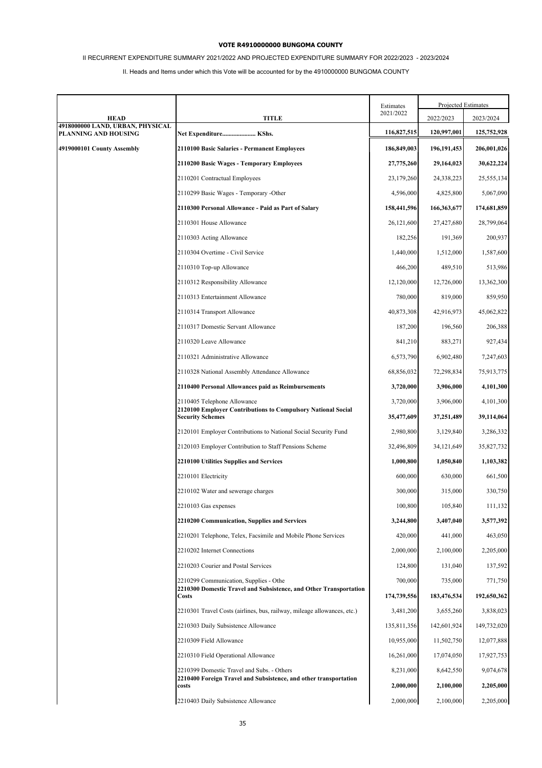# II RECURRENT EXPENDITURE SUMMARY 2021/2022 AND PROJECTED EXPENDITURE SUMMARY FOR 2022/2023 - 2023/2024

|                                                          |                                                                                                                      | Estimates              | Projected Estimates    |                        |
|----------------------------------------------------------|----------------------------------------------------------------------------------------------------------------------|------------------------|------------------------|------------------------|
| HEAD                                                     | <b>TITLE</b>                                                                                                         | 2021/2022              | 2022/2023              | 2023/2024              |
| 4918000000 LAND, URBAN, PHYSICAL<br>PLANNING AND HOUSING | Net Expenditure KShs.                                                                                                | 116,827,515            | 120,997,001            | 125,752,928            |
| 4919000101 County Assembly                               | 2110100 Basic Salaries - Permanent Employees                                                                         | 186,849,003            | 196,191,453            | 206,001,026            |
|                                                          | 2110200 Basic Wages - Temporary Employees                                                                            | 27,775,260             | 29,164,023             | 30,622,224             |
|                                                          | 2110201 Contractual Employees                                                                                        | 23,179,260             | 24,338,223             | 25,555,134             |
|                                                          | 2110299 Basic Wages - Temporary -Other                                                                               | 4,596,000              | 4,825,800              | 5,067,090              |
|                                                          | 2110300 Personal Allowance - Paid as Part of Salary                                                                  | 158,441,596            | 166,363,677            | 174,681,859            |
|                                                          | 2110301 House Allowance                                                                                              | 26,121,600             | 27,427,680             | 28,799,064             |
|                                                          | 2110303 Acting Allowance                                                                                             | 182,256                | 191,369                | 200,937                |
|                                                          | 2110304 Overtime - Civil Service                                                                                     | 1,440,000              | 1,512,000              | 1,587,600              |
|                                                          | 2110310 Top-up Allowance                                                                                             | 466,200                | 489,510                | 513,986                |
|                                                          | 2110312 Responsibility Allowance                                                                                     | 12,120,000             | 12,726,000             | 13,362,300             |
|                                                          | 2110313 Entertainment Allowance                                                                                      | 780,000                | 819,000                | 859,950                |
|                                                          | 2110314 Transport Allowance                                                                                          | 40,873,308             | 42,916,973             | 45,062,822             |
|                                                          | 2110317 Domestic Servant Allowance                                                                                   | 187,200                | 196,560                | 206,388                |
|                                                          | 2110320 Leave Allowance                                                                                              | 841,210                | 883,271                | 927,434                |
|                                                          | 2110321 Administrative Allowance                                                                                     | 6,573,790              | 6,902,480              | 7,247,603              |
|                                                          | 2110328 National Assembly Attendance Allowance                                                                       | 68,856,032             | 72,298,834             | 75,913,775             |
|                                                          | 2110400 Personal Allowances paid as Reimbursements                                                                   | 3,720,000              | 3,906,000              | 4,101,300              |
|                                                          | 2110405 Telephone Allowance<br>2120100 Employer Contributions to Compulsory National Social                          | 3,720,000              | 3,906,000              | 4,101,300              |
|                                                          | <b>Security Schemes</b>                                                                                              | 35,477,609             | 37,251,489             | 39,114,064             |
|                                                          | 2120101 Employer Contributions to National Social Security Fund                                                      | 2,980,800              | 3,129,840              | 3,286,332              |
|                                                          | 2120103 Employer Contribution to Staff Pensions Scheme                                                               | 32,496,809             | 34, 121, 649           | 35,827,732             |
|                                                          | <b>2210100 Utilities Supplies and Services</b>                                                                       | 1,000,800              | 1,050,840              | 1,103,382              |
|                                                          | 2210101 Electricity                                                                                                  | 600,000                | 630,000                | 661,500                |
|                                                          | 2210102 Water and sewerage charges                                                                                   | 300,000                | 315,000                | 330,750                |
|                                                          | 2210103 Gas expenses                                                                                                 | 100,800                | 105,840                | 111,132                |
|                                                          | 2210200 Communication, Supplies and Services                                                                         | 3,244,800              | 3,407,040              | 3,577,392              |
|                                                          | 2210201 Telephone, Telex, Facsimile and Mobile Phone Services                                                        | 420,000                | 441,000                | 463,050                |
|                                                          | 2210202 Internet Connections                                                                                         | 2,000,000              | 2,100,000              | 2,205,000              |
|                                                          | 2210203 Courier and Postal Services                                                                                  | 124,800                | 131,040                | 137,592                |
|                                                          | 2210299 Communication, Supplies - Othe<br>2210300 Domestic Travel and Subsistence, and Other Transportation<br>Costs | 700,000<br>174,739,556 | 735,000<br>183,476,534 | 771,750<br>192,650,362 |
|                                                          | 2210301 Travel Costs (airlines, bus, railway, mileage allowances, etc.)                                              | 3,481,200              | 3,655,260              | 3,838,023              |
|                                                          | 2210303 Daily Subsistence Allowance                                                                                  | 135,811,356            | 142,601,924            | 149,732,020            |
|                                                          | 2210309 Field Allowance                                                                                              | 10,955,000             | 11,502,750             | 12,077,888             |
|                                                          | 2210310 Field Operational Allowance                                                                                  | 16,261,000             | 17,074,050             | 17,927,753             |
|                                                          | 2210399 Domestic Travel and Subs. - Others                                                                           | 8,231,000              | 8,642,550              | 9,074,678              |
|                                                          | 2210400 Foreign Travel and Subsistence, and other transportation<br>costs                                            | 2,000,000              | 2,100,000              | 2,205,000              |
|                                                          | 2210403 Daily Subsistence Allowance                                                                                  | 2,000,000              | 2,100,000              | 2,205,000              |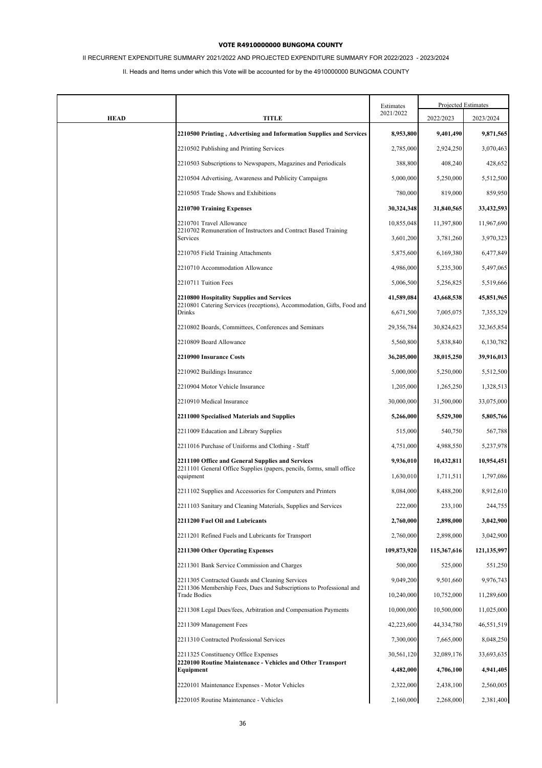# II RECURRENT EXPENDITURE SUMMARY 2021/2022 AND PROJECTED EXPENDITURE SUMMARY FOR 2022/2023 - 2023/2024

|             |                                                                                                                           | Estimates   |             | Projected Estimates |
|-------------|---------------------------------------------------------------------------------------------------------------------------|-------------|-------------|---------------------|
| <b>HEAD</b> | TITLE                                                                                                                     | 2021/2022   | 2022/2023   | 2023/2024           |
|             | 2210500 Printing, Advertising and Information Supplies and Services                                                       | 8,953,800   | 9,401,490   | 9,871,565           |
|             | 2210502 Publishing and Printing Services                                                                                  | 2,785,000   | 2,924,250   | 3,070,463           |
|             | 2210503 Subscriptions to Newspapers, Magazines and Periodicals                                                            | 388,800     | 408,240     | 428,652             |
|             | 2210504 Advertising, Awareness and Publicity Campaigns                                                                    | 5,000,000   | 5,250,000   | 5,512,500           |
|             | 2210505 Trade Shows and Exhibitions                                                                                       | 780,000     | 819,000     | 859,950             |
|             | 2210700 Training Expenses                                                                                                 | 30,324,348  | 31,840,565  | 33,432,593          |
|             | 2210701 Travel Allowance                                                                                                  | 10,855,048  | 11,397,800  | 11,967,690          |
|             | 2210702 Remuneration of Instructors and Contract Based Training<br>Services                                               | 3,601,200   | 3,781,260   | 3,970,323           |
|             | 2210705 Field Training Attachments                                                                                        | 5,875,600   | 6,169,380   | 6,477,849           |
|             | 2210710 Accommodation Allowance                                                                                           | 4,986,000   | 5,235,300   | 5,497,065           |
|             | 2210711 Tuition Fees                                                                                                      | 5,006,500   | 5,256,825   | 5,519,666           |
|             | 2210800 Hospitality Supplies and Services<br>2210801 Catering Services (receptions), Accommodation, Gifts, Food and       | 41,589,084  | 43,668,538  | 45,851,965          |
|             | Drinks                                                                                                                    | 6,671,500   | 7,005,075   | 7,355,329           |
|             | 2210802 Boards, Committees, Conferences and Seminars                                                                      | 29,356,784  | 30,824,623  | 32,365,854          |
|             | 2210809 Board Allowance                                                                                                   | 5,560,800   | 5,838,840   | 6,130,782           |
|             | 2210900 Insurance Costs                                                                                                   | 36,205,000  | 38,015,250  | 39,916,013          |
|             | 2210902 Buildings Insurance                                                                                               | 5,000,000   | 5,250,000   | 5,512,500           |
|             | 2210904 Motor Vehicle Insurance                                                                                           | 1,205,000   | 1,265,250   | 1,328,513           |
|             | 2210910 Medical Insurance                                                                                                 | 30,000,000  | 31,500,000  | 33,075,000          |
|             | 2211000 Specialised Materials and Supplies                                                                                | 5,266,000   | 5,529,300   | 5,805,766           |
|             | 2211009 Education and Library Supplies                                                                                    | 515,000     | 540,750     | 567,788             |
|             | 2211016 Purchase of Uniforms and Clothing - Staff                                                                         | 4,751,000   | 4,988,550   | 5,237,978           |
|             | 2211100 Office and General Supplies and Services<br>2211101 General Office Supplies (papers, pencils, forms, small office | 9,936,010   | 10,432,811  | 10,954,451          |
|             | equipment                                                                                                                 | 1,630,010   | 1,711,511   | 1,797,086           |
|             | 2211102 Supplies and Accessories for Computers and Printers                                                               | 8,084,000   | 8,488,200   | 8,912,610           |
|             | 2211103 Sanitary and Cleaning Materials, Supplies and Services                                                            | 222,000     | 233,100     | 244,755             |
|             | 2211200 Fuel Oil and Lubricants                                                                                           | 2,760,000   | 2,898,000   | 3,042,900           |
|             | 2211201 Refined Fuels and Lubricants for Transport                                                                        | 2,760,000   | 2,898,000   | 3,042,900           |
|             | 2211300 Other Operating Expenses                                                                                          | 109,873,920 | 115,367,616 | 121,135,997         |
|             | 2211301 Bank Service Commission and Charges                                                                               | 500,000     | 525,000     | 551,250             |
|             | 2211305 Contracted Guards and Cleaning Services<br>2211306 Membership Fees, Dues and Subscriptions to Professional and    | 9,049,200   | 9,501,660   | 9,976,743           |
|             | <b>Trade Bodies</b>                                                                                                       | 10,240,000  | 10,752,000  | 11,289,600          |
|             | 2211308 Legal Dues/fees, Arbitration and Compensation Payments                                                            | 10,000,000  | 10,500,000  | 11,025,000          |
|             | 2211309 Management Fees                                                                                                   | 42,223,600  | 44,334,780  | 46,551,519          |
|             | 2211310 Contracted Professional Services                                                                                  | 7,300,000   | 7,665,000   | 8,048,250           |
|             | 2211325 Constituency Office Expenses                                                                                      | 30,561,120  | 32,089,176  | 33,693,635          |
|             | 2220100 Routine Maintenance - Vehicles and Other Transport<br>Equipment                                                   | 4,482,000   | 4,706,100   | 4,941,405           |
|             | 2220101 Maintenance Expenses - Motor Vehicles                                                                             | 2,322,000   | 2,438,100   | 2,560,005           |
|             | 2220105 Routine Maintenance - Vehicles                                                                                    | 2,160,000   | 2,268,000   | 2,381,400           |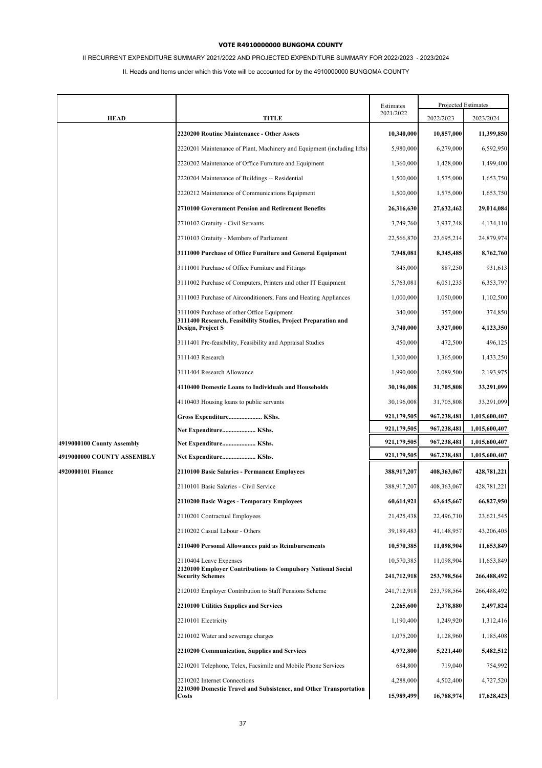# II RECURRENT EXPENDITURE SUMMARY 2021/2022 AND PROJECTED EXPENDITURE SUMMARY FOR 2022/2023 - 2023/2024

|                            |                                                                                         | Estimates   |             | Projected Estimates |  |
|----------------------------|-----------------------------------------------------------------------------------------|-------------|-------------|---------------------|--|
| <b>HEAD</b>                | TITLE                                                                                   | 2021/2022   | 2022/2023   | 2023/2024           |  |
|                            | 2220200 Routine Maintenance - Other Assets                                              | 10,340,000  | 10,857,000  | 11,399,850          |  |
|                            | 2220201 Maintenance of Plant, Machinery and Equipment (including lifts)                 | 5,980,000   | 6,279,000   | 6,592,950           |  |
|                            | 2220202 Maintenance of Office Furniture and Equipment                                   | 1,360,000   | 1,428,000   | 1,499,400           |  |
|                            | 2220204 Maintenance of Buildings -- Residential                                         | 1,500,000   | 1,575,000   | 1,653,750           |  |
|                            | 2220212 Maintenance of Communications Equipment                                         | 1,500,000   | 1,575,000   | 1,653,750           |  |
|                            | 2710100 Government Pension and Retirement Benefits                                      | 26,316,630  | 27,632,462  | 29,014,084          |  |
|                            | 2710102 Gratuity - Civil Servants                                                       | 3,749,760   | 3,937,248   | 4,134,110           |  |
|                            | 2710103 Gratuity - Members of Parliament                                                | 22,566,870  | 23,695,214  | 24,879,974          |  |
|                            | 3111000 Purchase of Office Furniture and General Equipment                              | 7,948,081   | 8,345,485   | 8,762,760           |  |
|                            | 3111001 Purchase of Office Furniture and Fittings                                       | 845,000     | 887,250     | 931,613             |  |
|                            | 3111002 Purchase of Computers, Printers and other IT Equipment                          | 5,763,081   | 6,051,235   | 6,353,797           |  |
|                            | 3111003 Purchase of Airconditioners, Fans and Heating Appliances                        | 1.000.000   | 1,050,000   | 1,102,500           |  |
|                            | 3111009 Purchase of other Office Equipment                                              | 340,000     | 357,000     | 374,850             |  |
|                            | 3111400 Research, Feasibility Studies, Project Preparation and<br>Design, Project S     | 3,740,000   | 3,927,000   | 4,123,350           |  |
|                            | 3111401 Pre-feasibility, Feasibility and Appraisal Studies                              | 450,000     | 472,500     | 496,125             |  |
|                            | 3111403 Research                                                                        | 1,300,000   | 1,365,000   | 1,433,250           |  |
|                            | 3111404 Research Allowance                                                              | 1,990,000   | 2,089,500   | 2,193,975           |  |
|                            | 4110400 Domestic Loans to Individuals and Households                                    | 30,196,008  | 31,705,808  | 33,291,099          |  |
|                            | 4110403 Housing loans to public servants                                                | 30,196,008  | 31,705,808  | 33,291,099          |  |
|                            | Gross Expenditure KShs.                                                                 | 921,179,505 | 967,238,481 | 1,015,600,407       |  |
|                            | Net Expenditure KShs.                                                                   | 921,179,505 | 967,238,481 | 1,015,600,407       |  |
| 4919000100 County Assembly | Net Expenditure KShs.                                                                   | 921,179,505 | 967,238,481 | 1,015,600,407       |  |
| 4919000000 COUNTY ASSEMBLY | Net Expenditure KShs.                                                                   | 921,179,505 | 967,238,481 | 1,015,600,407       |  |
| 4920000101 Finance         | 2110100 Basic Salaries - Permanent Employees                                            | 388,917,207 | 408,363,067 | 428,781,221         |  |
|                            | 2110101 Basic Salaries - Civil Service                                                  | 388,917,207 | 408,363,067 | 428,781,221         |  |
|                            | 2110200 Basic Wages - Temporary Employees                                               | 60,614,921  | 63,645,667  | 66,827,950          |  |
|                            | 2110201 Contractual Employees                                                           | 21,425,438  | 22,496,710  | 23,621,545          |  |
|                            | 2110202 Casual Labour - Others                                                          | 39,189,483  | 41,148,957  | 43,206,405          |  |
|                            | 2110400 Personal Allowances paid as Reimbursements                                      | 10,570,385  | 11,098,904  | 11,653,849          |  |
|                            | 2110404 Leave Expenses                                                                  | 10,570,385  | 11,098,904  | 11,653,849          |  |
|                            | 2120100 Employer Contributions to Compulsory National Social<br><b>Security Schemes</b> | 241,712,918 | 253,798,564 | 266,488,492         |  |
|                            | 2120103 Employer Contribution to Staff Pensions Scheme                                  | 241,712,918 | 253,798,564 | 266,488,492         |  |
|                            | <b>2210100 Utilities Supplies and Services</b>                                          | 2,265,600   | 2,378,880   | 2,497,824           |  |
|                            | 2210101 Electricity                                                                     | 1,190,400   | 1,249,920   | 1,312,416           |  |
|                            | 2210102 Water and sewerage charges                                                      | 1,075,200   | 1,128,960   | 1,185,408           |  |
|                            | <b>2210200 Communication, Supplies and Services</b>                                     | 4,972,800   | 5,221,440   | 5,482,512           |  |
|                            | 2210201 Telephone, Telex, Facsimile and Mobile Phone Services                           | 684,800     | 719,040     | 754,992             |  |
|                            | 2210202 Internet Connections                                                            | 4,288,000   | 4,502,400   | 4,727,520           |  |
|                            | 2210300 Domestic Travel and Subsistence, and Other Transportation<br><b>Costs</b>       | 15,989,499  | 16,788,974  | 17,628,423          |  |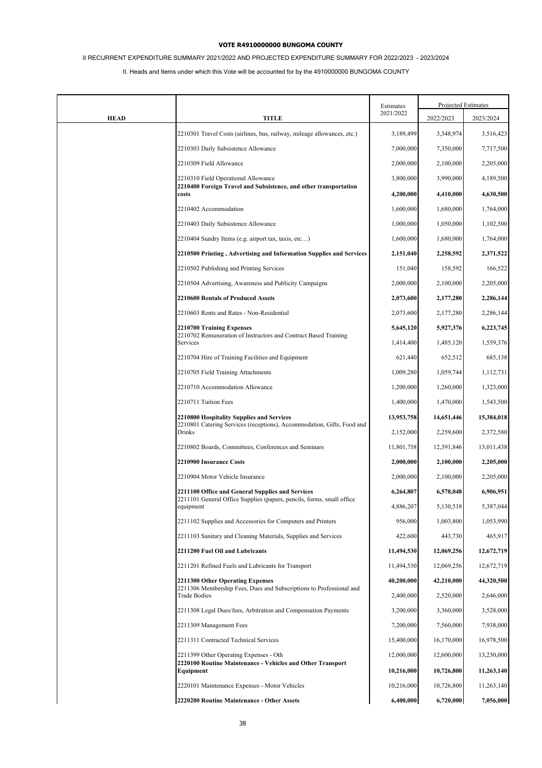# II RECURRENT EXPENDITURE SUMMARY 2021/2022 AND PROJECTED EXPENDITURE SUMMARY FOR 2022/2023 - 2023/2024

|             |                                                                                                                           | Estimates  | Projected Estimates |            |
|-------------|---------------------------------------------------------------------------------------------------------------------------|------------|---------------------|------------|
| <b>HEAD</b> | TITLE                                                                                                                     | 2021/2022  | 2022/2023           | 2023/2024  |
|             | 2210301 Travel Costs (airlines, bus, railway, mileage allowances, etc.)                                                   | 3,189,499  | 3,348,974           | 3,516,423  |
|             | 2210303 Daily Subsistence Allowance                                                                                       | 7,000,000  | 7,350,000           | 7,717,500  |
|             | 2210309 Field Allowance                                                                                                   | 2,000,000  | 2,100,000           | 2,205,000  |
|             | 2210310 Field Operational Allowance                                                                                       | 3,800,000  | 3,990,000           | 4,189,500  |
|             | 2210400 Foreign Travel and Subsistence, and other transportation<br>costs                                                 | 4,200,000  | 4,410,000           | 4,630,500  |
|             | 2210402 Accommodation                                                                                                     | 1,600,000  | 1,680,000           | 1,764,000  |
|             | 2210403 Daily Subsistence Allowance                                                                                       | 1,000,000  | 1,050,000           | 1,102,500  |
|             | 2210404 Sundry Items (e.g. airport tax, taxis, etc)                                                                       | 1,600,000  | 1,680,000           | 1,764,000  |
|             | 2210500 Printing, Advertising and Information Supplies and Services                                                       | 2,151,040  | 2,258,592           | 2,371,522  |
|             | 2210502 Publishing and Printing Services                                                                                  | 151,040    | 158,592             | 166,522    |
|             | 2210504 Advertising, Awareness and Publicity Campaigns                                                                    | 2,000,000  | 2,100,000           | 2,205,000  |
|             | <b>2210600 Rentals of Produced Assets</b>                                                                                 | 2,073,600  | 2,177,280           | 2,286,144  |
|             | 2210603 Rents and Rates - Non-Residential                                                                                 | 2,073,600  | 2,177,280           | 2,286,144  |
|             | 2210700 Training Expenses                                                                                                 | 5,645,120  | 5,927,376           | 6,223,745  |
|             | 2210702 Remuneration of Instructors and Contract Based Training<br>Services                                               | 1,414,400  | 1,485,120           | 1,559,376  |
|             | 2210704 Hire of Training Facilities and Equipment                                                                         | 621,440    | 652,512             | 685,138    |
|             | 2210705 Field Training Attachments                                                                                        | 1,009,280  | 1,059,744           | 1,112,731  |
|             | 2210710 Accommodation Allowance                                                                                           | 1,200,000  | 1,260,000           | 1,323,000  |
|             | 2210711 Tuition Fees                                                                                                      | 1,400,000  | 1,470,000           | 1,543,500  |
|             | 2210800 Hospitality Supplies and Services                                                                                 | 13,953,758 | 14,651,446          | 15,384,018 |
|             | 2210801 Catering Services (receptions), Accommodation, Gifts, Food and<br>Drinks                                          | 2,152,000  | 2,259,600           | 2,372,580  |
|             | 2210802 Boards, Committees, Conferences and Seminars                                                                      | 11,801,758 | 12,391,846          | 13,011,438 |
|             | 2210900 Insurance Costs                                                                                                   | 2,000,000  | 2,100,000           | 2,205,000  |
|             | 2210904 Motor Vehicle Insurance                                                                                           | 2,000,000  | 2,100,000           | 2,205,000  |
|             | 2211100 Office and General Supplies and Services<br>2211101 General Office Supplies (papers, pencils, forms, small office | 6,264,807  | 6,578,048           | 6,906,951  |
|             | equipment                                                                                                                 | 4,886,207  | 5,130,518           | 5,387,044  |
|             | 2211102 Supplies and Accessories for Computers and Printers                                                               | 956,000    | 1,003,800           | 1,053,990  |
|             | 2211103 Sanitary and Cleaning Materials, Supplies and Services                                                            | 422,600    | 443,730             | 465,917    |
|             | 2211200 Fuel Oil and Lubricants                                                                                           | 11,494,530 | 12,069,256          | 12,672,719 |
|             | 2211201 Refined Fuels and Lubricants for Transport                                                                        | 11,494,530 | 12,069,256          | 12,672,719 |
|             | 2211300 Other Operating Expenses<br>2211306 Membership Fees, Dues and Subscriptions to Professional and                   | 40,200,000 | 42,210,000          | 44,320,500 |
|             | <b>Trade Bodies</b>                                                                                                       | 2,400,000  | 2,520,000           | 2,646,000  |
|             | 2211308 Legal Dues/fees, Arbitration and Compensation Payments                                                            | 3,200,000  | 3,360,000           | 3,528,000  |
|             | 2211309 Management Fees                                                                                                   | 7,200,000  | 7,560,000           | 7,938,000  |
|             | 2211311 Contracted Technical Services                                                                                     | 15,400,000 | 16,170,000          | 16,978,500 |
|             | 2211399 Other Operating Expenses - Oth                                                                                    | 12,000,000 | 12,600,000          | 13,230,000 |
|             | 2220100 Routine Maintenance - Vehicles and Other Transport<br>Equipment                                                   | 10,216,000 | 10,726,800          | 11,263,140 |
|             | 2220101 Maintenance Expenses - Motor Vehicles                                                                             | 10,216,000 | 10,726,800          | 11,263,140 |
|             | 2220200 Routine Maintenance - Other Assets                                                                                | 6,400,000  | 6,720,000           | 7,056,000  |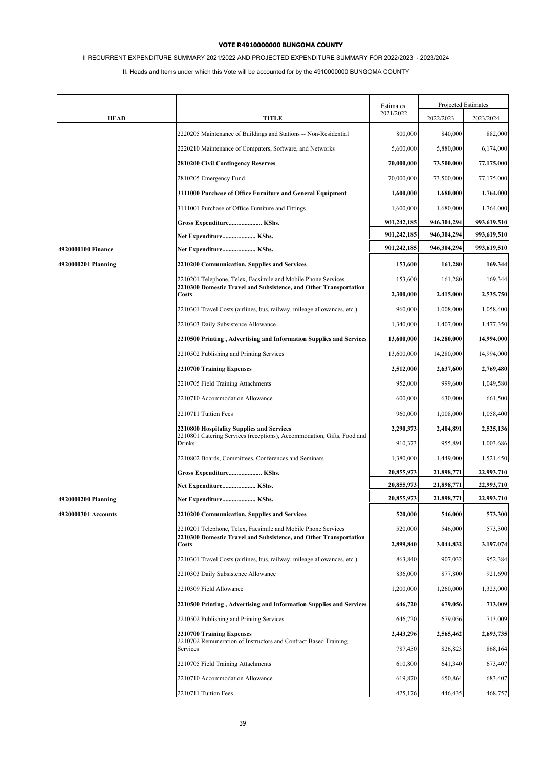# II RECURRENT EXPENDITURE SUMMARY 2021/2022 AND PROJECTED EXPENDITURE SUMMARY FOR 2022/2023 - 2023/2024

|                     |                                                                                                                                    | Estimates   |             | Projected Estimates |
|---------------------|------------------------------------------------------------------------------------------------------------------------------------|-------------|-------------|---------------------|
| <b>HEAD</b>         | TITLE                                                                                                                              | 2021/2022   | 2022/2023   | 2023/2024           |
|                     | 2220205 Maintenance of Buildings and Stations -- Non-Residential                                                                   | 800,000     | 840,000     | 882,000             |
|                     | 2220210 Maintenance of Computers, Software, and Networks                                                                           | 5,600,000   | 5,880,000   | 6,174,000           |
|                     | <b>2810200 Civil Contingency Reserves</b>                                                                                          | 70,000,000  | 73,500,000  | 77,175,000          |
|                     | 2810205 Emergency Fund                                                                                                             | 70,000,000  | 73,500,000  | 77,175,000          |
|                     | 3111000 Purchase of Office Furniture and General Equipment                                                                         | 1,600,000   | 1,680,000   | 1,764,000           |
|                     | 3111001 Purchase of Office Furniture and Fittings                                                                                  | 1,600,000   | 1,680,000   | 1,764,000           |
|                     | Gross Expenditure KShs.                                                                                                            | 901,242,185 | 946,304,294 | 993,619,510         |
|                     | Net Expenditure KShs.                                                                                                              | 901,242,185 | 946,304,294 | 993,619,510         |
| 4920000100 Finance  | Net Expenditure KShs.                                                                                                              | 901,242,185 | 946,304,294 | 993,619,510         |
| 4920000201 Planning | 2210200 Communication, Supplies and Services                                                                                       | 153,600     | 161,280     | 169,344             |
|                     | 2210201 Telephone, Telex, Facsimile and Mobile Phone Services<br>2210300 Domestic Travel and Subsistence, and Other Transportation | 153,600     | 161,280     | 169,344             |
|                     | <b>Costs</b>                                                                                                                       | 2,300,000   | 2,415,000   | 2,535,750           |
|                     | 2210301 Travel Costs (airlines, bus, railway, mileage allowances, etc.)                                                            | 960,000     | 1,008,000   | 1,058,400           |
|                     | 2210303 Daily Subsistence Allowance                                                                                                | 1,340,000   | 1,407,000   | 1,477,350           |
|                     | 2210500 Printing, Advertising and Information Supplies and Services                                                                | 13,600,000  | 14,280,000  | 14,994,000          |
|                     | 2210502 Publishing and Printing Services                                                                                           | 13,600,000  | 14,280,000  | 14,994,000          |
|                     | 2210700 Training Expenses                                                                                                          | 2,512,000   | 2,637,600   | 2,769,480           |
|                     | 2210705 Field Training Attachments                                                                                                 | 952,000     | 999,600     | 1,049,580           |
|                     | 2210710 Accommodation Allowance                                                                                                    | 600,000     | 630,000     | 661,500             |
|                     | 2210711 Tuition Fees                                                                                                               | 960,000     | 1,008,000   | 1,058,400           |
|                     | 2210800 Hospitality Supplies and Services                                                                                          | 2,290,373   | 2,404,891   | 2,525,136           |
|                     | 2210801 Catering Services (receptions), Accommodation, Gifts, Food and<br>Drinks                                                   | 910,373     | 955,891     | 1,003,686           |
|                     | 2210802 Boards, Committees, Conferences and Seminars                                                                               | 1,380,000   | 1,449,000   | 1,521,450           |
|                     | Gross Expenditure KShs.                                                                                                            | 20,855,973  | 21,898,771  | 22,993,710          |
|                     | Net Expenditure KShs.                                                                                                              | 20,855,973  | 21,898,771  | 22,993,710          |
| 4920000200 Planning | Net Expenditure KShs.                                                                                                              | 20,855,973  | 21,898,771  | 22,993,710          |
| 4920000301 Accounts | 2210200 Communication, Supplies and Services                                                                                       | 520,000     | 546,000     | 573,300             |
|                     | 2210201 Telephone, Telex, Facsimile and Mobile Phone Services<br>2210300 Domestic Travel and Subsistence, and Other Transportation | 520,000     | 546,000     | 573,300             |
|                     | <b>Costs</b>                                                                                                                       | 2,899,840   | 3,044,832   | 3,197,074           |
|                     | 2210301 Travel Costs (airlines, bus, railway, mileage allowances, etc.)                                                            | 863,840     | 907,032     | 952,384             |
|                     | 2210303 Daily Subsistence Allowance                                                                                                | 836,000     | 877,800     | 921,690             |
|                     | 2210309 Field Allowance                                                                                                            | 1,200,000   | 1,260,000   | 1,323,000           |
|                     | 2210500 Printing, Advertising and Information Supplies and Services                                                                | 646,720     | 679,056     | 713,009             |
|                     | 2210502 Publishing and Printing Services                                                                                           | 646,720     | 679,056     | 713,009             |
|                     | 2210700 Training Expenses                                                                                                          | 2,443,296   | 2,565,462   | 2,693,735           |
|                     | 2210702 Remuneration of Instructors and Contract Based Training<br>Services                                                        | 787,450     | 826,823     | 868,164             |
|                     | 2210705 Field Training Attachments                                                                                                 | 610,800     | 641,340     | 673,407             |
|                     | 2210710 Accommodation Allowance                                                                                                    | 619,870     | 650,864     | 683,407             |
|                     | 2210711 Tuition Fees                                                                                                               | 425,176     | 446,435     | 468,757             |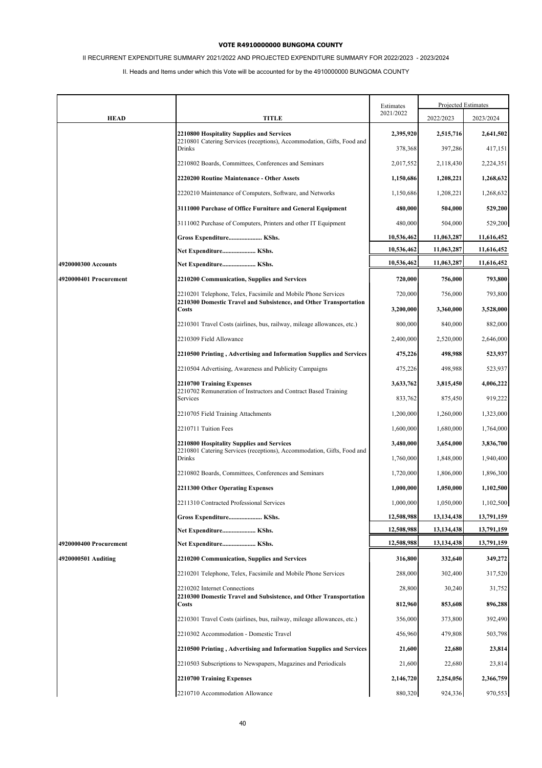# II RECURRENT EXPENDITURE SUMMARY 2021/2022 AND PROJECTED EXPENDITURE SUMMARY FOR 2022/2023 - 2023/2024

|                        |                                                                                   | Estimates  | Projected Estimates |            |
|------------------------|-----------------------------------------------------------------------------------|------------|---------------------|------------|
| <b>HEAD</b>            | <b>TITLE</b>                                                                      | 2021/2022  | 2022/2023           | 2023/2024  |
|                        | 2210800 Hospitality Supplies and Services                                         | 2,395,920  | 2,515,716           | 2,641,502  |
|                        | 2210801 Catering Services (receptions), Accommodation, Gifts, Food and<br>Drinks  | 378,368    | 397,286             | 417,151    |
|                        | 2210802 Boards, Committees, Conferences and Seminars                              | 2,017,552  | 2,118,430           | 2,224,351  |
|                        | 2220200 Routine Maintenance - Other Assets                                        | 1,150,686  | 1,208,221           | 1,268,632  |
|                        | 2220210 Maintenance of Computers, Software, and Networks                          | 1,150,686  | 1,208,221           | 1,268,632  |
|                        | 3111000 Purchase of Office Furniture and General Equipment                        | 480,000    | 504,000             | 529,200    |
|                        | 3111002 Purchase of Computers, Printers and other IT Equipment                    | 480,000    | 504,000             | 529,200    |
|                        | Gross Expenditure KShs.                                                           | 10,536,462 | 11,063,287          | 11,616,452 |
|                        | Net Expenditure KShs.                                                             | 10,536,462 | 11,063,287          | 11,616,452 |
| 4920000300 Accounts    | Net Expenditure KShs.                                                             | 10,536,462 | 11,063,287          | 11,616,452 |
| 4920000401 Procurement | 2210200 Communication, Supplies and Services                                      | 720,000    | 756,000             | 793,800    |
|                        | 2210201 Telephone, Telex, Facsimile and Mobile Phone Services                     | 720,000    | 756,000             | 793,800    |
|                        | 2210300 Domestic Travel and Subsistence, and Other Transportation<br><b>Costs</b> | 3,200,000  | 3,360,000           | 3,528,000  |
|                        | 2210301 Travel Costs (airlines, bus, railway, mileage allowances, etc.)           | 800,000    | 840,000             | 882,000    |
|                        | 2210309 Field Allowance                                                           | 2,400,000  | 2,520,000           | 2,646,000  |
|                        | 2210500 Printing, Advertising and Information Supplies and Services               | 475,226    | 498,988             | 523,937    |
|                        | 2210504 Advertising, Awareness and Publicity Campaigns                            | 475,226    | 498,988             | 523,937    |
|                        | 2210700 Training Expenses                                                         | 3,633,762  | 3,815,450           | 4,006,222  |
|                        | 2210702 Remuneration of Instructors and Contract Based Training<br>Services       | 833,762    | 875,450             | 919,222    |
|                        | 2210705 Field Training Attachments                                                | 1,200,000  | 1,260,000           | 1,323,000  |
|                        | 2210711 Tuition Fees                                                              | 1,600,000  | 1,680,000           | 1,764,000  |
|                        | 2210800 Hospitality Supplies and Services                                         | 3,480,000  | 3,654,000           | 3,836,700  |
|                        | 2210801 Catering Services (receptions), Accommodation, Gifts, Food and<br>Drinks  | 1,760,000  | 1,848,000           | 1,940,400  |
|                        | 2210802 Boards, Committees, Conferences and Seminars                              | 1,720,000  | 1,806,000           | 1,896,300  |
|                        | 2211300 Other Operating Expenses                                                  | 1,000,000  | 1,050,000           | 1,102,500  |
|                        | 2211310 Contracted Professional Services                                          | 1,000,000  | 1,050,000           | 1,102,500  |
|                        | Gross Expenditure KShs.                                                           | 12,508,988 | 13,134,438          | 13,791,159 |
|                        | Net Expenditure KShs.                                                             | 12,508,988 | 13,134,438          | 13,791,159 |
| 4920000400 Procurement | Net Expenditure KShs.                                                             | 12,508,988 | 13, 134, 438        | 13,791,159 |
| 4920000501 Auditing    | 2210200 Communication, Supplies and Services                                      | 316,800    | 332,640             | 349,272    |
|                        | 2210201 Telephone, Telex, Facsimile and Mobile Phone Services                     | 288,000    | 302,400             | 317,520    |
|                        | 2210202 Internet Connections                                                      | 28,800     | 30,240              | 31,752     |
|                        | 2210300 Domestic Travel and Subsistence, and Other Transportation<br>Costs        | 812,960    | 853,608             | 896,288    |
|                        | 2210301 Travel Costs (airlines, bus, railway, mileage allowances, etc.)           | 356,000    | 373,800             | 392,490    |
|                        | 2210302 Accommodation - Domestic Travel                                           | 456,960    | 479,808             | 503,798    |
|                        | 2210500 Printing, Advertising and Information Supplies and Services               | 21,600     | 22,680              | 23,814     |
|                        | 2210503 Subscriptions to Newspapers, Magazines and Periodicals                    | 21,600     | 22,680              | 23,814     |
|                        | 2210700 Training Expenses                                                         | 2,146,720  | 2,254,056           | 2,366,759  |
|                        | 2210710 Accommodation Allowance                                                   | 880,320    | 924,336             | 970,553    |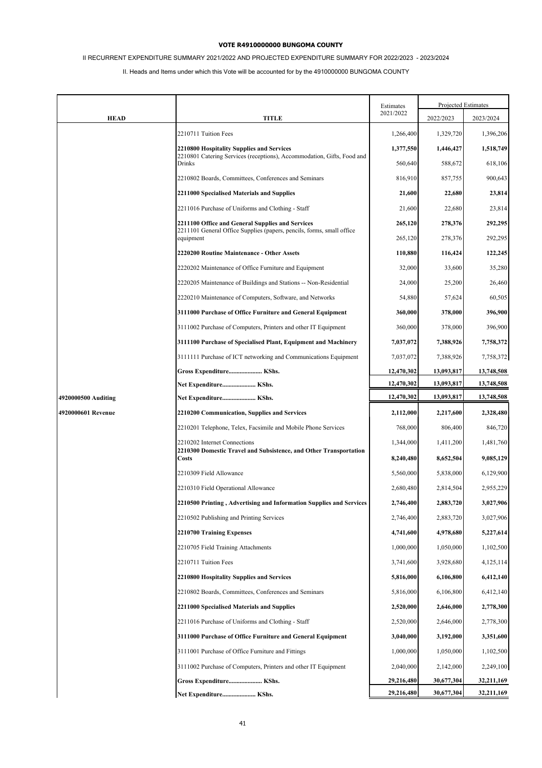# II RECURRENT EXPENDITURE SUMMARY 2021/2022 AND PROJECTED EXPENDITURE SUMMARY FOR 2022/2023 - 2023/2024

|                     |                                                                                                                                        | Estimates          | Projected Estimates |                        |
|---------------------|----------------------------------------------------------------------------------------------------------------------------------------|--------------------|---------------------|------------------------|
| <b>HEAD</b>         | <b>TITLE</b>                                                                                                                           | 2021/2022          | 2022/2023           | 2023/2024              |
|                     | 2210711 Tuition Fees                                                                                                                   | 1,266,400          | 1,329,720           | 1,396,206              |
|                     | 2210800 Hospitality Supplies and Services                                                                                              | 1,377,550          | 1,446,427           | 1,518,749              |
|                     | 2210801 Catering Services (receptions), Accommodation, Gifts, Food and<br><b>Drinks</b>                                                | 560,640            | 588,672             | 618,106                |
|                     | 2210802 Boards, Committees, Conferences and Seminars                                                                                   | 816,910            | 857,755             | 900,643                |
|                     | 2211000 Specialised Materials and Supplies                                                                                             | 21,600             | 22,680              | 23,814                 |
|                     | 2211016 Purchase of Uniforms and Clothing - Staff                                                                                      | 21,600             | 22,680              | 23,814                 |
|                     | 2211100 Office and General Supplies and Services<br>2211101 General Office Supplies (papers, pencils, forms, small office<br>equipment | 265,120<br>265,120 | 278,376<br>278,376  | 292,295<br>292,295     |
|                     | 2220200 Routine Maintenance - Other Assets                                                                                             | 110,880            | 116,424             | 122,245                |
|                     | 2220202 Maintenance of Office Furniture and Equipment                                                                                  | 32,000             | 33,600              | 35,280                 |
|                     | 2220205 Maintenance of Buildings and Stations -- Non-Residential                                                                       |                    |                     |                        |
|                     | 2220210 Maintenance of Computers, Software, and Networks                                                                               | 24,000<br>54,880   | 25,200<br>57,624    | 26,460<br>60,505       |
|                     | 3111000 Purchase of Office Furniture and General Equipment                                                                             | 360,000            | 378,000             | 396,900                |
|                     | 3111002 Purchase of Computers, Printers and other IT Equipment                                                                         | 360,000            | 378,000             | 396,900                |
|                     | 3111100 Purchase of Specialised Plant, Equipment and Machinery                                                                         | 7,037,072          | 7,388,926           |                        |
|                     | 3111111 Purchase of ICT networking and Communications Equipment                                                                        | 7,037,072          | 7,388,926           | 7,758,372<br>7,758,372 |
|                     | Gross Expenditure KShs.                                                                                                                | 12,470,302         | 13,093,817          | 13,748,508             |
|                     | Net Expenditure KShs.                                                                                                                  | 12,470,302         | 13,093,817          | 13,748,508             |
| 4920000500 Auditing | Net Expenditure KShs.                                                                                                                  | 12,470,302         | 13,093,817          | 13,748,508             |
| 4920000601 Revenue  | 2210200 Communication, Supplies and Services                                                                                           | 2,112,000          | 2,217,600           | 2,328,480              |
|                     | 2210201 Telephone, Telex, Facsimile and Mobile Phone Services                                                                          | 768,000            | 806,400             | 846,720                |
|                     | 2210202 Internet Connections<br>2210300 Domestic Travel and Subsistence, and Other Transportation                                      | 1,344,000          | 1,411,200           | 1,481,760              |
|                     | Costs                                                                                                                                  | 8,240,480          | 8,652,504           | 9,085,129              |
|                     | 2210309 Field Allowance                                                                                                                | 5,560,000          | 5,838,000           | 6,129,900              |
|                     | 2210310 Field Operational Allowance                                                                                                    | 2,680,480          | 2,814,504           | 2,955,229              |
|                     | 2210500 Printing, Advertising and Information Supplies and Services                                                                    | 2,746,400          | 2,883,720           | 3,027,906              |
|                     | 2210502 Publishing and Printing Services                                                                                               | 2,746,400          | 2,883,720           | 3,027,906              |
|                     | 2210700 Training Expenses                                                                                                              | 4,741,600          | 4,978,680           | 5,227,614              |
|                     | 2210705 Field Training Attachments                                                                                                     | 1,000,000          | 1,050,000           | 1,102,500              |
|                     | 2210711 Tuition Fees                                                                                                                   | 3,741,600          | 3,928,680           | 4,125,114              |
|                     | 2210800 Hospitality Supplies and Services                                                                                              | 5,816,000          | 6,106,800           | 6,412,140              |
|                     | 2210802 Boards, Committees, Conferences and Seminars                                                                                   | 5,816,000          | 6,106,800           | 6,412,140              |
|                     | 2211000 Specialised Materials and Supplies                                                                                             | 2,520,000          | 2,646,000           | 2,778,300              |
|                     | 2211016 Purchase of Uniforms and Clothing - Staff                                                                                      | 2,520,000          | 2,646,000           | 2,778,300              |
|                     | 3111000 Purchase of Office Furniture and General Equipment                                                                             | 3,040,000          | 3,192,000           | 3,351,600              |
|                     | 3111001 Purchase of Office Furniture and Fittings                                                                                      | 1,000,000          | 1,050,000           | 1,102,500              |
|                     | 3111002 Purchase of Computers, Printers and other IT Equipment                                                                         | 2,040,000          | 2,142,000           | 2,249,100              |
|                     | Gross Expenditure KShs.                                                                                                                | 29,216,480         | 30,677,304          | 32,211,169             |
|                     | Net Expenditure KShs.                                                                                                                  | 29,216,480         | 30,677,304          | 32,211,169             |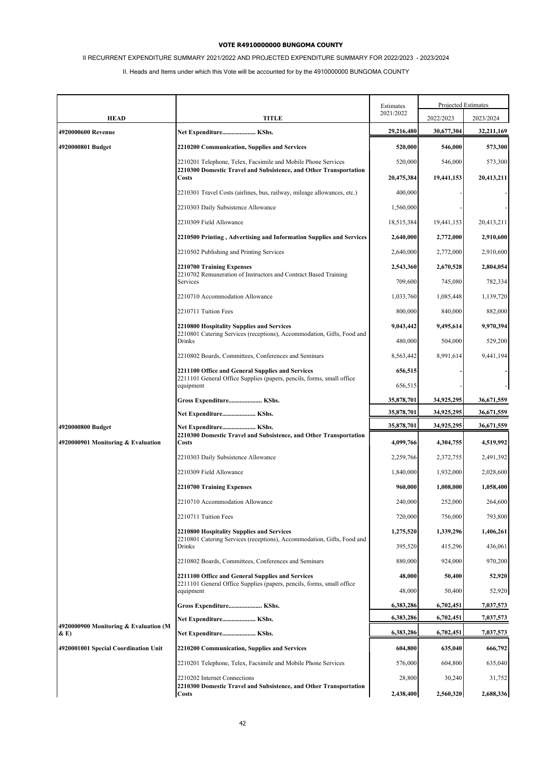# II RECURRENT EXPENDITURE SUMMARY 2021/2022 AND PROJECTED EXPENDITURE SUMMARY FOR 2022/2023 - 2023/2024

|                                       |                                                                                                                           | Estimates  | Projected Estimates |            |
|---------------------------------------|---------------------------------------------------------------------------------------------------------------------------|------------|---------------------|------------|
| <b>HEAD</b>                           | TITLE                                                                                                                     | 2021/2022  | 2022/2023           | 2023/2024  |
| 4920000600 Revenue                    | Net Expenditure KShs.                                                                                                     | 29,216,480 | 30,677,304          | 32,211,169 |
| 4920000801 Budget                     | 2210200 Communication, Supplies and Services                                                                              | 520,000    | 546,000             | 573,300    |
|                                       | 2210201 Telephone, Telex, Facsimile and Mobile Phone Services                                                             | 520,000    | 546,000             | 573,300    |
|                                       | 2210300 Domestic Travel and Subsistence, and Other Transportation<br>Costs                                                | 20,475,384 | 19,441,153          | 20,413,211 |
|                                       | 2210301 Travel Costs (airlines, bus, railway, mileage allowances, etc.)                                                   | 400,000    |                     |            |
|                                       | 2210303 Daily Subsistence Allowance                                                                                       | 1,560,000  |                     |            |
|                                       | 2210309 Field Allowance                                                                                                   | 18,515,384 | 19,441,153          | 20,413,211 |
|                                       | 2210500 Printing, Advertising and Information Supplies and Services                                                       | 2,640,000  | 2,772,000           | 2,910,600  |
|                                       | 2210502 Publishing and Printing Services                                                                                  | 2,640,000  | 2,772,000           | 2,910,600  |
|                                       | 2210700 Training Expenses                                                                                                 | 2,543,360  | 2,670,528           | 2,804,054  |
|                                       | 2210702 Remuneration of Instructors and Contract Based Training<br>Services                                               | 709,600    | 745,080             | 782,334    |
|                                       | 2210710 Accommodation Allowance                                                                                           | 1,033,760  | 1,085,448           | 1,139,720  |
|                                       | 2210711 Tuition Fees                                                                                                      | 800,000    | 840,000             | 882,000    |
|                                       | 2210800 Hospitality Supplies and Services                                                                                 | 9,043,442  | 9,495,614           | 9,970,394  |
|                                       | 2210801 Catering Services (receptions), Accommodation, Gifts, Food and<br>Drinks                                          | 480,000    | 504,000             | 529,200    |
|                                       | 2210802 Boards, Committees, Conferences and Seminars                                                                      | 8,563,442  | 8.991.614           | 9,441,194  |
|                                       | 2211100 Office and General Supplies and Services                                                                          | 656,515    |                     |            |
|                                       | 2211101 General Office Supplies (papers, pencils, forms, small office<br>equipment                                        | 656,515    |                     |            |
|                                       | Gross Expenditure KShs.                                                                                                   | 35,878,701 | 34,925,295          | 36,671,559 |
|                                       | Net Expenditure KShs.                                                                                                     | 35,878,701 | 34,925,295          | 36,671,559 |
| 4920000800 Budget                     | Net Expenditure KShs.<br>2210300 Domestic Travel and Subsistence, and Other Transportation                                | 35,878,701 | 34,925,295          | 36,671,559 |
| 4920000901 Monitoring & Evaluation    | Costs                                                                                                                     | 4,099,766  | 4,304,755           | 4,519,992  |
|                                       | 2210303 Daily Subsistence Allowance                                                                                       | 2,259,766  | 2,372,755           | 2,491,392  |
|                                       | 2210309 Field Allowance                                                                                                   | 1,840,000  | 1,932,000           | 2,028,600  |
|                                       | 2210700 Training Expenses                                                                                                 | 960,000    | 1,008,000           | 1,058,400  |
|                                       | 2210710 Accommodation Allowance                                                                                           | 240,000    | 252,000             | 264,600    |
|                                       | 2210711 Tuition Fees                                                                                                      | 720,000    | 756,000             | 793,800    |
|                                       | 2210800 Hospitality Supplies and Services<br>2210801 Catering Services (receptions), Accommodation, Gifts, Food and       | 1,275,520  | 1,339,296           | 1,406,261  |
|                                       | Drinks                                                                                                                    | 395,520    | 415,296             | 436,061    |
|                                       | 2210802 Boards, Committees, Conferences and Seminars                                                                      | 880,000    | 924,000             | 970,200    |
|                                       | 2211100 Office and General Supplies and Services<br>2211101 General Office Supplies (papers, pencils, forms, small office | 48,000     | 50,400              | 52,920     |
|                                       | equipment                                                                                                                 | 48,000     | 50,400              | 52,920     |
|                                       | Gross Expenditure KShs.                                                                                                   | 6,383,286  | 6,702,451           | 7,037,573  |
| 4920000900 Monitoring & Evaluation (M | Net Expenditure KShs.                                                                                                     | 6,383,286  | 6,702,451           | 7,037,573  |
| $\&\mathbf{E})$                       | Net Expenditure KShs.                                                                                                     | 6,383,286  | 6,702,451           | 7,037,573  |
| 4920001001 Special Coordination Unit  | 2210200 Communication, Supplies and Services                                                                              | 604,800    | 635,040             | 666,792    |
|                                       | 2210201 Telephone, Telex, Facsimile and Mobile Phone Services                                                             | 576,000    | 604,800             | 635,040    |
|                                       | 2210202 Internet Connections<br>2210300 Domestic Travel and Subsistence, and Other Transportation                         | 28,800     | 30,240              | 31,752     |
|                                       | <b>Costs</b>                                                                                                              | 2,438,400  | 2,560,320           | 2,688,336  |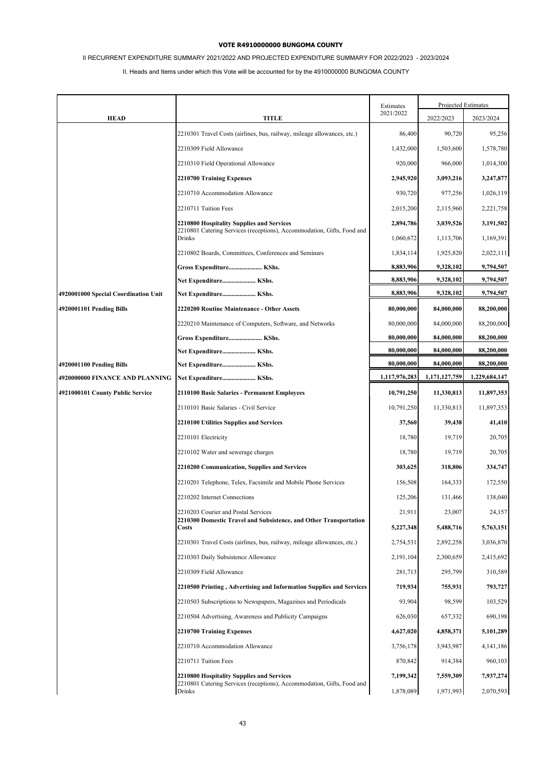# II RECURRENT EXPENDITURE SUMMARY 2021/2022 AND PROJECTED EXPENDITURE SUMMARY FOR 2022/2023 - 2023/2024

|                                                             |                                                                                                                     | Estimates                | Projected Estimates      |                          |
|-------------------------------------------------------------|---------------------------------------------------------------------------------------------------------------------|--------------------------|--------------------------|--------------------------|
| <b>HEAD</b>                                                 | TITLE                                                                                                               | 2021/2022                | 2022/2023                | 2023/2024                |
|                                                             | 2210301 Travel Costs (airlines, bus, railway, mileage allowances, etc.)                                             | 86,400                   | 90,720                   | 95,256                   |
|                                                             | 2210309 Field Allowance                                                                                             | 1,432,000                | 1,503,600                | 1,578,780                |
|                                                             | 2210310 Field Operational Allowance                                                                                 | 920,000                  | 966,000                  | 1,014,300                |
|                                                             | 2210700 Training Expenses                                                                                           | 2,945,920                | 3,093,216                | 3,247,877                |
|                                                             | 2210710 Accommodation Allowance                                                                                     | 930,720                  | 977,256                  | 1,026,119                |
|                                                             | 2210711 Tuition Fees                                                                                                | 2,015,200                | 2,115,960                | 2,221,758                |
|                                                             | 2210800 Hospitality Supplies and Services<br>2210801 Catering Services (receptions), Accommodation, Gifts, Food and | 2,894,786                | 3,039,526                | 3,191,502                |
|                                                             | Drinks                                                                                                              | 1,060,672                | 1,113,706                | 1,169,391                |
|                                                             | 2210802 Boards, Committees, Conferences and Seminars                                                                | 1,834,114                | 1,925,820                | 2,022,111                |
|                                                             | Gross Expenditure KShs.                                                                                             | 8,883,906                | 9,328,102                | 9,794,507                |
|                                                             | Net Expenditure KShs.                                                                                               | 8,883,906<br>8,883,906   | 9,328,102<br>9,328,102   | 9,794,507<br>9,794,507   |
| 4920001000 Special Coordination Unit                        | Net Expenditure KShs.                                                                                               |                          |                          |                          |
| 4920001101 Pending Bills                                    | 2220200 Routine Maintenance - Other Assets                                                                          | 80,000,000               | 84,000,000               | 88,200,000               |
|                                                             | 2220210 Maintenance of Computers, Software, and Networks                                                            | 80,000,000               | 84,000,000               | 88,200,000               |
|                                                             | Gross Expenditure KShs.                                                                                             | 80,000,000<br>80,000,000 | 84,000,000<br>84,000,000 | 88,200,000<br>88,200,000 |
|                                                             | Net Expenditure KShs.                                                                                               | 80,000,000               | 84,000,000               | 88,200,000               |
| 4920001100 Pending Bills<br>4920000000 FINANCE AND PLANNING | Net Expenditure KShs.<br>Net Expenditure KShs.                                                                      | 1,117,976,283            | 1,171,127,759            | 1,229,684,147            |
| 4921000101 County Public Service                            | 2110100 Basic Salaries - Permanent Employees                                                                        | 10,791,250               | 11,330,813               | 11,897,353               |
|                                                             | 2110101 Basic Salaries - Civil Service                                                                              | 10,791,250               | 11,330,813               | 11,897,353               |
|                                                             |                                                                                                                     |                          |                          |                          |
|                                                             | 2210100 Utilities Supplies and Services<br>2210101 Electricity                                                      | 37,560<br>18,780         | 39,438<br>19,719         | 41,410<br>20,705         |
|                                                             |                                                                                                                     |                          |                          |                          |
|                                                             | 2210102 Water and sewerage charges                                                                                  | 18,780                   | 19,719                   | 20,705                   |
|                                                             | 2210200 Communication, Supplies and Services                                                                        | 303,625                  | 318,806                  | 334,747                  |
|                                                             | 2210201 Telephone, Telex, Facsimile and Mobile Phone Services<br>2210202 Internet Connections                       | 156,508                  | 164,333                  | 172,550<br>138,040       |
|                                                             |                                                                                                                     | 125,206                  | 131,466                  |                          |
|                                                             | 2210203 Courier and Postal Services<br>2210300 Domestic Travel and Subsistence, and Other Transportation<br>Costs   | 21,911<br>5,227,348      | 23,007<br>5,488,716      | 24,157<br>5,763,151      |
|                                                             | 2210301 Travel Costs (airlines, bus, railway, mileage allowances, etc.)                                             | 2,754,531                | 2,892,258                | 3,036,870                |
|                                                             | 2210303 Daily Subsistence Allowance                                                                                 | 2,191,104                | 2,300,659                | 2,415,692                |
|                                                             | 2210309 Field Allowance                                                                                             | 281,713                  | 295,799                  | 310,589                  |
|                                                             | 2210500 Printing, Advertising and Information Supplies and Services                                                 | 719,934                  | 755,931                  | 793,727                  |
|                                                             | 2210503 Subscriptions to Newspapers, Magazines and Periodicals                                                      | 93,904                   | 98,599                   | 103,529                  |
|                                                             | 2210504 Advertising, Awareness and Publicity Campaigns                                                              | 626,030                  | 657,332                  | 690,198                  |
|                                                             | 2210700 Training Expenses                                                                                           | 4,627,020                | 4,858,371                | 5,101,289                |
|                                                             | 2210710 Accommodation Allowance                                                                                     | 3,756,178                | 3,943,987                | 4, 141, 186              |
|                                                             | 2210711 Tuition Fees                                                                                                | 870,842                  | 914,384                  | 960,103                  |
|                                                             | 2210800 Hospitality Supplies and Services                                                                           | 7,199,342                | 7,559,309                | 7,937,274                |
|                                                             | 2210801 Catering Services (receptions), Accommodation, Gifts, Food and<br>Drinks                                    | 1,878,089                | 1,971,993                | 2,070,593                |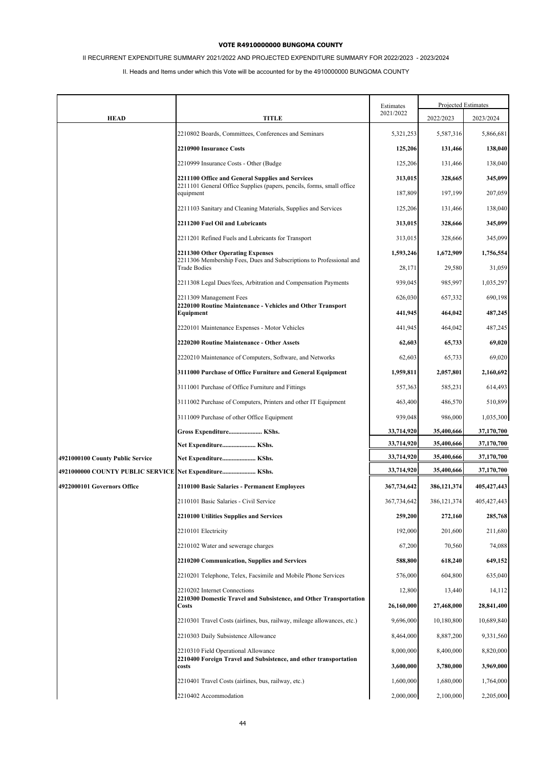# II RECURRENT EXPENDITURE SUMMARY 2021/2022 AND PROJECTED EXPENDITURE SUMMARY FOR 2022/2023 - 2023/2024

|                                                        |                                                                                                                                       | Estimates            |                      | Projected Estimates  |
|--------------------------------------------------------|---------------------------------------------------------------------------------------------------------------------------------------|----------------------|----------------------|----------------------|
| <b>HEAD</b>                                            | <b>TITLE</b>                                                                                                                          | 2021/2022            | 2022/2023            | 2023/2024            |
|                                                        | 2210802 Boards, Committees, Conferences and Seminars                                                                                  | 5,321,253            | 5,587,316            | 5,866,681            |
|                                                        | 2210900 Insurance Costs                                                                                                               | 125,206              | 131,466              | 138,040              |
|                                                        | 2210999 Insurance Costs - Other (Budge                                                                                                | 125,206              | 131,466              | 138,040              |
|                                                        | 2211100 Office and General Supplies and Services                                                                                      | 313,015              | 328,665              | 345,099              |
|                                                        | 2211101 General Office Supplies (papers, pencils, forms, small office<br>equipment                                                    | 187,809              | 197,199              | 207,059              |
|                                                        | 2211103 Sanitary and Cleaning Materials, Supplies and Services                                                                        | 125,206              | 131,466              | 138,040              |
|                                                        | 2211200 Fuel Oil and Lubricants                                                                                                       | 313,015              | 328,666              | 345,099              |
|                                                        | 2211201 Refined Fuels and Lubricants for Transport                                                                                    | 313,015              | 328,666              | 345,099              |
|                                                        | <b>2211300 Other Operating Expenses</b><br>2211306 Membership Fees, Dues and Subscriptions to Professional and<br><b>Trade Bodies</b> | 1,593,246<br>28,171  | 1,672,909<br>29,580  | 1,756,554<br>31,059  |
|                                                        | 2211308 Legal Dues/fees, Arbitration and Compensation Payments                                                                        | 939,045              | 985,997              | 1,035,297            |
|                                                        | 2211309 Management Fees                                                                                                               | 626,030              | 657,332              | 690,198              |
|                                                        | 2220100 Routine Maintenance - Vehicles and Other Transport<br>Equipment                                                               | 441,945              | 464,042              | 487,245              |
|                                                        | 2220101 Maintenance Expenses - Motor Vehicles                                                                                         | 441,945              | 464,042              | 487,245              |
|                                                        | 2220200 Routine Maintenance - Other Assets                                                                                            | 62,603               | 65,733               | 69,020               |
|                                                        | 2220210 Maintenance of Computers, Software, and Networks                                                                              | 62,603               | 65,733               | 69,020               |
|                                                        | 3111000 Purchase of Office Furniture and General Equipment                                                                            | 1,959,811            | 2,057,801            | 2,160,692            |
|                                                        | 3111001 Purchase of Office Furniture and Fittings                                                                                     | 557,363              | 585,231              | 614,493              |
|                                                        | 3111002 Purchase of Computers, Printers and other IT Equipment                                                                        | 463,400              | 486,570              | 510,899              |
|                                                        | 3111009 Purchase of other Office Equipment                                                                                            | 939,048              | 986,000              | 1,035,300            |
|                                                        | Gross Expenditure KShs.                                                                                                               | 33,714,920           | 35,400,666           | 37,170,700           |
|                                                        | Net Expenditure KShs.                                                                                                                 | 33,714,920           | 35,400,666           | 37,170,700           |
| 4921000100 County Public Service                       | Net Expenditure KShs.                                                                                                                 | 33,714,920           | 35,400,666           | 37,170,700           |
| 4921000000 COUNTY PUBLIC SERVICE Net Expenditure KShs. |                                                                                                                                       | 33,714,920           | 35,400,666           | 37,170,700           |
| 4922000101 Governors Office                            | 2110100 Basic Salaries - Permanent Employees                                                                                          | 367,734,642          | 386,121,374          | 405, 427, 443        |
|                                                        | 2110101 Basic Salaries - Civil Service                                                                                                | 367,734,642          | 386, 121, 374        | 405,427,443          |
|                                                        | 2210100 Utilities Supplies and Services                                                                                               | 259,200              | 272,160              | 285,768              |
|                                                        | 2210101 Electricity                                                                                                                   | 192,000              | 201,600              | 211,680              |
|                                                        | 2210102 Water and sewerage charges                                                                                                    | 67,200               | 70,560               | 74,088               |
|                                                        | <b>2210200 Communication, Supplies and Services</b>                                                                                   | 588,800              | 618,240              | 649,152              |
|                                                        | 2210201 Telephone, Telex, Facsimile and Mobile Phone Services                                                                         | 576,000              | 604,800              | 635,040              |
|                                                        | 2210202 Internet Connections<br>2210300 Domestic Travel and Subsistence, and Other Transportation<br>Costs                            | 12,800<br>26,160,000 | 13,440<br>27,468,000 | 14,112<br>28,841,400 |
|                                                        | 2210301 Travel Costs (airlines, bus, railway, mileage allowances, etc.)                                                               | 9,696,000            | 10,180,800           | 10,689,840           |
|                                                        | 2210303 Daily Subsistence Allowance                                                                                                   | 8,464,000            | 8,887,200            | 9,331,560            |
|                                                        | 2210310 Field Operational Allowance                                                                                                   | 8,000,000            | 8,400,000            | 8,820,000            |
|                                                        | 2210400 Foreign Travel and Subsistence, and other transportation<br>costs                                                             | 3,600,000            | 3,780,000            | 3,969,000            |
|                                                        | 2210401 Travel Costs (airlines, bus, railway, etc.)                                                                                   | 1,600,000            | 1,680,000            | 1,764,000            |
|                                                        | 2210402 Accommodation                                                                                                                 | 2,000,000            | 2,100,000            | 2,205,000            |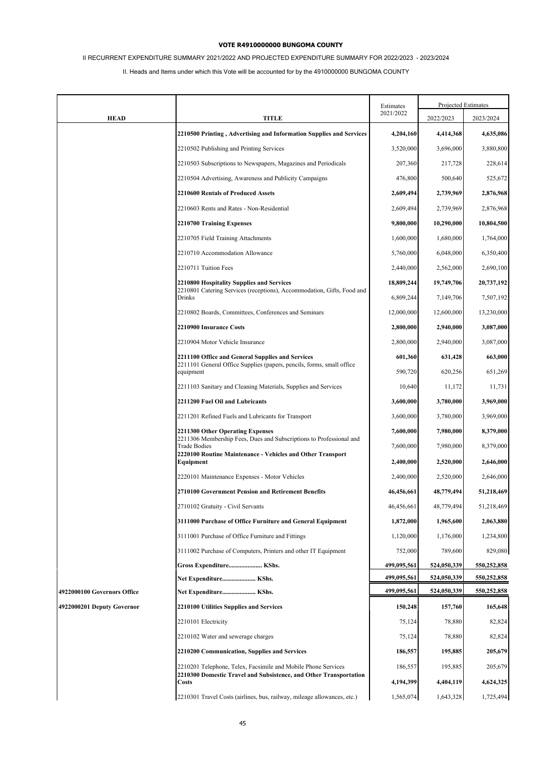# II RECURRENT EXPENDITURE SUMMARY 2021/2022 AND PROJECTED EXPENDITURE SUMMARY FOR 2022/2023 - 2023/2024

|                             |                                                                                                                                    | Estimates   |             | Projected Estimates |
|-----------------------------|------------------------------------------------------------------------------------------------------------------------------------|-------------|-------------|---------------------|
| <b>HEAD</b>                 | <b>TITLE</b>                                                                                                                       | 2021/2022   | 2022/2023   | 2023/2024           |
|                             | 2210500 Printing, Advertising and Information Supplies and Services                                                                | 4,204,160   | 4,414,368   | 4,635,086           |
|                             | 2210502 Publishing and Printing Services                                                                                           | 3,520,000   | 3,696,000   | 3,880,800           |
|                             | 2210503 Subscriptions to Newspapers, Magazines and Periodicals                                                                     | 207,360     | 217,728     | 228,614             |
|                             | 2210504 Advertising, Awareness and Publicity Campaigns                                                                             | 476,800     | 500,640     | 525,672             |
|                             | 2210600 Rentals of Produced Assets                                                                                                 | 2,609,494   | 2,739,969   | 2,876,968           |
|                             | 2210603 Rents and Rates - Non-Residential                                                                                          | 2,609,494   | 2,739,969   | 2,876,968           |
|                             | 2210700 Training Expenses                                                                                                          | 9,800,000   | 10,290,000  | 10,804,500          |
|                             | 2210705 Field Training Attachments                                                                                                 | 1,600,000   | 1,680,000   | 1,764,000           |
|                             | 2210710 Accommodation Allowance                                                                                                    | 5,760,000   | 6,048,000   | 6,350,400           |
|                             | 2210711 Tuition Fees                                                                                                               | 2,440,000   | 2,562,000   | 2,690,100           |
|                             | 2210800 Hospitality Supplies and Services                                                                                          | 18,809,244  | 19,749,706  | 20,737,192          |
|                             | 2210801 Catering Services (receptions), Accommodation, Gifts, Food and<br>Drinks                                                   | 6,809,244   | 7,149,706   | 7,507,192           |
|                             | 2210802 Boards, Committees, Conferences and Seminars                                                                               | 12,000,000  | 12,600,000  | 13,230,000          |
|                             | 2210900 Insurance Costs                                                                                                            | 2,800,000   | 2,940,000   | 3,087,000           |
|                             | 2210904 Motor Vehicle Insurance                                                                                                    | 2,800,000   | 2,940,000   | 3,087,000           |
|                             | 2211100 Office and General Supplies and Services                                                                                   | 601,360     | 631,428     | 663,000             |
|                             | 2211101 General Office Supplies (papers, pencils, forms, small office<br>equipment                                                 | 590,720     | 620,256     | 651,269             |
|                             | 2211103 Sanitary and Cleaning Materials, Supplies and Services                                                                     | 10,640      | 11,172      | 11,731              |
|                             | 2211200 Fuel Oil and Lubricants                                                                                                    | 3,600,000   | 3,780,000   | 3,969,000           |
|                             | 2211201 Refined Fuels and Lubricants for Transport                                                                                 | 3,600,000   | 3,780,000   | 3,969,000           |
|                             | 2211300 Other Operating Expenses                                                                                                   | 7,600,000   | 7,980,000   | 8,379,000           |
|                             | 2211306 Membership Fees, Dues and Subscriptions to Professional and<br><b>Trade Bodies</b>                                         | 7,600,000   | 7,980,000   | 8,379,000           |
|                             | 2220100 Routine Maintenance - Vehicles and Other Transport<br>Equipment                                                            | 2,400,000   | 2,520,000   | 2,646,000           |
|                             | 2220101 Maintenance Expenses - Motor Vehicles                                                                                      | 2,400,000   | 2,520,000   | 2,646,000           |
|                             | 2710100 Government Pension and Retirement Benefits                                                                                 | 46,456,661  | 48,779,494  | 51,218,469          |
|                             | 2710102 Gratuity - Civil Servants                                                                                                  | 46,456,661  | 48,779,494  | 51,218,469          |
|                             | 3111000 Purchase of Office Furniture and General Equipment                                                                         | 1,872,000   | 1,965,600   | 2,063,880           |
|                             | 3111001 Purchase of Office Furniture and Fittings                                                                                  | 1,120,000   | 1,176,000   | 1,234,800           |
|                             | 3111002 Purchase of Computers, Printers and other IT Equipment                                                                     | 752,000     | 789,600     | 829,080             |
|                             | Gross Expenditure KShs.                                                                                                            | 499,095,561 | 524,050,339 | 550,252,858         |
|                             | Net Expenditure KShs.                                                                                                              | 499,095,561 | 524,050,339 | 550,252,858         |
| 4922000100 Governors Office | Net Expenditure KShs.                                                                                                              | 499,095,561 | 524,050,339 | 550,252,858         |
| 4922000201 Deputy Governor  | 2210100 Utilities Supplies and Services                                                                                            | 150,248     | 157,760     | 165,648             |
|                             | 2210101 Electricity                                                                                                                | 75,124      | 78,880      | 82,824              |
|                             | 2210102 Water and sewerage charges                                                                                                 | 75,124      | 78,880      | 82,824              |
|                             | <b>2210200 Communication, Supplies and Services</b>                                                                                | 186,557     | 195,885     | 205,679             |
|                             | 2210201 Telephone, Telex, Facsimile and Mobile Phone Services<br>2210300 Domestic Travel and Subsistence, and Other Transportation | 186,557     | 195,885     | 205,679             |
|                             | <b>Costs</b>                                                                                                                       | 4,194,399   | 4,404,119   | 4,624,325           |
|                             | 2210301 Travel Costs (airlines, bus, railway, mileage allowances, etc.)                                                            | 1,565,074   | 1,643,328   | 1,725,494           |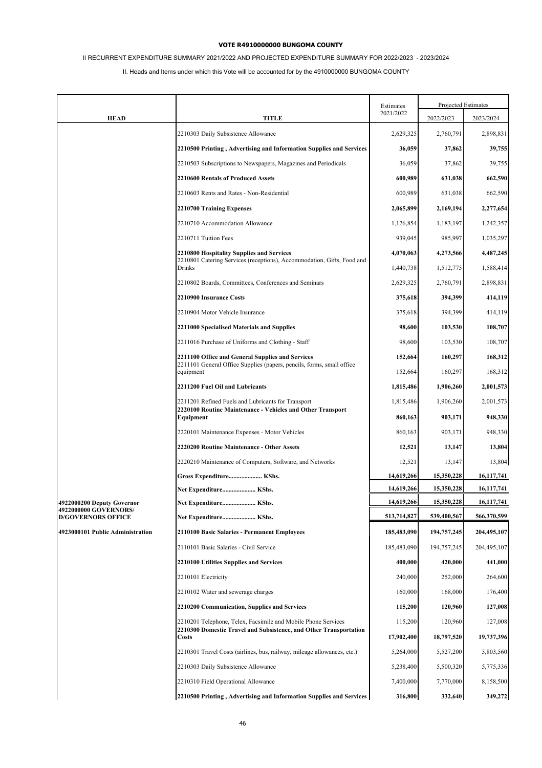# II RECURRENT EXPENDITURE SUMMARY 2021/2022 AND PROJECTED EXPENDITURE SUMMARY FOR 2022/2023 - 2023/2024

|                                                     |                                                                                                                                    | Estimates   |             | Projected Estimates |
|-----------------------------------------------------|------------------------------------------------------------------------------------------------------------------------------------|-------------|-------------|---------------------|
| <b>HEAD</b>                                         | TITLE                                                                                                                              | 2021/2022   | 2022/2023   | 2023/2024           |
|                                                     | 2210303 Daily Subsistence Allowance                                                                                                | 2,629,325   | 2,760,791   | 2,898,831           |
|                                                     | 2210500 Printing, Advertising and Information Supplies and Services                                                                | 36,059      | 37,862      | 39,755              |
|                                                     | 2210503 Subscriptions to Newspapers, Magazines and Periodicals                                                                     | 36,059      | 37,862      | 39,755              |
|                                                     | <b>2210600 Rentals of Produced Assets</b>                                                                                          | 600,989     | 631,038     | 662,590             |
|                                                     | 2210603 Rents and Rates - Non-Residential                                                                                          | 600,989     | 631,038     | 662,590             |
|                                                     | 2210700 Training Expenses                                                                                                          | 2,065,899   | 2,169,194   | 2,277,654           |
|                                                     | 2210710 Accommodation Allowance                                                                                                    | 1,126,854   | 1,183,197   | 1,242,357           |
|                                                     | 2210711 Tuition Fees                                                                                                               | 939,045     | 985,997     | 1,035,297           |
|                                                     | <b>2210800 Hospitality Supplies and Services</b>                                                                                   | 4,070,063   | 4,273,566   | 4,487,245           |
|                                                     | 2210801 Catering Services (receptions), Accommodation, Gifts, Food and<br>Drinks                                                   | 1,440,738   | 1,512,775   | 1,588,414           |
|                                                     | 2210802 Boards, Committees, Conferences and Seminars                                                                               | 2,629,325   | 2,760,791   | 2,898,831           |
|                                                     | <b>2210900 Insurance Costs</b>                                                                                                     | 375,618     | 394,399     | 414,119             |
|                                                     | 2210904 Motor Vehicle Insurance                                                                                                    | 375,618     | 394,399     | 414,119             |
|                                                     | 2211000 Specialised Materials and Supplies                                                                                         | 98,600      | 103,530     | 108,707             |
|                                                     | 2211016 Purchase of Uniforms and Clothing - Staff                                                                                  | 98,600      | 103,530     | 108,707             |
|                                                     | 2211100 Office and General Supplies and Services<br>2211101 General Office Supplies (papers, pencils, forms, small office          | 152,664     | 160,297     | 168,312             |
|                                                     | equipment                                                                                                                          | 152,664     | 160,297     | 168,312             |
|                                                     | 2211200 Fuel Oil and Lubricants                                                                                                    | 1,815,486   | 1,906,260   | 2,001,573           |
|                                                     | 2211201 Refined Fuels and Lubricants for Transport                                                                                 | 1,815,486   | 1,906,260   | 2,001,573           |
|                                                     | 2220100 Routine Maintenance - Vehicles and Other Transport<br>Equipment                                                            | 860,163     | 903,171     | 948,330             |
|                                                     | 2220101 Maintenance Expenses - Motor Vehicles                                                                                      | 860,163     | 903,171     | 948,330             |
|                                                     | 2220200 Routine Maintenance - Other Assets                                                                                         | 12,521      | 13,147      | 13,804              |
|                                                     | 2220210 Maintenance of Computers, Software, and Networks                                                                           | 12,521      | 13,147      | 13,804              |
|                                                     | Gross Expenditure KShs.                                                                                                            | 14,619,266  | 15,350,228  | 16, 117, 741        |
|                                                     | Net Expenditure KShs.                                                                                                              | 14,619,266  | 15,350,228  | 16,117,741          |
| 4922000200 Deputy Governor<br>4922000000 GOVERNORS/ | Net Expenditure KShs.                                                                                                              | 14,619,266  | 15,350,228  | 16, 117, 741        |
| <b>D/GOVERNORS OFFICE</b>                           | Net Expenditure KShs.                                                                                                              | 513,714,827 | 539,400,567 | 566,370,599         |
| 4923000101 Public Administration                    | 2110100 Basic Salaries - Permanent Employees                                                                                       | 185,483,090 | 194,757,245 | 204,495,107         |
|                                                     | 2110101 Basic Salaries - Civil Service                                                                                             | 185,483,090 | 194,757,245 | 204,495,107         |
|                                                     | 2210100 Utilities Supplies and Services                                                                                            | 400,000     | 420,000     | 441,000             |
|                                                     | 2210101 Electricity                                                                                                                | 240,000     | 252,000     | 264,600             |
|                                                     | 2210102 Water and sewerage charges                                                                                                 | 160,000     | 168,000     | 176,400             |
|                                                     | 2210200 Communication, Supplies and Services                                                                                       | 115,200     | 120,960     | 127,008             |
|                                                     | 2210201 Telephone, Telex, Facsimile and Mobile Phone Services<br>2210300 Domestic Travel and Subsistence, and Other Transportation | 115,200     | 120,960     | 127,008             |
|                                                     | Costs                                                                                                                              | 17,902,400  | 18,797,520  | 19,737,396          |
|                                                     | 2210301 Travel Costs (airlines, bus, railway, mileage allowances, etc.)                                                            | 5,264,000   | 5,527,200   | 5,803,560           |
|                                                     | 2210303 Daily Subsistence Allowance                                                                                                | 5,238,400   | 5,500,320   | 5,775,336           |
|                                                     | 2210310 Field Operational Allowance                                                                                                | 7,400,000   | 7,770,000   | 8,158,500           |
|                                                     | 2210500 Printing, Advertising and Information Supplies and Services                                                                | 316,800     | 332,640     | 349,272             |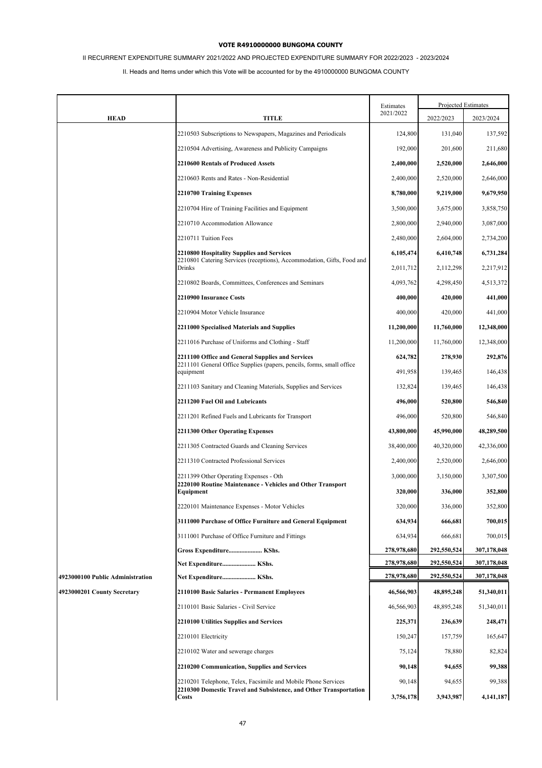# II RECURRENT EXPENDITURE SUMMARY 2021/2022 AND PROJECTED EXPENDITURE SUMMARY FOR 2022/2023 - 2023/2024

|                                  |                                                                                                                                                    | Estimates           |                     | Projected Estimates   |
|----------------------------------|----------------------------------------------------------------------------------------------------------------------------------------------------|---------------------|---------------------|-----------------------|
| <b>HEAD</b>                      | TITLE                                                                                                                                              | 2021/2022           | 2022/2023           | 2023/2024             |
|                                  | 2210503 Subscriptions to Newspapers, Magazines and Periodicals                                                                                     | 124,800             | 131,040             | 137,592               |
|                                  | 2210504 Advertising, Awareness and Publicity Campaigns                                                                                             | 192,000             | 201,600             | 211,680               |
|                                  | 2210600 Rentals of Produced Assets                                                                                                                 | 2,400,000           | 2,520,000           | 2,646,000             |
|                                  | 2210603 Rents and Rates - Non-Residential                                                                                                          | 2,400,000           | 2,520,000           | 2,646,000             |
|                                  | 2210700 Training Expenses                                                                                                                          | 8,780,000           | 9,219,000           | 9,679,950             |
|                                  | 2210704 Hire of Training Facilities and Equipment                                                                                                  | 3,500,000           | 3,675,000           | 3,858,750             |
|                                  | 2210710 Accommodation Allowance                                                                                                                    | 2,800,000           | 2,940,000           | 3,087,000             |
|                                  | 2210711 Tuition Fees                                                                                                                               | 2,480,000           | 2,604,000           | 2,734,200             |
|                                  | 2210800 Hospitality Supplies and Services                                                                                                          | 6,105,474           | 6,410,748           | 6,731,284             |
|                                  | 2210801 Catering Services (receptions), Accommodation, Gifts, Food and<br>Drinks                                                                   | 2,011,712           | 2,112,298           | 2,217,912             |
|                                  | 2210802 Boards, Committees, Conferences and Seminars                                                                                               | 4,093,762           | 4,298,450           | 4,513,372             |
|                                  | 2210900 Insurance Costs                                                                                                                            | 400,000             | 420,000             | 441,000               |
|                                  | 2210904 Motor Vehicle Insurance                                                                                                                    | 400,000             | 420,000             | 441,000               |
|                                  | 2211000 Specialised Materials and Supplies                                                                                                         | 11,200,000          | 11,760,000          | 12,348,000            |
|                                  | 2211016 Purchase of Uniforms and Clothing - Staff                                                                                                  | 11,200,000          | 11,760,000          | 12,348,000            |
|                                  | 2211100 Office and General Supplies and Services                                                                                                   | 624,782             | 278,930             | 292,876               |
|                                  | 2211101 General Office Supplies (papers, pencils, forms, small office<br>equipment                                                                 | 491,958             | 139,465             | 146,438               |
|                                  | 2211103 Sanitary and Cleaning Materials, Supplies and Services                                                                                     | 132,824             | 139,465             | 146,438               |
|                                  | 2211200 Fuel Oil and Lubricants                                                                                                                    | 496,000             | 520,800             | 546,840               |
|                                  | 2211201 Refined Fuels and Lubricants for Transport                                                                                                 | 496,000             | 520,800             | 546,840               |
|                                  | 2211300 Other Operating Expenses                                                                                                                   | 43,800,000          | 45,990,000          | 48,289,500            |
|                                  | 2211305 Contracted Guards and Cleaning Services                                                                                                    | 38,400,000          | 40,320,000          | 42,336,000            |
|                                  | 2211310 Contracted Professional Services                                                                                                           | 2,400,000           | 2,520,000           | 2,646,000             |
|                                  | 2211399 Other Operating Expenses - Oth<br>2220100 Routine Maintenance - Vehicles and Other Transport                                               | 3,000,000           | 3,150,000           | 3,307,500             |
|                                  | Equipment                                                                                                                                          | 320,000             | 336,000             | 352,800               |
|                                  | 2220101 Maintenance Expenses - Motor Vehicles                                                                                                      | 320,000             | 336,000             | 352,800               |
|                                  | 3111000 Purchase of Office Furniture and General Equipment                                                                                         | 634,934             | 666,681             | 700,015               |
|                                  | 3111001 Purchase of Office Furniture and Fittings                                                                                                  | 634,934             | 666,681             | 700,015               |
|                                  | Gross Expenditure KShs.                                                                                                                            | 278,978,680         | 292,550,524         | 307,178,048           |
|                                  | Net Expenditure KShs.                                                                                                                              | 278,978,680         | 292,550,524         | 307,178,048           |
| 4923000100 Public Administration | Net Expenditure KShs.                                                                                                                              | 278,978,680         | 292,550,524         | 307,178,048           |
| 4923000201 County Secretary      | 2110100 Basic Salaries - Permanent Employees                                                                                                       | 46,566,903          | 48,895,248          | 51,340,011            |
|                                  | 2110101 Basic Salaries - Civil Service                                                                                                             | 46,566,903          | 48,895,248          | 51,340,011            |
|                                  | 2210100 Utilities Supplies and Services                                                                                                            | 225,371             | 236,639             | 248,471               |
|                                  | 2210101 Electricity                                                                                                                                | 150,247             | 157,759             | 165,647               |
|                                  | 2210102 Water and sewerage charges                                                                                                                 | 75,124              | 78,880              | 82,824                |
|                                  | 2210200 Communication, Supplies and Services                                                                                                       | 90,148              | 94,655              | 99,388                |
|                                  | 2210201 Telephone, Telex, Facsimile and Mobile Phone Services<br>2210300 Domestic Travel and Subsistence, and Other Transportation<br><b>Costs</b> | 90,148<br>3,756,178 | 94,655<br>3,943,987 | 99,388<br>4, 141, 187 |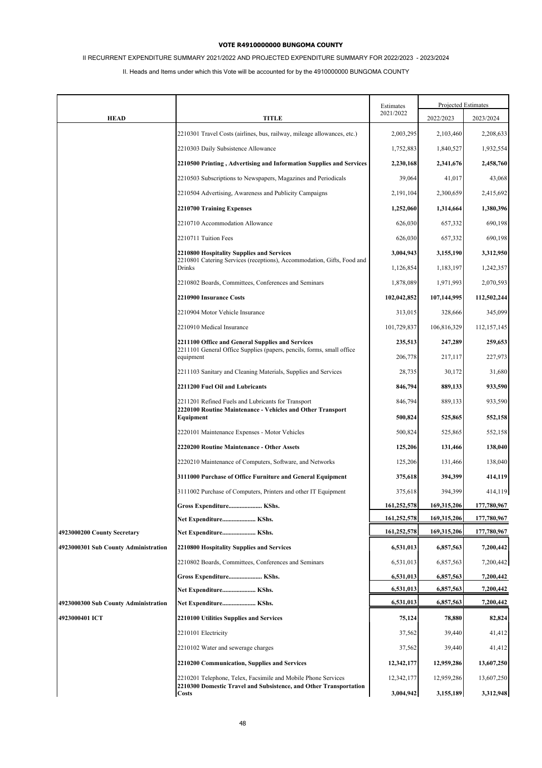# II RECURRENT EXPENDITURE SUMMARY 2021/2022 AND PROJECTED EXPENDITURE SUMMARY FOR 2022/2023 - 2023/2024

|                                      |                                                                                                                                    | Estimates   |             | Projected Estimates |
|--------------------------------------|------------------------------------------------------------------------------------------------------------------------------------|-------------|-------------|---------------------|
| <b>HEAD</b>                          | <b>TITLE</b>                                                                                                                       | 2021/2022   | 2022/2023   | 2023/2024           |
|                                      | 2210301 Travel Costs (airlines, bus, railway, mileage allowances, etc.)                                                            | 2,003,295   | 2,103,460   | 2,208,633           |
|                                      | 2210303 Daily Subsistence Allowance                                                                                                | 1,752,883   | 1,840,527   | 1,932,554           |
|                                      | 2210500 Printing, Advertising and Information Supplies and Services                                                                | 2,230,168   | 2,341,676   | 2,458,760           |
|                                      | 2210503 Subscriptions to Newspapers, Magazines and Periodicals                                                                     | 39,064      | 41,017      | 43,068              |
|                                      | 2210504 Advertising, Awareness and Publicity Campaigns                                                                             | 2,191,104   | 2,300,659   | 2,415,692           |
|                                      | 2210700 Training Expenses                                                                                                          | 1,252,060   | 1,314,664   | 1,380,396           |
|                                      | 2210710 Accommodation Allowance                                                                                                    | 626,030     | 657,332     | 690,198             |
|                                      | 2210711 Tuition Fees                                                                                                               | 626,030     | 657,332     | 690,198             |
|                                      | 2210800 Hospitality Supplies and Services                                                                                          | 3,004,943   | 3,155,190   | 3,312,950           |
|                                      | 2210801 Catering Services (receptions), Accommodation, Gifts, Food and<br><b>Drinks</b>                                            | 1,126,854   | 1,183,197   | 1,242,357           |
|                                      | 2210802 Boards, Committees, Conferences and Seminars                                                                               | 1,878,089   | 1,971,993   | 2,070,593           |
|                                      | 2210900 Insurance Costs                                                                                                            | 102,042,852 | 107,144,995 | 112,502,244         |
|                                      | 2210904 Motor Vehicle Insurance                                                                                                    | 313,015     | 328,666     | 345,099             |
|                                      | 2210910 Medical Insurance                                                                                                          | 101,729,837 | 106,816,329 | 112, 157, 145       |
|                                      | 2211100 Office and General Supplies and Services                                                                                   | 235,513     | 247,289     | 259,653             |
|                                      | 2211101 General Office Supplies (papers, pencils, forms, small office<br>equipment                                                 | 206,778     | 217,117     | 227,973             |
|                                      | 2211103 Sanitary and Cleaning Materials, Supplies and Services                                                                     | 28,735      | 30,172      | 31,680              |
|                                      | 2211200 Fuel Oil and Lubricants                                                                                                    | 846,794     | 889,133     | 933,590             |
|                                      | 2211201 Refined Fuels and Lubricants for Transport                                                                                 | 846,794     | 889,133     | 933,590             |
|                                      | 2220100 Routine Maintenance - Vehicles and Other Transport<br>Equipment                                                            | 500,824     | 525,865     | 552,158             |
|                                      | 2220101 Maintenance Expenses - Motor Vehicles                                                                                      | 500,824     | 525,865     | 552,158             |
|                                      | 2220200 Routine Maintenance - Other Assets                                                                                         | 125,206     | 131,466     | 138,040             |
|                                      | 2220210 Maintenance of Computers, Software, and Networks                                                                           | 125,206     | 131,466     | 138,040             |
|                                      | 3111000 Purchase of Office Furniture and General Equipment                                                                         | 375,618     | 394,399     | 414,119             |
|                                      | 3111002 Purchase of Computers, Printers and other IT Equipment                                                                     | 375,618     | 394,399     | 414,119             |
|                                      | Gross Expenditure KShs.                                                                                                            | 161,252,578 | 169,315,206 | 177,780,967         |
|                                      | Net Expenditure KShs.                                                                                                              | 161,252,578 | 169,315,206 | 177,780,967         |
| 4923000200 County Secretary          | Net Expenditure KShs.                                                                                                              | 161,252,578 | 169,315,206 | 177,780,967         |
| 4923000301 Sub County Administration | 2210800 Hospitality Supplies and Services                                                                                          | 6,531,013   | 6,857,563   | 7,200,442           |
|                                      | 2210802 Boards, Committees, Conferences and Seminars                                                                               | 6,531,013   | 6,857,563   | 7,200,442           |
|                                      | Gross Expenditure KShs.                                                                                                            | 6,531,013   | 6,857,563   | 7,200,442           |
|                                      | Net Expenditure KShs.                                                                                                              | 6,531,013   | 6,857,563   | 7,200,442           |
| 4923000300 Sub County Administration | Net Expenditure KShs.                                                                                                              | 6,531,013   | 6,857,563   | 7,200,442           |
| 4923000401 ICT                       | 2210100 Utilities Supplies and Services                                                                                            | 75,124      | 78,880      | 82,824              |
|                                      | 2210101 Electricity                                                                                                                | 37,562      | 39,440      | 41,412              |
|                                      | 2210102 Water and sewerage charges                                                                                                 | 37,562      | 39,440      | 41,412              |
|                                      | 2210200 Communication, Supplies and Services                                                                                       | 12,342,177  | 12,959,286  | 13,607,250          |
|                                      | 2210201 Telephone, Telex, Facsimile and Mobile Phone Services<br>2210300 Domestic Travel and Subsistence, and Other Transportation | 12,342,177  | 12,959,286  | 13,607,250          |
|                                      | <b>Costs</b>                                                                                                                       | 3,004,942   | 3,155,189   | 3,312,948           |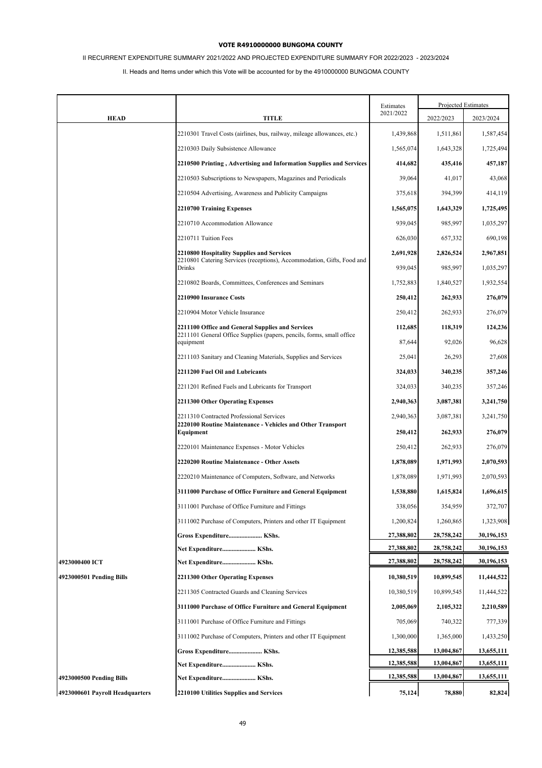# II RECURRENT EXPENDITURE SUMMARY 2021/2022 AND PROJECTED EXPENDITURE SUMMARY FOR 2022/2023 - 2023/2024

|                                 |                                                                                    | Estimates<br>2021/2022 | Projected Estimates |            |
|---------------------------------|------------------------------------------------------------------------------------|------------------------|---------------------|------------|
| <b>HEAD</b>                     | <b>TITLE</b>                                                                       |                        | 2022/2023           | 2023/2024  |
|                                 | 2210301 Travel Costs (airlines, bus, railway, mileage allowances, etc.)            | 1,439,868              | 1,511,861           | 1,587,454  |
|                                 | 2210303 Daily Subsistence Allowance                                                | 1,565,074              | 1,643,328           | 1,725,494  |
|                                 | 2210500 Printing, Advertising and Information Supplies and Services                | 414,682                | 435,416             | 457,187    |
|                                 | 2210503 Subscriptions to Newspapers, Magazines and Periodicals                     | 39,064                 | 41,017              | 43,068     |
|                                 | 2210504 Advertising, Awareness and Publicity Campaigns                             | 375,618                | 394,399             | 414,119    |
|                                 | 2210700 Training Expenses                                                          | 1,565,075              | 1,643,329           | 1,725,495  |
|                                 | 2210710 Accommodation Allowance                                                    | 939,045                | 985,997             | 1,035,297  |
|                                 | 2210711 Tuition Fees                                                               | 626,030                | 657,332             | 690,198    |
|                                 | 2210800 Hospitality Supplies and Services                                          | 2,691,928              | 2,826,524           | 2,967,851  |
|                                 | 2210801 Catering Services (receptions), Accommodation, Gifts, Food and<br>Drinks   | 939,045                | 985,997             | 1,035,297  |
|                                 | 2210802 Boards, Committees, Conferences and Seminars                               | 1,752,883              | 1,840,527           | 1,932,554  |
|                                 | 2210900 Insurance Costs                                                            | 250,412                | 262,933             | 276,079    |
|                                 | 2210904 Motor Vehicle Insurance                                                    | 250,412                | 262,933             | 276,079    |
|                                 | 2211100 Office and General Supplies and Services                                   | 112,685                | 118,319             | 124,236    |
|                                 | 2211101 General Office Supplies (papers, pencils, forms, small office<br>equipment | 87,644                 | 92,026              | 96,628     |
|                                 | 2211103 Sanitary and Cleaning Materials, Supplies and Services                     | 25,041                 | 26,293              | 27,608     |
|                                 | 2211200 Fuel Oil and Lubricants                                                    | 324,033                | 340,235             | 357,246    |
|                                 | 2211201 Refined Fuels and Lubricants for Transport                                 | 324,033                | 340,235             | 357,246    |
|                                 | 2211300 Other Operating Expenses                                                   | 2,940,363              | 3,087,381           | 3,241,750  |
|                                 | 2211310 Contracted Professional Services                                           | 2,940,363              | 3,087,381           | 3,241,750  |
|                                 | 2220100 Routine Maintenance - Vehicles and Other Transport<br>Equipment            | 250,412                | 262,933             | 276,079    |
|                                 | 2220101 Maintenance Expenses - Motor Vehicles                                      | 250,412                | 262,933             | 276,079    |
|                                 | 2220200 Routine Maintenance - Other Assets                                         | 1,878,089              | 1,971,993           | 2,070,593  |
|                                 | 2220210 Maintenance of Computers, Software, and Networks                           | 1,878,089              | 1,971,993           | 2,070,593  |
|                                 | 3111000 Purchase of Office Furniture and General Equipment                         | 1,538,880              | 1,615,824           | 1,696,615  |
|                                 | 3111001 Purchase of Office Furniture and Fittings                                  | 338,056                | 354,959             | 372,707    |
|                                 | 3111002 Purchase of Computers, Printers and other IT Equipment                     | 1,200,824              | 1,260,865           | 1,323,908  |
|                                 | Gross Expenditure KShs.                                                            | 27,388,802             | 28,758,242          | 30,196,153 |
|                                 | Net Expenditure KShs.                                                              | 27,388,802             | 28,758,242          | 30,196,153 |
| 4923000400 ICT                  | Net Expenditure KShs.                                                              | 27,388,802             | 28,758,242          | 30,196,153 |
| 4923000501 Pending Bills        | 2211300 Other Operating Expenses                                                   | 10,380,519             | 10,899,545          | 11,444,522 |
|                                 | 2211305 Contracted Guards and Cleaning Services                                    | 10,380,519             | 10,899,545          | 11,444,522 |
|                                 | 3111000 Purchase of Office Furniture and General Equipment                         | 2,005,069              | 2,105,322           | 2,210,589  |
|                                 | 3111001 Purchase of Office Furniture and Fittings                                  | 705,069                | 740,322             | 777,339    |
|                                 | 3111002 Purchase of Computers, Printers and other IT Equipment                     | 1,300,000              | 1,365,000           | 1,433,250  |
|                                 | Gross Expenditure KShs.                                                            | 12,385,588             | 13,004,867          | 13,655,111 |
|                                 | Net Expenditure KShs.                                                              | 12,385,588             | 13,004,867          | 13,655,111 |
| 4923000500 Pending Bills        | Net Expenditure KShs.                                                              | 12,385,588             | 13,004,867          | 13,655,111 |
| 4923000601 Payroll Headquarters | 2210100 Utilities Supplies and Services                                            | 75,124                 | 78,880              | 82,824     |